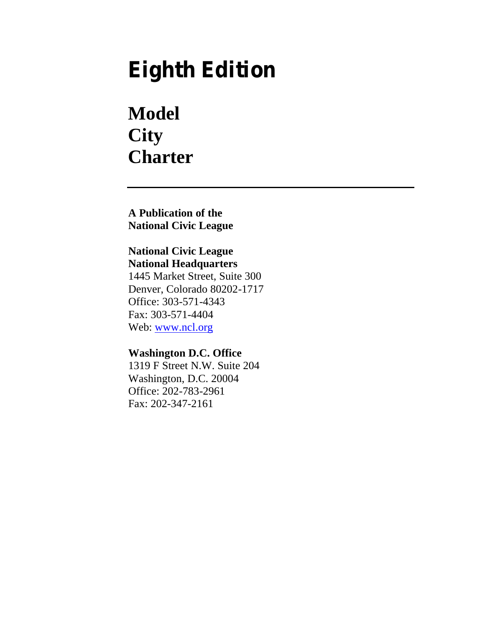# **Eighth Edition**

# **Model City Charter**

**A Publication of the National Civic League**

# **National Civic League**

**National Headquarters** 1445 Market Street, Suite 300 Denver, Colorado 80202-1717 Office: 303-571-4343 Fax: 303-571-4404 Web: www.ncl.org

# **Washington D.C. Office** 1319 F Street N.W. Suite 204 Washington, D.C. 20004 Office: 202-783-2961 Fax: 202-347-2161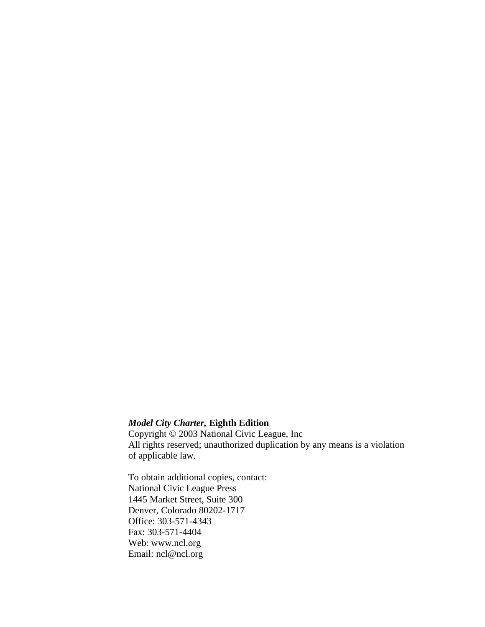### *Model City Charter,* **Eighth Edition**

Copyright © 2003 National Civic League, Inc All rights reserved; unauthorized duplication by any means is a violation of applicable law.

To obtain additional copies, contact: National Civic League Press 1445 Market Street, Suite 300 Denver, Colorado 80202-1717 Office: 303-571-4343 Fax: 303-571-4404 Web: www.ncl.org Email: ncl@ncl.org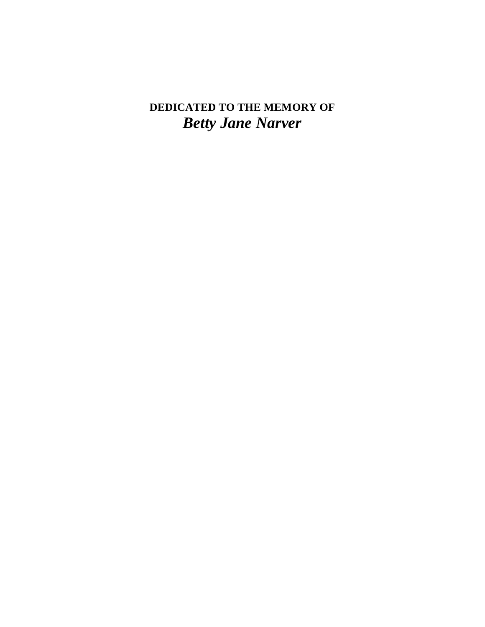# **DEDICATED TO THE MEMORY OF** *Betty Jane Narver*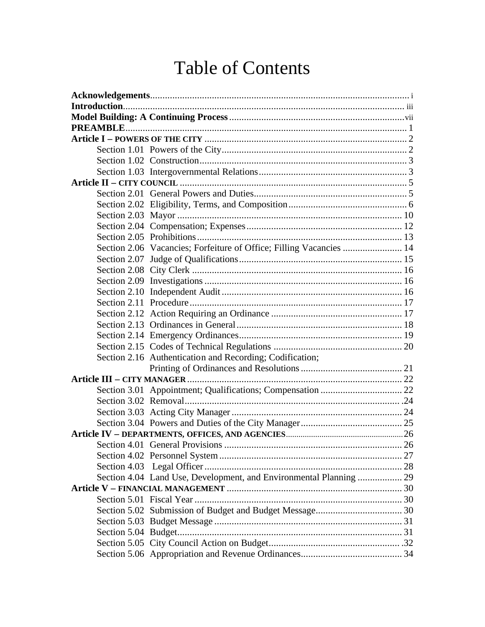# Table of Contents

| Section 2.06 Vacancies; Forfeiture of Office; Filling Vacancies  14 |  |
|---------------------------------------------------------------------|--|
|                                                                     |  |
|                                                                     |  |
|                                                                     |  |
|                                                                     |  |
|                                                                     |  |
|                                                                     |  |
|                                                                     |  |
|                                                                     |  |
|                                                                     |  |
| Section 2.16 Authentication and Recording; Codification;            |  |
|                                                                     |  |
|                                                                     |  |
|                                                                     |  |
|                                                                     |  |
|                                                                     |  |
|                                                                     |  |
|                                                                     |  |
| Section 4.01 General Provisions                                     |  |
|                                                                     |  |
|                                                                     |  |
| Section 4.04 Land Use, Development, and Environmental Planning  29  |  |
|                                                                     |  |
|                                                                     |  |
|                                                                     |  |
|                                                                     |  |
|                                                                     |  |
|                                                                     |  |
|                                                                     |  |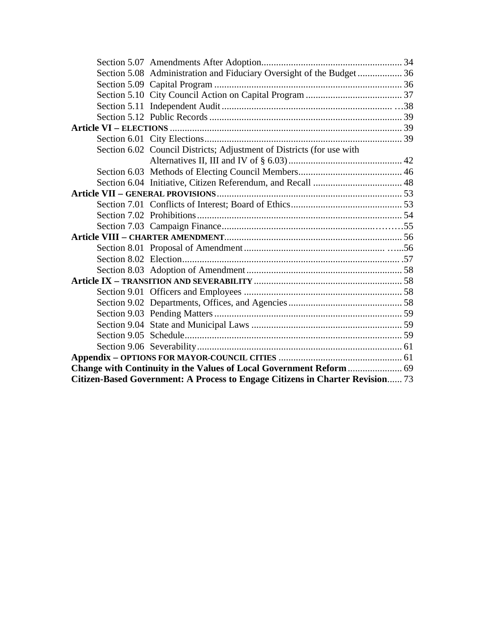|                                                                               | Section 5.08 Administration and Fiduciary Oversight of the Budget 36  |  |
|-------------------------------------------------------------------------------|-----------------------------------------------------------------------|--|
|                                                                               |                                                                       |  |
|                                                                               |                                                                       |  |
|                                                                               |                                                                       |  |
|                                                                               |                                                                       |  |
|                                                                               |                                                                       |  |
|                                                                               |                                                                       |  |
|                                                                               | Section 6.02 Council Districts; Adjustment of Districts (for use with |  |
|                                                                               |                                                                       |  |
|                                                                               |                                                                       |  |
|                                                                               |                                                                       |  |
|                                                                               |                                                                       |  |
|                                                                               |                                                                       |  |
|                                                                               |                                                                       |  |
|                                                                               |                                                                       |  |
|                                                                               |                                                                       |  |
|                                                                               |                                                                       |  |
|                                                                               |                                                                       |  |
|                                                                               |                                                                       |  |
|                                                                               |                                                                       |  |
|                                                                               |                                                                       |  |
|                                                                               |                                                                       |  |
|                                                                               |                                                                       |  |
|                                                                               |                                                                       |  |
|                                                                               |                                                                       |  |
|                                                                               |                                                                       |  |
|                                                                               |                                                                       |  |
|                                                                               |                                                                       |  |
| Citizen-Based Government: A Process to Engage Citizens in Charter Revision 73 |                                                                       |  |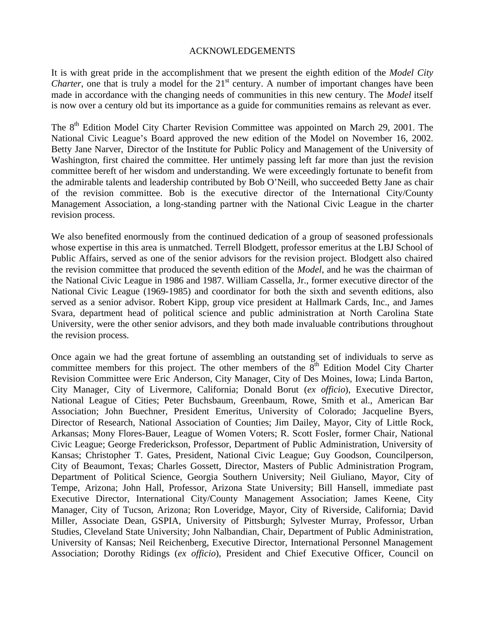#### ACKNOWLEDGEMENTS

It is with great pride in the accomplishment that we present the eighth edition of the *Model City Charter*, one that is truly a model for the  $21<sup>st</sup>$  century. A number of important changes have been made in accordance with the changing needs of communities in this new century. The *Model* itself is now over a century old but its importance as a guide for communities remains as relevant as ever.

The  $8<sup>th</sup>$  Edition Model City Charter Revision Committee was appointed on March 29, 2001. The National Civic League's Board approved the new edition of the Model on November 16, 2002. Betty Jane Narver, Director of the Institute for Public Policy and Management of the University of Washington, first chaired the committee. Her untimely passing left far more than just the revision committee bereft of her wisdom and understanding. We were exceedingly fortunate to benefit from the admirable talents and leadership contributed by Bob O'Neill, who succeeded Betty Jane as chair of the revision committee. Bob is the executive director of the International City/County Management Association, a long-standing partner with the National Civic League in the charter revision process.

We also benefited enormously from the continued dedication of a group of seasoned professionals whose expertise in this area is unmatched. Terrell Blodgett, professor emeritus at the LBJ School of Public Affairs, served as one of the senior advisors for the revision project. Blodgett also chaired the revision committee that produced the seventh edition of the *Model*, and he was the chairman of the National Civic League in 1986 and 1987. William Cassella, Jr., former executive director of the National Civic League (1969-1985) and coordinator for both the sixth and seventh editions, also served as a senior advisor. Robert Kipp, group vice president at Hallmark Cards, Inc., and James Svara, department head of political science and public administration at North Carolina State University, were the other senior advisors, and they both made invaluable contributions throughout the revision process.

Once again we had the great fortune of assembling an outstanding set of individuals to serve as committee members for this project. The other members of the  $8<sup>th</sup>$  Edition Model City Charter Revision Committee were Eric Anderson, City Manager, City of Des Moines, Iowa; Linda Barton, City Manager, City of Livermore, California; Donald Borut (*ex officio*), Executive Director, National League of Cities; Peter Buchsbaum, Greenbaum, Rowe, Smith et al., American Bar Association; John Buechner, President Emeritus, University of Colorado; Jacqueline Byers, Director of Research, National Association of Counties; Jim Dailey, Mayor, City of Little Rock, Arkansas; Mony Flores-Bauer, League of Women Voters; R. Scott Fosler, former Chair, National Civic League; George Frederickson, Professor, Department of Public Administration, University of Kansas; Christopher T. Gates, President, National Civic League; Guy Goodson, Councilperson, City of Beaumont, Texas; Charles Gossett, Director, Masters of Public Administration Program, Department of Political Science, Georgia Southern University; Neil Giuliano, Mayor, City of Tempe, Arizona; John Hall, Professor, Arizona State University; Bill Hansell, immediate past Executive Director, International City/County Management Association; James Keene, City Manager, City of Tucson, Arizona; Ron Loveridge, Mayor, City of Riverside, California; David Miller, Associate Dean, GSPIA, University of Pittsburgh; Sylvester Murray, Professor, Urban Studies, Cleveland State University; John Nalbandian, Chair, Department of Public Administration, University of Kansas; Neil Reichenberg, Executive Director, International Personnel Management Association; Dorothy Ridings (*ex officio*), President and Chief Executive Officer, Council on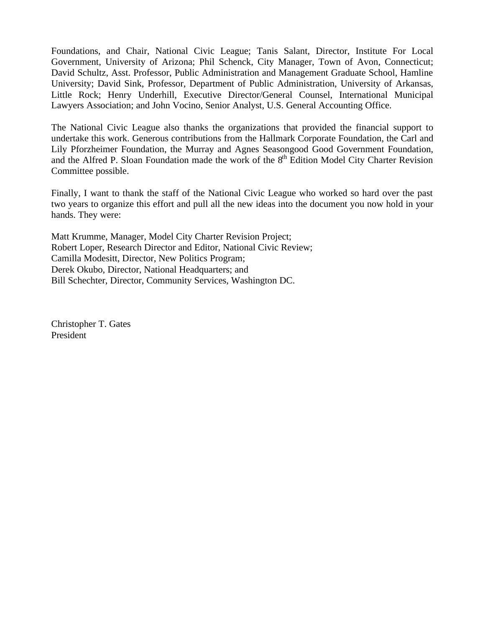Foundations, and Chair, National Civic League; Tanis Salant, Director, Institute For Local Government, University of Arizona; Phil Schenck, City Manager, Town of Avon, Connecticut; David Schultz, Asst. Professor, Public Administration and Management Graduate School, Hamline University; David Sink, Professor, Department of Public Administration, University of Arkansas, Little Rock; Henry Underhill, Executive Director/General Counsel, International Municipal Lawyers Association; and John Vocino, Senior Analyst, U.S. General Accounting Office.

The National Civic League also thanks the organizations that provided the financial support to undertake this work. Generous contributions from the Hallmark Corporate Foundation, the Carl and Lily Pforzheimer Foundation, the Murray and Agnes Seasongood Good Government Foundation, and the Alfred P. Sloan Foundation made the work of the 8<sup>th</sup> Edition Model City Charter Revision Committee possible.

Finally, I want to thank the staff of the National Civic League who worked so hard over the past two years to organize this effort and pull all the new ideas into the document you now hold in your hands. They were:

Matt Krumme, Manager, Model City Charter Revision Project; Robert Loper, Research Director and Editor, National Civic Review; Camilla Modesitt, Director, New Politics Program; Derek Okubo, Director, National Headquarters; and Bill Schechter, Director, Community Services, Washington DC.

Christopher T. Gates President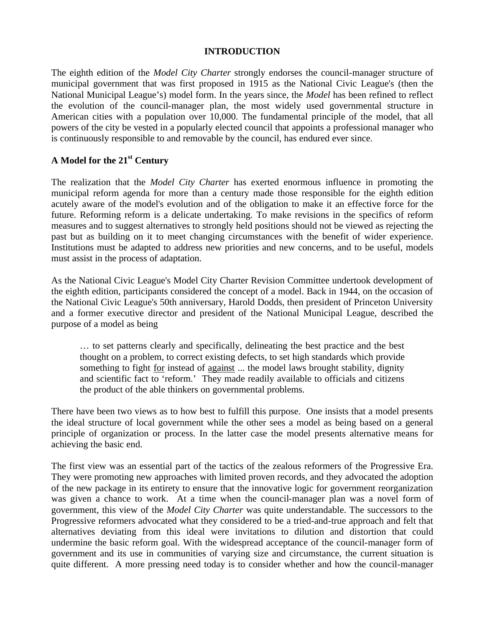#### **INTRODUCTION**

The eighth edition of the *Model City Charter* strongly endorses the council-manager structure of municipal government that was first proposed in 1915 as the National Civic League's (then the National Municipal League's) model form. In the years since, the *Model* has been refined to reflect the evolution of the council-manager plan, the most widely used governmental structure in American cities with a population over 10,000. The fundamental principle of the model, that all powers of the city be vested in a popularly elected council that appoints a professional manager who is continuously responsible to and removable by the council, has endured ever since.

# **A Model for the 21st Century**

The realization that the *Model City Charter* has exerted enormous influence in promoting the municipal reform agenda for more than a century made those responsible for the eighth edition acutely aware of the model's evolution and of the obligation to make it an effective force for the future. Reforming reform is a delicate undertaking. To make revisions in the specifics of reform measures and to suggest alternatives to strongly held positions should not be viewed as rejecting the past but as building on it to meet changing circumstances with the benefit of wider experience. Institutions must be adapted to address new priorities and new concerns, and to be useful, models must assist in the process of adaptation.

As the National Civic League's Model City Charter Revision Committee undertook development of the eighth edition, participants considered the concept of a model. Back in 1944, on the occasion of the National Civic League's 50th anniversary, Harold Dodds, then president of Princeton University and a former executive director and president of the National Municipal League, described the purpose of a model as being

… to set patterns clearly and specifically, delineating the best practice and the best thought on a problem, to correct existing defects, to set high standards which provide something to fight <u>for</u> instead of <u>against</u> ... the model laws brought stability, dignity and scientific fact to 'reform.' They made readily available to officials and citizens the product of the able thinkers on governmental problems.

There have been two views as to how best to fulfill this purpose. One insists that a model presents the ideal structure of local government while the other sees a model as being based on a general principle of organization or process. In the latter case the model presents alternative means for achieving the basic end.

The first view was an essential part of the tactics of the zealous reformers of the Progressive Era. They were promoting new approaches with limited proven records, and they advocated the adoption of the new package in its entirety to ensure that the innovative logic for government reorganization was given a chance to work. At a time when the council-manager plan was a novel form of government, this view of the *Model City Charter* was quite understandable. The successors to the Progressive reformers advocated what they considered to be a tried-and-true approach and felt that alternatives deviating from this ideal were invitations to dilution and distortion that could undermine the basic reform goal. With the widespread acceptance of the council-manager form of government and its use in communities of varying size and circumstance, the current situation is quite different. A more pressing need today is to consider whether and how the council-manager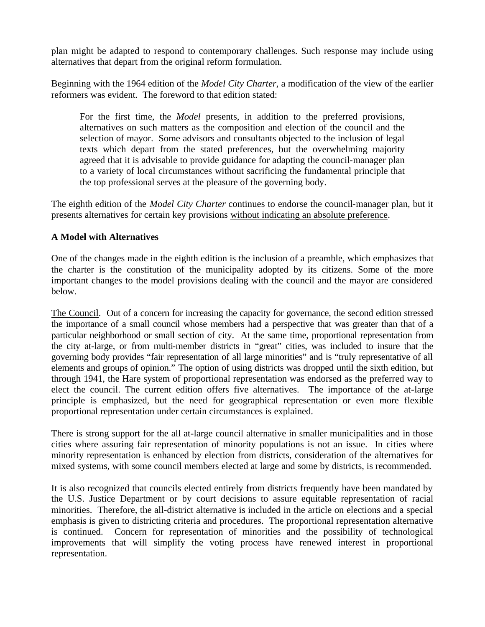plan might be adapted to respond to contemporary challenges. Such response may include using alternatives that depart from the original reform formulation.

Beginning with the 1964 edition of the *Model City Charter*, a modification of the view of the earlier reformers was evident. The foreword to that edition stated:

For the first time, the *Model* presents, in addition to the preferred provisions, alternatives on such matters as the composition and election of the council and the selection of mayor. Some advisors and consultants objected to the inclusion of legal texts which depart from the stated preferences, but the overwhelming majority agreed that it is advisable to provide guidance for adapting the council-manager plan to a variety of local circumstances without sacrificing the fundamental principle that the top professional serves at the pleasure of the governing body.

The eighth edition of the *Model City Charter* continues to endorse the council-manager plan, but it presents alternatives for certain key provisions without indicating an absolute preference.

#### **A Model with Alternatives**

One of the changes made in the eighth edition is the inclusion of a preamble, which emphasizes that the charter is the constitution of the municipality adopted by its citizens. Some of the more important changes to the model provisions dealing with the council and the mayor are considered below.

The Council. Out of a concern for increasing the capacity for governance, the second edition stressed the importance of a small council whose members had a perspective that was greater than that of a particular neighborhood or small section of city. At the same time, proportional representation from the city at-large, or from multi-member districts in "great" cities, was included to insure that the governing body provides "fair representation of all large minorities" and is "truly representative of all elements and groups of opinion." The option of using districts was dropped until the sixth edition, but through 1941, the Hare system of proportional representation was endorsed as the preferred way to elect the council. The current edition offers five alternatives. The importance of the at-large principle is emphasized, but the need for geographical representation or even more flexible proportional representation under certain circumstances is explained.

There is strong support for the all at-large council alternative in smaller municipalities and in those cities where assuring fair representation of minority populations is not an issue. In cities where minority representation is enhanced by election from districts, consideration of the alternatives for mixed systems, with some council members elected at large and some by districts, is recommended.

It is also recognized that councils elected entirely from districts frequently have been mandated by the U.S. Justice Department or by court decisions to assure equitable representation of racial minorities. Therefore, the all-district alternative is included in the article on elections and a special emphasis is given to districting criteria and procedures. The proportional representation alternative is continued. Concern for representation of minorities and the possibility of technological improvements that will simplify the voting process have renewed interest in proportional representation.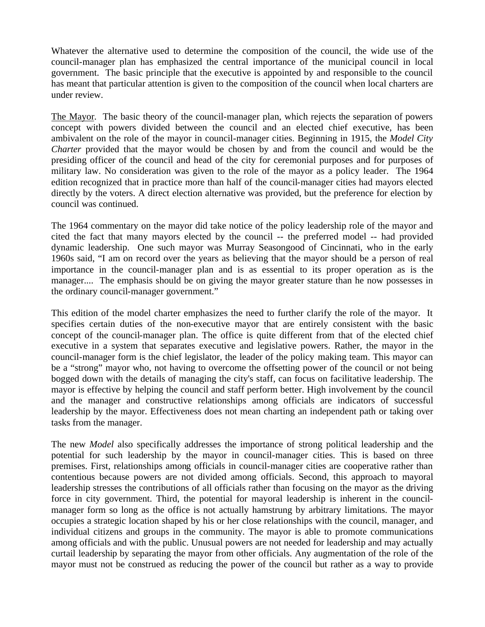Whatever the alternative used to determine the composition of the council, the wide use of the council-manager plan has emphasized the central importance of the municipal council in local government. The basic principle that the executive is appointed by and responsible to the council has meant that particular attention is given to the composition of the council when local charters are under review.

The Mayor. The basic theory of the council-manager plan, which rejects the separation of powers concept with powers divided between the council and an elected chief executive, has been ambivalent on the role of the mayor in council-manager cities. Beginning in 1915, the *Model City Charter* provided that the mayor would be chosen by and from the council and would be the presiding officer of the council and head of the city for ceremonial purposes and for purposes of military law. No consideration was given to the role of the mayor as a policy leader. The 1964 edition recognized that in practice more than half of the council-manager cities had mayors elected directly by the voters. A direct election alternative was provided, but the preference for election by council was continued.

The 1964 commentary on the mayor did take notice of the policy leadership role of the mayor and cited the fact that many mayors elected by the council -- the preferred model -- had provided dynamic leadership. One such mayor was Murray Seasongood of Cincinnati, who in the early 1960s said, "I am on record over the years as believing that the mayor should be a person of real importance in the council-manager plan and is as essential to its proper operation as is the manager.... The emphasis should be on giving the mayor greater stature than he now possesses in the ordinary council-manager government."

This edition of the model charter emphasizes the need to further clarify the role of the mayor. It specifies certain duties of the non-executive mayor that are entirely consistent with the basic concept of the council-manager plan. The office is quite different from that of the elected chief executive in a system that separates executive and legislative powers. Rather, the mayor in the council-manager form is the chief legislator, the leader of the policy making team. This mayor can be a "strong" mayor who, not having to overcome the offsetting power of the council or not being bogged down with the details of managing the city's staff, can focus on facilitative leadership. The mayor is effective by helping the council and staff perform better. High involvement by the council and the manager and constructive relationships among officials are indicators of successful leadership by the mayor. Effectiveness does not mean charting an independent path or taking over tasks from the manager.

The new *Model* also specifically addresses the importance of strong political leadership and the potential for such leadership by the mayor in council-manager cities. This is based on three premises. First, relationships among officials in council-manager cities are cooperative rather than contentious because powers are not divided among officials. Second, this approach to mayoral leadership stresses the contributions of all officials rather than focusing on the mayor as the driving force in city government. Third, the potential for mayoral leadership is inherent in the councilmanager form so long as the office is not actually hamstrung by arbitrary limitations. The mayor occupies a strategic location shaped by his or her close relationships with the council, manager, and individual citizens and groups in the community. The mayor is able to promote communications among officials and with the public. Unusual powers are not needed for leadership and may actually curtail leadership by separating the mayor from other officials. Any augmentation of the role of the mayor must not be construed as reducing the power of the council but rather as a way to provide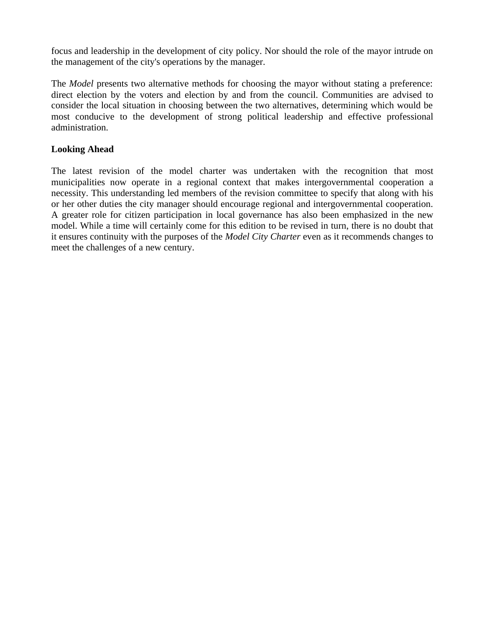focus and leadership in the development of city policy. Nor should the role of the mayor intrude on the management of the city's operations by the manager.

The *Model* presents two alternative methods for choosing the mayor without stating a preference: direct election by the voters and election by and from the council. Communities are advised to consider the local situation in choosing between the two alternatives, determining which would be most conducive to the development of strong political leadership and effective professional administration.

### **Looking Ahead**

The latest revision of the model charter was undertaken with the recognition that most municipalities now operate in a regional context that makes intergovernmental cooperation a necessity. This understanding led members of the revision committee to specify that along with his or her other duties the city manager should encourage regional and intergovernmental cooperation. A greater role for citizen participation in local governance has also been emphasized in the new model. While a time will certainly come for this edition to be revised in turn, there is no doubt that it ensures continuity with the purposes of the *Model City Charter* even as it recommends changes to meet the challenges of a new century.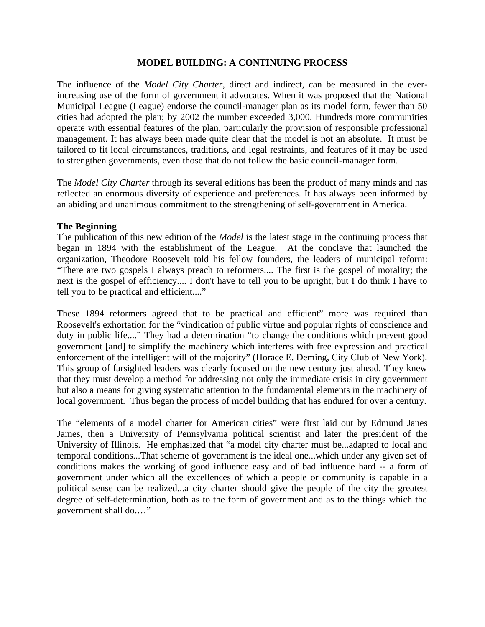#### **MODEL BUILDING: A CONTINUING PROCESS**

The influence of the *Model City Charter*, direct and indirect, can be measured in the everincreasing use of the form of government it advocates. When it was proposed that the National Municipal League (League) endorse the council-manager plan as its model form, fewer than 50 cities had adopted the plan; by 2002 the number exceeded 3,000. Hundreds more communities operate with essential features of the plan, particularly the provision of responsible professional management. It has always been made quite clear that the model is not an absolute. It must be tailored to fit local circumstances, traditions, and legal restraints, and features of it may be used to strengthen governments, even those that do not follow the basic council-manager form.

The *Model City Charter* through its several editions has been the product of many minds and has reflected an enormous diversity of experience and preferences. It has always been informed by an abiding and unanimous commitment to the strengthening of self-government in America.

#### **The Beginning**

The publication of this new edition of the *Model* is the latest stage in the continuing process that began in 1894 with the establishment of the League. At the conclave that launched the organization, Theodore Roosevelt told his fellow founders, the leaders of municipal reform: "There are two gospels I always preach to reformers.... The first is the gospel of morality; the next is the gospel of efficiency.... I don't have to tell you to be upright, but I do think I have to tell you to be practical and efficient...."

These 1894 reformers agreed that to be practical and efficient" more was required than Roosevelt's exhortation for the "vindication of public virtue and popular rights of conscience and duty in public life...." They had a determination "to change the conditions which prevent good government [and] to simplify the machinery which interferes with free expression and practical enforcement of the intelligent will of the majority" (Horace E. Deming, City Club of New York). This group of farsighted leaders was clearly focused on the new century just ahead. They knew that they must develop a method for addressing not only the immediate crisis in city government but also a means for giving systematic attention to the fundamental elements in the machinery of local government. Thus began the process of model building that has endured for over a century.

The "elements of a model charter for American cities" were first laid out by Edmund Janes James, then a University of Pennsylvania political scientist and later the president of the University of Illinois. He emphasized that "a model city charter must be...adapted to local and temporal conditions...That scheme of government is the ideal one...which under any given set of conditions makes the working of good influence easy and of bad influence hard -- a form of government under which all the excellences of which a people or community is capable in a political sense can be realized...a city charter should give the people of the city the greatest degree of self-determination, both as to the form of government and as to the things which the government shall do.…"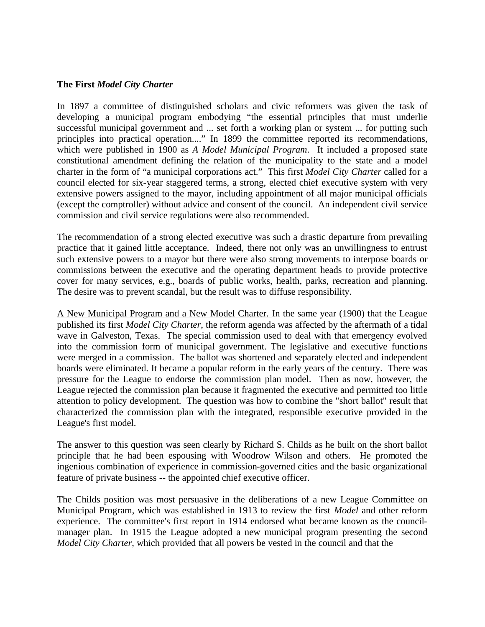#### **The First** *Model City Charter*

In 1897 a committee of distinguished scholars and civic reformers was given the task of developing a municipal program embodying "the essential principles that must underlie successful municipal government and ... set forth a working plan or system ... for putting such principles into practical operation...." In 1899 the committee reported its recommendations, which were published in 1900 as *A Model Municipal Program*. It included a proposed state constitutional amendment defining the relation of the municipality to the state and a model charter in the form of "a municipal corporations act." This first *Model City Charter* called for a council elected for six-year staggered terms, a strong, elected chief executive system with very extensive powers assigned to the mayor, including appointment of all major municipal officials (except the comptroller) without advice and consent of the council. An independent civil service commission and civil service regulations were also recommended.

The recommendation of a strong elected executive was such a drastic departure from prevailing practice that it gained little acceptance. Indeed, there not only was an unwillingness to entrust such extensive powers to a mayor but there were also strong movements to interpose boards or commissions between the executive and the operating department heads to provide protective cover for many services, e.g., boards of public works, health, parks, recreation and planning. The desire was to prevent scandal, but the result was to diffuse responsibility.

A New Municipal Program and a New Model Charter. In the same year (1900) that the League published its first *Model City Charter*, the reform agenda was affected by the aftermath of a tidal wave in Galveston, Texas. The special commission used to deal with that emergency evolved into the commission form of municipal government. The legislative and executive functions were merged in a commission. The ballot was shortened and separately elected and independent boards were eliminated. It became a popular reform in the early years of the century. There was pressure for the League to endorse the commission plan model. Then as now, however, the League rejected the commission plan because it fragmented the executive and permitted too little attention to policy development. The question was how to combine the "short ballot" result that characterized the commission plan with the integrated, responsible executive provided in the League's first model.

The answer to this question was seen clearly by Richard S. Childs as he built on the short ballot principle that he had been espousing with Woodrow Wilson and others. He promoted the ingenious combination of experience in commission-governed cities and the basic organizational feature of private business -- the appointed chief executive officer.

The Childs position was most persuasive in the deliberations of a new League Committee on Municipal Program, which was established in 1913 to review the first *Model* and other reform experience. The committee's first report in 1914 endorsed what became known as the councilmanager plan. In 1915 the League adopted a new municipal program presenting the second *Model City Charter*, which provided that all powers be vested in the council and that the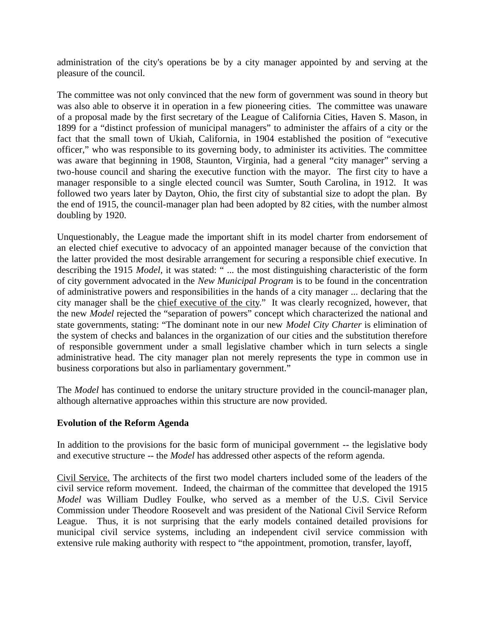administration of the city's operations be by a city manager appointed by and serving at the pleasure of the council.

The committee was not only convinced that the new form of government was sound in theory but was also able to observe it in operation in a few pioneering cities. The committee was unaware of a proposal made by the first secretary of the League of California Cities, Haven S. Mason, in 1899 for a "distinct profession of municipal managers" to administer the affairs of a city or the fact that the small town of Ukiah, California, in 1904 established the position of "executive officer," who was responsible to its governing body, to administer its activities. The committee was aware that beginning in 1908, Staunton, Virginia, had a general "city manager" serving a two-house council and sharing the executive function with the mayor. The first city to have a manager responsible to a single elected council was Sumter, South Carolina, in 1912. It was followed two years later by Dayton, Ohio, the first city of substantial size to adopt the plan. By the end of 1915, the council-manager plan had been adopted by 82 cities, with the number almost doubling by 1920.

Unquestionably, the League made the important shift in its model charter from endorsement of an elected chief executive to advocacy of an appointed manager because of the conviction that the latter provided the most desirable arrangement for securing a responsible chief executive. In describing the 1915 *Model*, it was stated: " ... the most distinguishing characteristic of the form of city government advocated in the *New Municipal Program* is to be found in the concentration of administrative powers and responsibilities in the hands of a city manager ... declaring that the city manager shall be the chief executive of the city." It was clearly recognized, however, that the new *Model* rejected the "separation of powers" concept which characterized the national and state governments, stating: "The dominant note in our new *Model City Charter* is elimination of the system of checks and balances in the organization of our cities and the substitution therefore of responsible government under a small legislative chamber which in turn selects a single administrative head. The city manager plan not merely represents the type in common use in business corporations but also in parliamentary government."

The *Model* has continued to endorse the unitary structure provided in the council-manager plan, although alternative approaches within this structure are now provided.

#### **Evolution of the Reform Agenda**

In addition to the provisions for the basic form of municipal government -- the legislative body and executive structure -- the *Model* has addressed other aspects of the reform agenda.

Civil Service. The architects of the first two model charters included some of the leaders of the civil service reform movement. Indeed, the chairman of the committee that developed the 1915 *Model* was William Dudley Foulke, who served as a member of the U.S. Civil Service Commission under Theodore Roosevelt and was president of the National Civil Service Reform League. Thus, it is not surprising that the early models contained detailed provisions for municipal civil service systems, including an independent civil service commission with extensive rule making authority with respect to "the appointment, promotion, transfer, layoff,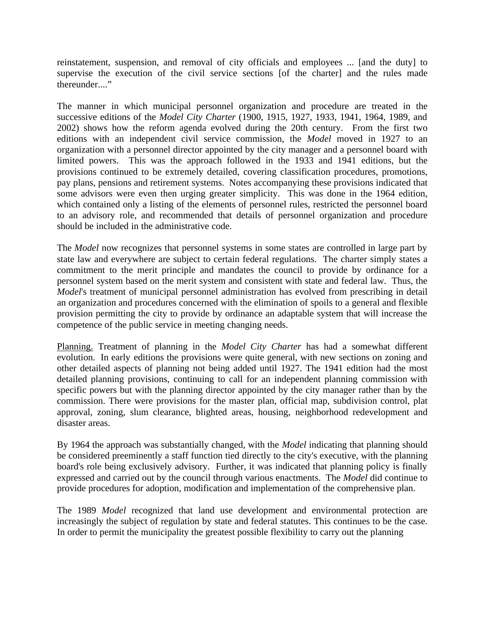reinstatement, suspension, and removal of city officials and employees ... [and the duty] to supervise the execution of the civil service sections [of the charter] and the rules made thereunder...."

The manner in which municipal personnel organization and procedure are treated in the successive editions of the *Model City Charter* (1900, 1915, 1927, 1933, 1941, 1964, 1989, and 2002) shows how the reform agenda evolved during the 20th century. From the first two editions with an independent civil service commission, the *Model* moved in 1927 to an organization with a personnel director appointed by the city manager and a personnel board with limited powers. This was the approach followed in the 1933 and 1941 editions, but the provisions continued to be extremely detailed, covering classification procedures, promotions, pay plans, pensions and retirement systems. Notes accompanying these provisions indicated that some advisors were even then urging greater simplicity. This was done in the 1964 edition, which contained only a listing of the elements of personnel rules, restricted the personnel board to an advisory role, and recommended that details of personnel organization and procedure should be included in the administrative code.

The *Model* now recognizes that personnel systems in some states are controlled in large part by state law and everywhere are subject to certain federal regulations. The charter simply states a commitment to the merit principle and mandates the council to provide by ordinance for a personnel system based on the merit system and consistent with state and federal law. Thus, the *Model*'s treatment of municipal personnel administration has evolved from prescribing in detail an organization and procedures concerned with the elimination of spoils to a general and flexible provision permitting the city to provide by ordinance an adaptable system that will increase the competence of the public service in meeting changing needs.

Planning. Treatment of planning in the *Model City Charter* has had a somewhat different evolution. In early editions the provisions were quite general, with new sections on zoning and other detailed aspects of planning not being added until 1927. The 1941 edition had the most detailed planning provisions, continuing to call for an independent planning commission with specific powers but with the planning director appointed by the city manager rather than by the commission. There were provisions for the master plan, official map, subdivision control, plat approval, zoning, slum clearance, blighted areas, housing, neighborhood redevelopment and disaster areas.

By 1964 the approach was substantially changed, with the *Model* indicating that planning should be considered preeminently a staff function tied directly to the city's executive, with the planning board's role being exclusively advisory. Further, it was indicated that planning policy is finally expressed and carried out by the council through various enactments. The *Model* did continue to provide procedures for adoption, modification and implementation of the comprehensive plan.

The 1989 *Model* recognized that land use development and environmental protection are increasingly the subject of regulation by state and federal statutes. This continues to be the case. In order to permit the municipality the greatest possible flexibility to carry out the planning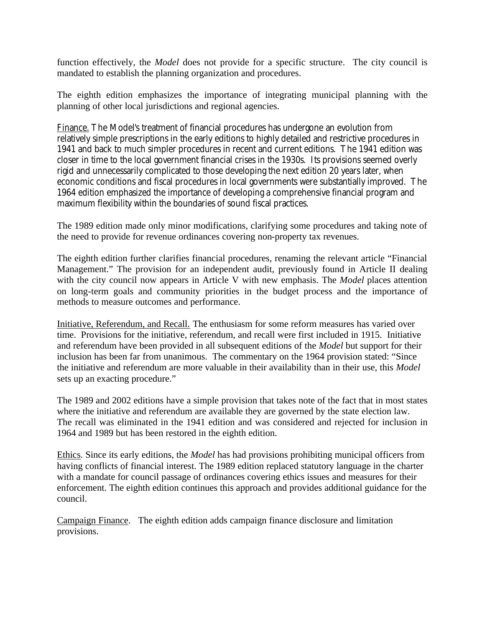function effectively, the *Model* does not provide for a specific structure. The city council is mandated to establish the planning organization and procedures.

The eighth edition emphasizes the importance of integrating municipal planning with the planning of other local jurisdictions and regional agencies.

Finance. The *Model*'s treatment of financial procedures has undergone an evolution from relatively simple prescriptions in the early editions to highly detailed and restrictive procedures in 1941 and back to much simpler procedures in recent and current editions. The 1941 edition was closer in time to the local government financial crises in the 1930s. Its provisions seemed overly rigid and unnecessarily complicated to those developing the next edition 20 years later, when economic conditions and fiscal procedures in local governments were substantially improved. The 1964 edition emphasized the importance of developing a comprehensive financial program and maximum flexibility within the boundaries of sound fiscal practices.

The 1989 edition made only minor modifications, clarifying some procedures and taking note of the need to provide for revenue ordinances covering non-property tax revenues.

The eighth edition further clarifies financial procedures, renaming the relevant article "Financial Management." The provision for an independent audit, previously found in Article II dealing with the city council now appears in Article V with new emphasis. The *Model* places attention on long-term goals and community priorities in the budget process and the importance of methods to measure outcomes and performance.

Initiative, Referendum, and Recall. The enthusiasm for some reform measures has varied over time. Provisions for the initiative, referendum, and recall were first included in 1915. Initiative and referendum have been provided in all subsequent editions of the *Model* but support for their inclusion has been far from unanimous. The commentary on the 1964 provision stated: "Since the initiative and referendum are more valuable in their availability than in their use, this *Model* sets up an exacting procedure."

The 1989 and 2002 editions have a simple provision that takes note of the fact that in most states where the initiative and referendum are available they are governed by the state election law. The recall was eliminated in the 1941 edition and was considered and rejected for inclusion in 1964 and 1989 but has been restored in the eighth edition.

Ethics. Since its early editions, the *Model* has had provisions prohibiting municipal officers from having conflicts of financial interest. The 1989 edition replaced statutory language in the charter with a mandate for council passage of ordinances covering ethics issues and measures for their enforcement. The eighth edition continues this approach and provides additional guidance for the council.

Campaign Finance. The eighth edition adds campaign finance disclosure and limitation provisions.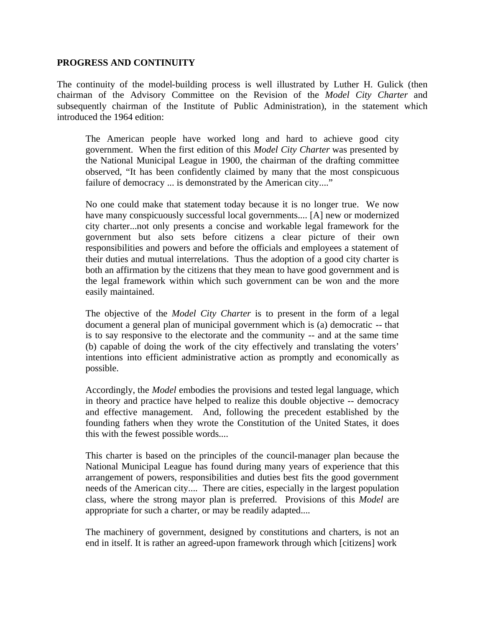#### **PROGRESS AND CONTINUITY**

The continuity of the model-building process is well illustrated by Luther H. Gulick (then chairman of the Advisory Committee on the Revision of the *Model City Charter* and subsequently chairman of the Institute of Public Administration), in the statement which introduced the 1964 edition:

The American people have worked long and hard to achieve good city government. When the first edition of this *Model City Charter* was presented by the National Municipal League in 1900, the chairman of the drafting committee observed, "It has been confidently claimed by many that the most conspicuous failure of democracy ... is demonstrated by the American city...."

No one could make that statement today because it is no longer true. We now have many conspicuously successful local governments.... [A] new or modernized city charter...not only presents a concise and workable legal framework for the government but also sets before citizens a clear picture of their own responsibilities and powers and before the officials and employees a statement of their duties and mutual interrelations. Thus the adoption of a good city charter is both an affirmation by the citizens that they mean to have good government and is the legal framework within which such government can be won and the more easily maintained.

The objective of the *Model City Charter* is to present in the form of a legal document a general plan of municipal government which is (a) democratic -- that is to say responsive to the electorate and the community -- and at the same time (b) capable of doing the work of the city effectively and translating the voters' intentions into efficient administrative action as promptly and economically as possible.

Accordingly, the *Model* embodies the provisions and tested legal language, which in theory and practice have helped to realize this double objective -- democracy and effective management. And, following the precedent established by the founding fathers when they wrote the Constitution of the United States, it does this with the fewest possible words....

This charter is based on the principles of the council-manager plan because the National Municipal League has found during many years of experience that this arrangement of powers, responsibilities and duties best fits the good government needs of the American city.... There are cities, especially in the largest population class, where the strong mayor plan is preferred. Provisions of this *Model* are appropriate for such a charter, or may be readily adapted....

The machinery of government, designed by constitutions and charters, is not an end in itself. It is rather an agreed-upon framework through which [citizens] work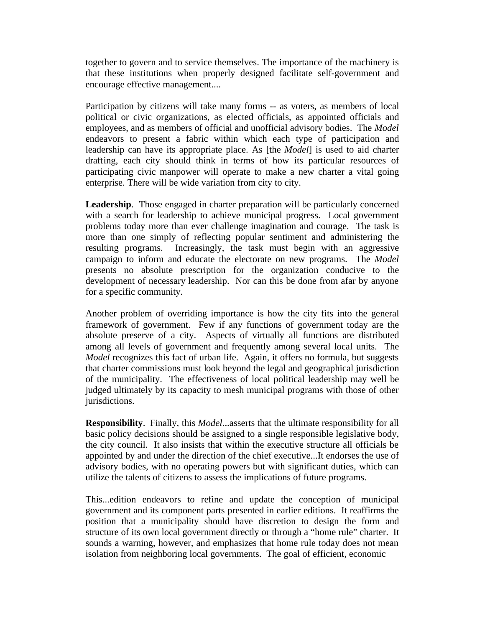together to govern and to service themselves. The importance of the machinery is that these institutions when properly designed facilitate self-government and encourage effective management....

Participation by citizens will take many forms -- as voters, as members of local political or civic organizations, as elected officials, as appointed officials and employees, and as members of official and unofficial advisory bodies. The *Model* endeavors to present a fabric within which each type of participation and leadership can have its appropriate place. As [the *Model*] is used to aid charter drafting, each city should think in terms of how its particular resources of participating civic manpower will operate to make a new charter a vital going enterprise. There will be wide variation from city to city.

**Leadership**. Those engaged in charter preparation will be particularly concerned with a search for leadership to achieve municipal progress. Local government problems today more than ever challenge imagination and courage. The task is more than one simply of reflecting popular sentiment and administering the resulting programs. Increasingly, the task must begin with an aggressive campaign to inform and educate the electorate on new programs. The *Model* presents no absolute prescription for the organization conducive to the development of necessary leadership. Nor can this be done from afar by anyone for a specific community.

Another problem of overriding importance is how the city fits into the general framework of government. Few if any functions of government today are the absolute preserve of a city. Aspects of virtually all functions are distributed among all levels of government and frequently among several local units. The *Model* recognizes this fact of urban life. Again, it offers no formula, but suggests that charter commissions must look beyond the legal and geographical jurisdiction of the municipality. The effectiveness of local political leadership may well be judged ultimately by its capacity to mesh municipal programs with those of other jurisdictions.

**Responsibility**. Finally, this *Model*...asserts that the ultimate responsibility for all basic policy decisions should be assigned to a single responsible legislative body, the city council. It also insists that within the executive structure all officials be appointed by and under the direction of the chief executive...It endorses the use of advisory bodies, with no operating powers but with significant duties, which can utilize the talents of citizens to assess the implications of future programs.

This...edition endeavors to refine and update the conception of municipal government and its component parts presented in earlier editions. It reaffirms the position that a municipality should have discretion to design the form and structure of its own local government directly or through a "home rule" charter. It sounds a warning, however, and emphasizes that home rule today does not mean isolation from neighboring local governments. The goal of efficient, economic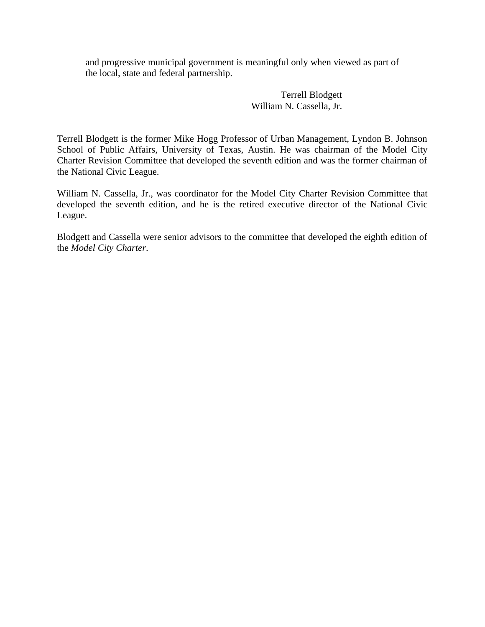and progressive municipal government is meaningful only when viewed as part of the local, state and federal partnership.

> Terrell Blodgett William N. Cassella, Jr.

Terrell Blodgett is the former Mike Hogg Professor of Urban Management, Lyndon B. Johnson School of Public Affairs, University of Texas, Austin. He was chairman of the Model City Charter Revision Committee that developed the seventh edition and was the former chairman of the National Civic League.

William N. Cassella, Jr., was coordinator for the Model City Charter Revision Committee that developed the seventh edition, and he is the retired executive director of the National Civic League.

Blodgett and Cassella were senior advisors to the committee that developed the eighth edition of the *Model City Charter*.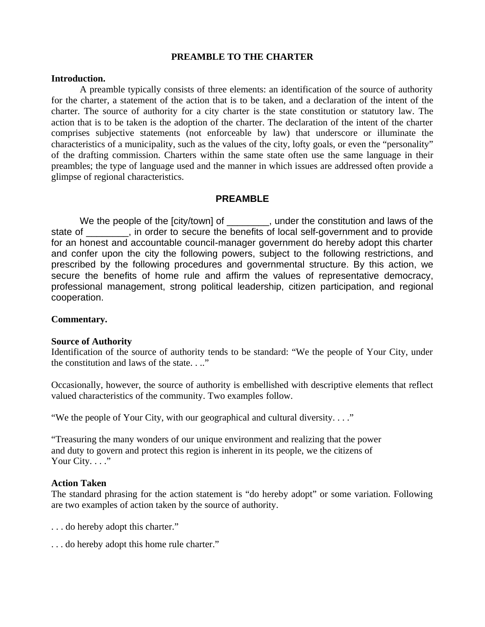#### **PREAMBLE TO THE CHARTER**

#### **Introduction.**

A preamble typically consists of three elements: an identification of the source of authority for the charter, a statement of the action that is to be taken, and a declaration of the intent of the charter. The source of authority for a city charter is the state constitution or statutory law. The action that is to be taken is the adoption of the charter. The declaration of the intent of the charter comprises subjective statements (not enforceable by law) that underscore or illuminate the characteristics of a municipality, such as the values of the city, lofty goals, or even the "personality" of the drafting commission. Charters within the same state often use the same language in their preambles; the type of language used and the manner in which issues are addressed often provide a glimpse of regional characteristics.

#### **PREAMBLE**

We the people of the [city/town] of \_\_\_\_\_\_\_, under the constitution and laws of the state of  $\Box$ , in order to secure the benefits of local self-government and to provide for an honest and accountable council-manager government do hereby adopt this charter and confer upon the city the following powers, subject to the following restrictions, and prescribed by the following procedures and governmental structure. By this action, we secure the benefits of home rule and affirm the values of representative democracy, professional management, strong political leadership, citizen participation, and regional cooperation.

#### **Commentary.**

#### **Source of Authority**

Identification of the source of authority tends to be standard: "We the people of Your City, under the constitution and laws of the state. . .."

Occasionally, however, the source of authority is embellished with descriptive elements that reflect valued characteristics of the community. Two examples follow.

"We the people of Your City, with our geographical and cultural diversity. . . ."

"Treasuring the many wonders of our unique environment and realizing that the power and duty to govern and protect this region is inherent in its people, we the citizens of Your City. . . ."

#### **Action Taken**

The standard phrasing for the action statement is "do hereby adopt" or some variation. Following are two examples of action taken by the source of authority.

- . . . do hereby adopt this charter."
- . . . do hereby adopt this home rule charter."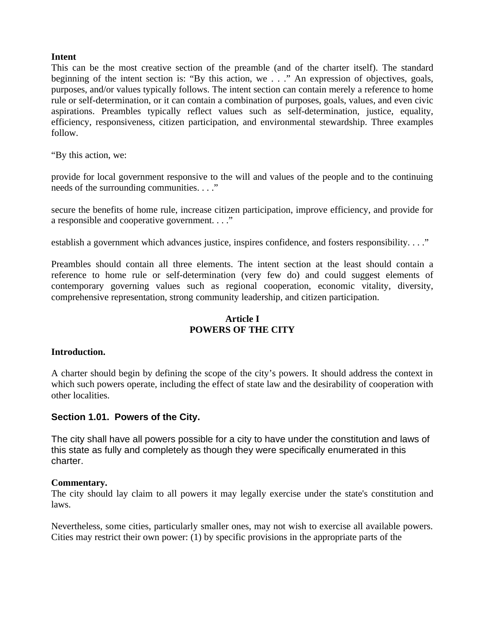#### **Intent**

This can be the most creative section of the preamble (and of the charter itself). The standard beginning of the intent section is: "By this action, we . . ." An expression of objectives, goals, purposes, and/or values typically follows. The intent section can contain merely a reference to home rule or self-determination, or it can contain a combination of purposes, goals, values, and even civic aspirations. Preambles typically reflect values such as self-determination, justice, equality, efficiency, responsiveness, citizen participation, and environmental stewardship. Three examples follow.

"By this action, we:

provide for local government responsive to the will and values of the people and to the continuing needs of the surrounding communities. . . ."

secure the benefits of home rule, increase citizen participation, improve efficiency, and provide for a responsible and cooperative government. . . ."

establish a government which advances justice, inspires confidence, and fosters responsibility. . . ."

Preambles should contain all three elements. The intent section at the least should contain a reference to home rule or self-determination (very few do) and could suggest elements of contemporary governing values such as regional cooperation, economic vitality, diversity, comprehensive representation, strong community leadership, and citizen participation.

#### **Article I POWERS OF THE CITY**

#### **Introduction.**

A charter should begin by defining the scope of the city's powers. It should address the context in which such powers operate, including the effect of state law and the desirability of cooperation with other localities.

# **Section 1.01. Powers of the City.**

The city shall have all powers possible for a city to have under the constitution and laws of this state as fully and completely as though they were specifically enumerated in this charter.

#### **Commentary.**

The city should lay claim to all powers it may legally exercise under the state's constitution and laws.

Nevertheless, some cities, particularly smaller ones, may not wish to exercise all available powers. Cities may restrict their own power: (1) by specific provisions in the appropriate parts of the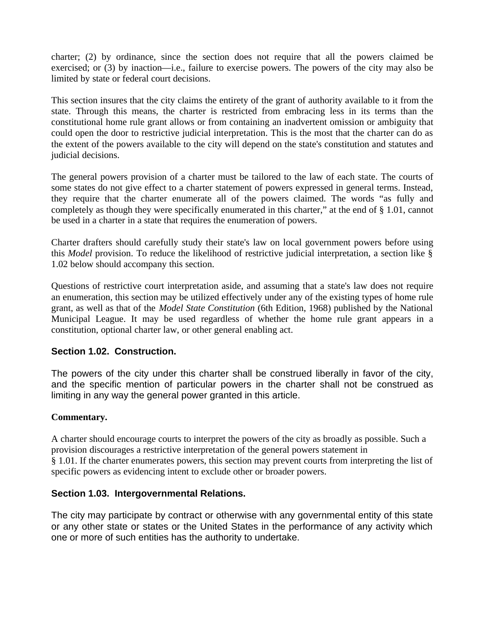charter; (2) by ordinance, since the section does not require that all the powers claimed be exercised; or (3) by inaction—i.e., failure to exercise powers. The powers of the city may also be limited by state or federal court decisions.

This section insures that the city claims the entirety of the grant of authority available to it from the state. Through this means, the charter is restricted from embracing less in its terms than the constitutional home rule grant allows or from containing an inadvertent omission or ambiguity that could open the door to restrictive judicial interpretation. This is the most that the charter can do as the extent of the powers available to the city will depend on the state's constitution and statutes and judicial decisions.

The general powers provision of a charter must be tailored to the law of each state. The courts of some states do not give effect to a charter statement of powers expressed in general terms. Instead, they require that the charter enumerate all of the powers claimed. The words "as fully and completely as though they were specifically enumerated in this charter," at the end of § 1.01, cannot be used in a charter in a state that requires the enumeration of powers.

Charter drafters should carefully study their state's law on local government powers before using this *Model* provision. To reduce the likelihood of restrictive judicial interpretation, a section like § 1.02 below should accompany this section.

Questions of restrictive court interpretation aside, and assuming that a state's law does not require an enumeration, this section may be utilized effectively under any of the existing types of home rule grant, as well as that of the *Model State Constitution* (6th Edition, 1968) published by the National Municipal League. It may be used regardless of whether the home rule grant appears in a constitution, optional charter law, or other general enabling act.

# **Section 1.02. Construction.**

The powers of the city under this charter shall be construed liberally in favor of the city, and the specific mention of particular powers in the charter shall not be construed as limiting in any way the general power granted in this article.

#### **Commentary.**

A charter should encourage courts to interpret the powers of the city as broadly as possible. Such a provision discourages a restrictive interpretation of the general powers statement in § 1.01. If the charter enumerates powers, this section may prevent courts from interpreting the list of specific powers as evidencing intent to exclude other or broader powers.

# **Section 1.03. Intergovernmental Relations.**

The city may participate by contract or otherwise with any governmental entity of this state or any other state or states or the United States in the performance of any activity which one or more of such entities has the authority to undertake.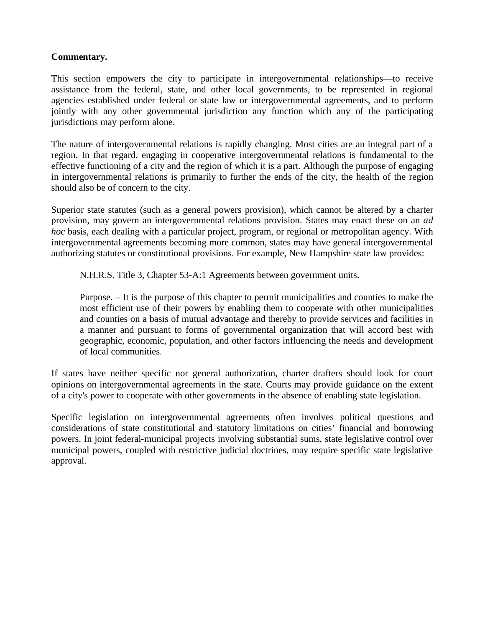### **Commentary.**

This section empowers the city to participate in intergovernmental relationships—to receive assistance from the federal, state, and other local governments, to be represented in regional agencies established under federal or state law or intergovernmental agreements, and to perform jointly with any other governmental jurisdiction any function which any of the participating jurisdictions may perform alone.

The nature of intergovernmental relations is rapidly changing. Most cities are an integral part of a region. In that regard, engaging in cooperative intergovernmental relations is fundamental to the effective functioning of a city and the region of which it is a part. Although the purpose of engaging in intergovernmental relations is primarily to further the ends of the city, the health of the region should also be of concern to the city.

Superior state statutes (such as a general powers provision), which cannot be altered by a charter provision, may govern an intergovernmental relations provision. States may enact these on an *ad hoc* basis, each dealing with a particular project, program, or regional or metropolitan agency. With intergovernmental agreements becoming more common, states may have general intergovernmental authorizing statutes or constitutional provisions. For example, New Hampshire state law provides:

N.H.R.S. Title 3, Chapter 53-A:1 Agreements between government units.

Purpose. – It is the purpose of this chapter to permit municipalities and counties to make the most efficient use of their powers by enabling them to cooperate with other municipalities and counties on a basis of mutual advantage and thereby to provide services and facilities in a manner and pursuant to forms of governmental organization that will accord best with geographic, economic, population, and other factors influencing the needs and development of local communities.

If states have neither specific nor general authorization, charter drafters should look for court opinions on intergovernmental agreements in the state. Courts may provide guidance on the extent of a city's power to cooperate with other governments in the absence of enabling state legislation.

Specific legislation on intergovernmental agreements often involves political questions and considerations of state constitutional and statutory limitations on cities' financial and borrowing powers. In joint federal-municipal projects involving substantial sums, state legislative control over municipal powers, coupled with restrictive judicial doctrines, may require specific state legislative approval.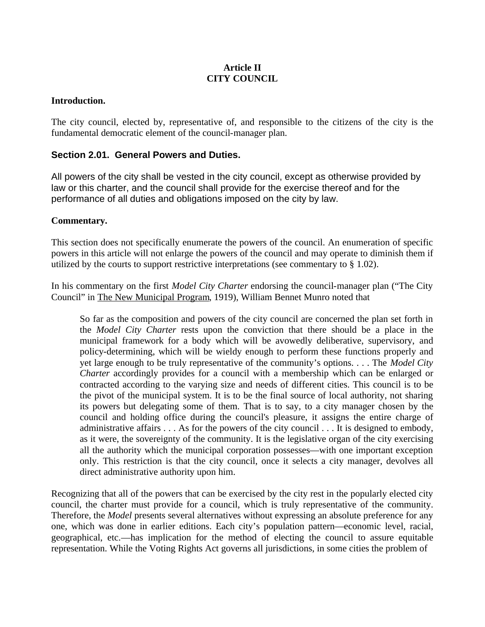# **Article II CITY COUNCIL**

#### **Introduction.**

The city council, elected by, representative of, and responsible to the citizens of the city is the fundamental democratic element of the council-manager plan.

#### **Section 2.01. General Powers and Duties.**

All powers of the city shall be vested in the city council, except as otherwise provided by law or this charter, and the council shall provide for the exercise thereof and for the performance of all duties and obligations imposed on the city by law.

#### **Commentary.**

This section does not specifically enumerate the powers of the council. An enumeration of specific powers in this article will not enlarge the powers of the council and may operate to diminish them if utilized by the courts to support restrictive interpretations (see commentary to § 1.02).

In his commentary on the first *Model City Charter* endorsing the council-manager plan ("The City Council" in The New Municipal Program, 1919), William Bennet Munro noted that

So far as the composition and powers of the city council are concerned the plan set forth in the *Model City Charter* rests upon the conviction that there should be a place in the municipal framework for a body which will be avowedly deliberative, supervisory, and policy-determining, which will be wieldy enough to perform these functions properly and yet large enough to be truly representative of the community's options. . . . The *Model City Charter* accordingly provides for a council with a membership which can be enlarged or contracted according to the varying size and needs of different cities. This council is to be the pivot of the municipal system. It is to be the final source of local authority, not sharing its powers but delegating some of them. That is to say, to a city manager chosen by the council and holding office during the council's pleasure, it assigns the entire charge of administrative affairs . . . As for the powers of the city council . . . It is designed to embody, as it were, the sovereignty of the community. It is the legislative organ of the city exercising all the authority which the municipal corporation possesses—with one important exception only. This restriction is that the city council, once it selects a city manager, devolves all direct administrative authority upon him.

Recognizing that all of the powers that can be exercised by the city rest in the popularly elected city council, the charter must provide for a council, which is truly representative of the community. Therefore, the *Model* presents several alternatives without expressing an absolute preference for any one, which was done in earlier editions. Each city's population pattern—economic level, racial, geographical, etc.—has implication for the method of electing the council to assure equitable representation. While the Voting Rights Act governs all jurisdictions, in some cities the problem of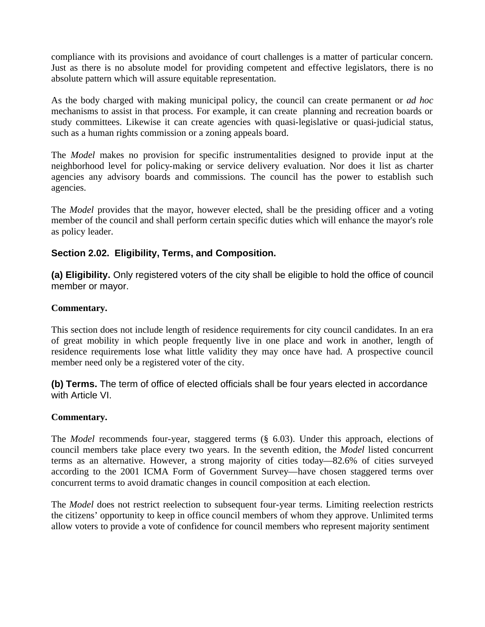compliance with its provisions and avoidance of court challenges is a matter of particular concern. Just as there is no absolute model for providing competent and effective legislators, there is no absolute pattern which will assure equitable representation.

As the body charged with making municipal policy, the council can create permanent or *ad hoc* mechanisms to assist in that process. For example, it can create planning and recreation boards or study committees. Likewise it can create agencies with quasi-legislative or quasi-judicial status, such as a human rights commission or a zoning appeals board.

The *Model* makes no provision for specific instrumentalities designed to provide input at the neighborhood level for policy-making or service delivery evaluation. Nor does it list as charter agencies any advisory boards and commissions. The council has the power to establish such agencies.

The *Model* provides that the mayor, however elected, shall be the presiding officer and a voting member of the council and shall perform certain specific duties which will enhance the mayor's role as policy leader.

# **Section 2.02. Eligibility, Terms, and Composition.**

**(a) Eligibility.** Only registered voters of the city shall be eligible to hold the office of council member or mayor.

#### **Commentary.**

This section does not include length of residence requirements for city council candidates. In an era of great mobility in which people frequently live in one place and work in another, length of residence requirements lose what little validity they may once have had. A prospective council member need only be a registered voter of the city.

**(b) Terms.** The term of office of elected officials shall be four years elected in accordance with Article VI.

#### **Commentary.**

The *Model* recommends four-year, staggered terms (§ 6.03). Under this approach, elections of council members take place every two years. In the seventh edition, the *Model* listed concurrent terms as an alternative. However, a strong majority of cities today—82.6% of cities surveyed according to the 2001 ICMA Form of Government Survey—have chosen staggered terms over concurrent terms to avoid dramatic changes in council composition at each election.

The *Model* does not restrict reelection to subsequent four-year terms. Limiting reelection restricts the citizens' opportunity to keep in office council members of whom they approve. Unlimited terms allow voters to provide a vote of confidence for council members who represent majority sentiment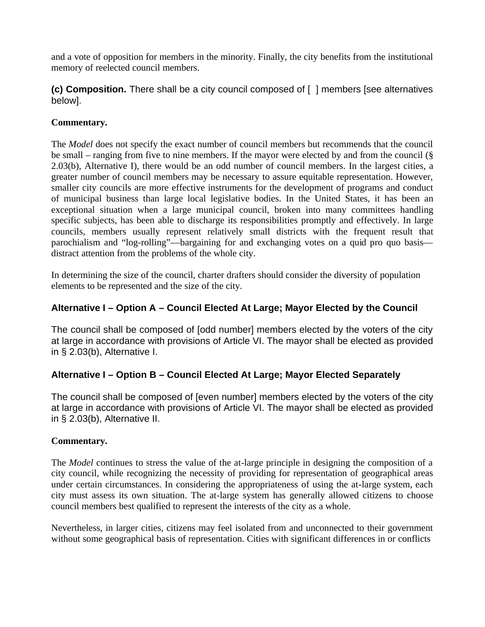and a vote of opposition for members in the minority. Finally, the city benefits from the institutional memory of reelected council members.

**(c) Composition.** There shall be a city council composed of [ ] members [see alternatives below].

# **Commentary.**

The *Model* does not specify the exact number of council members but recommends that the council be small – ranging from five to nine members. If the mayor were elected by and from the council (§ 2.03(b), Alternative I), there would be an odd number of council members. In the largest cities, a greater number of council members may be necessary to assure equitable representation. However, smaller city councils are more effective instruments for the development of programs and conduct of municipal business than large local legislative bodies. In the United States, it has been an exceptional situation when a large municipal council, broken into many committees handling specific subjects, has been able to discharge its responsibilities promptly and effectively. In large councils, members usually represent relatively small districts with the frequent result that parochialism and "log-rolling"—bargaining for and exchanging votes on a quid pro quo basis distract attention from the problems of the whole city.

In determining the size of the council, charter drafters should consider the diversity of population elements to be represented and the size of the city.

# **Alternative I – Option A – Council Elected At Large; Mayor Elected by the Council**

The council shall be composed of [odd number] members elected by the voters of the city at large in accordance with provisions of Article VI. The mayor shall be elected as provided in § 2.03(b), Alternative I.

# **Alternative I – Option B – Council Elected At Large; Mayor Elected Separately**

The council shall be composed of [even number] members elected by the voters of the city at large in accordance with provisions of Article VI. The mayor shall be elected as provided in § 2.03(b), Alternative II.

# **Commentary.**

The *Model* continues to stress the value of the at-large principle in designing the composition of a city council, while recognizing the necessity of providing for representation of geographical areas under certain circumstances. In considering the appropriateness of using the at-large system, each city must assess its own situation. The at-large system has generally allowed citizens to choose council members best qualified to represent the interests of the city as a whole.

Nevertheless, in larger cities, citizens may feel isolated from and unconnected to their government without some geographical basis of representation. Cities with significant differences in or conflicts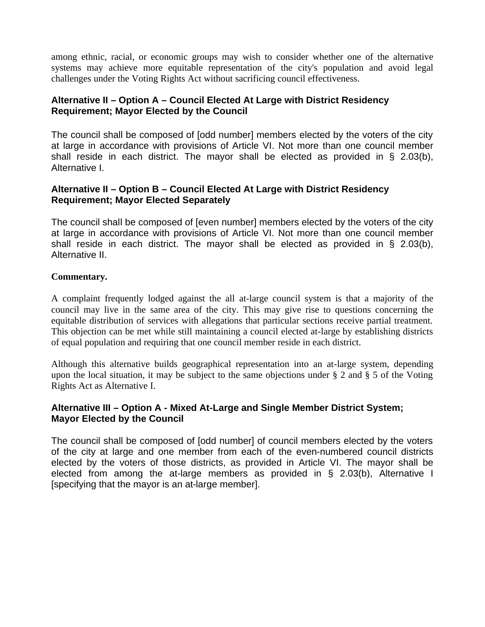among ethnic, racial, or economic groups may wish to consider whether one of the alternative systems may achieve more equitable representation of the city's population and avoid legal challenges under the Voting Rights Act without sacrificing council effectiveness.

# **Alternative II – Option A – Council Elected At Large with District Residency Requirement; Mayor Elected by the Council**

The council shall be composed of [odd number] members elected by the voters of the city at large in accordance with provisions of Article VI. Not more than one council member shall reside in each district. The mayor shall be elected as provided in § 2.03(b), Alternative I.

# **Alternative II – Option B – Council Elected At Large with District Residency Requirement; Mayor Elected Separately**

The council shall be composed of [even number] members elected by the voters of the city at large in accordance with provisions of Article VI. Not more than one council member shall reside in each district. The mayor shall be elected as provided in § 2.03(b), Alternative II.

# **Commentary.**

A complaint frequently lodged against the all at-large council system is that a majority of the council may live in the same area of the city. This may give rise to questions concerning the equitable distribution of services with allegations that particular sections receive partial treatment. This objection can be met while still maintaining a council elected at-large by establishing districts of equal population and requiring that one council member reside in each district.

Although this alternative builds geographical representation into an at-large system, depending upon the local situation, it may be subject to the same objections under § 2 and § 5 of the Voting Rights Act as Alternative I.

# **Alternative III – Option A - Mixed At-Large and Single Member District System; Mayor Elected by the Council**

The council shall be composed of [odd number] of council members elected by the voters of the city at large and one member from each of the even-numbered council districts elected by the voters of those districts, as provided in Article VI. The mayor shall be elected from among the at-large members as provided in § 2.03(b), Alternative I [specifying that the mayor is an at-large member].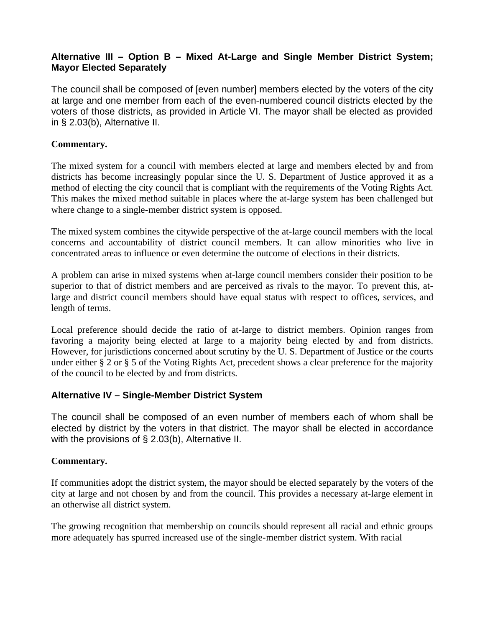# **Alternative III – Option B – Mixed At-Large and Single Member District System; Mayor Elected Separately**

The council shall be composed of [even number] members elected by the voters of the city at large and one member from each of the even-numbered council districts elected by the voters of those districts, as provided in Article VI. The mayor shall be elected as provided in § 2.03(b), Alternative II.

### **Commentary.**

The mixed system for a council with members elected at large and members elected by and from districts has become increasingly popular since the U. S. Department of Justice approved it as a method of electing the city council that is compliant with the requirements of the Voting Rights Act. This makes the mixed method suitable in places where the at-large system has been challenged but where change to a single-member district system is opposed.

The mixed system combines the citywide perspective of the at-large council members with the local concerns and accountability of district council members. It can allow minorities who live in concentrated areas to influence or even determine the outcome of elections in their districts.

A problem can arise in mixed systems when at-large council members consider their position to be superior to that of district members and are perceived as rivals to the mayor. To prevent this, atlarge and district council members should have equal status with respect to offices, services, and length of terms.

Local preference should decide the ratio of at-large to district members. Opinion ranges from favoring a majority being elected at large to a majority being elected by and from districts. However, for jurisdictions concerned about scrutiny by the U. S. Department of Justice or the courts under either § 2 or § 5 of the Voting Rights Act, precedent shows a clear preference for the majority of the council to be elected by and from districts.

# **Alternative IV – Single-Member District System**

The council shall be composed of an even number of members each of whom shall be elected by district by the voters in that district. The mayor shall be elected in accordance with the provisions of § 2.03(b), Alternative II.

# **Commentary.**

If communities adopt the district system, the mayor should be elected separately by the voters of the city at large and not chosen by and from the council. This provides a necessary at-large element in an otherwise all district system.

The growing recognition that membership on councils should represent all racial and ethnic groups more adequately has spurred increased use of the single-member district system. With racial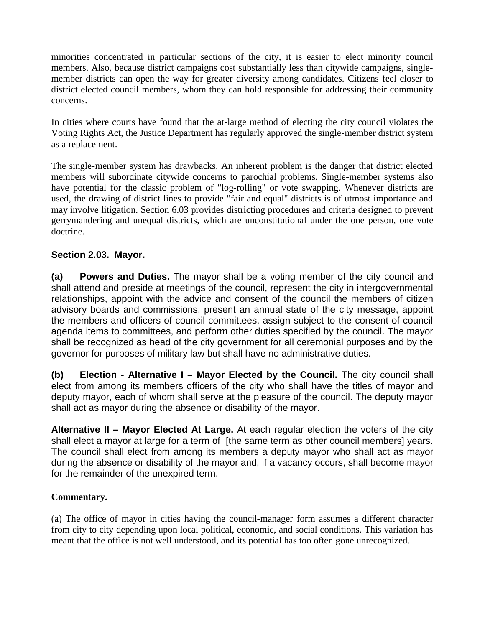minorities concentrated in particular sections of the city, it is easier to elect minority council members. Also, because district campaigns cost substantially less than citywide campaigns, singlemember districts can open the way for greater diversity among candidates. Citizens feel closer to district elected council members, whom they can hold responsible for addressing their community concerns.

In cities where courts have found that the at-large method of electing the city council violates the Voting Rights Act, the Justice Department has regularly approved the single-member district system as a replacement.

The single-member system has drawbacks. An inherent problem is the danger that district elected members will subordinate citywide concerns to parochial problems. Single-member systems also have potential for the classic problem of "log-rolling" or vote swapping. Whenever districts are used, the drawing of district lines to provide "fair and equal" districts is of utmost importance and may involve litigation. Section 6.03 provides districting procedures and criteria designed to prevent gerrymandering and unequal districts, which are unconstitutional under the one person, one vote doctrine.

# **Section 2.03. Mayor.**

**(a) Powers and Duties.** The mayor shall be a voting member of the city council and shall attend and preside at meetings of the council, represent the city in intergovernmental relationships, appoint with the advice and consent of the council the members of citizen advisory boards and commissions, present an annual state of the city message, appoint the members and officers of council committees, assign subject to the consent of council agenda items to committees, and perform other duties specified by the council. The mayor shall be recognized as head of the city government for all ceremonial purposes and by the governor for purposes of military law but shall have no administrative duties.

**(b) Election - Alternative I – Mayor Elected by the Council.** The city council shall elect from among its members officers of the city who shall have the titles of mayor and deputy mayor, each of whom shall serve at the pleasure of the council. The deputy mayor shall act as mayor during the absence or disability of the mayor.

**Alternative II – Mayor Elected At Large.** At each regular election the voters of the city shall elect a mayor at large for a term of [the same term as other council members] years. The council shall elect from among its members a deputy mayor who shall act as mayor during the absence or disability of the mayor and, if a vacancy occurs, shall become mayor for the remainder of the unexpired term.

# **Commentary.**

(a) The office of mayor in cities having the council-manager form assumes a different character from city to city depending upon local political, economic, and social conditions. This variation has meant that the office is not well understood, and its potential has too often gone unrecognized.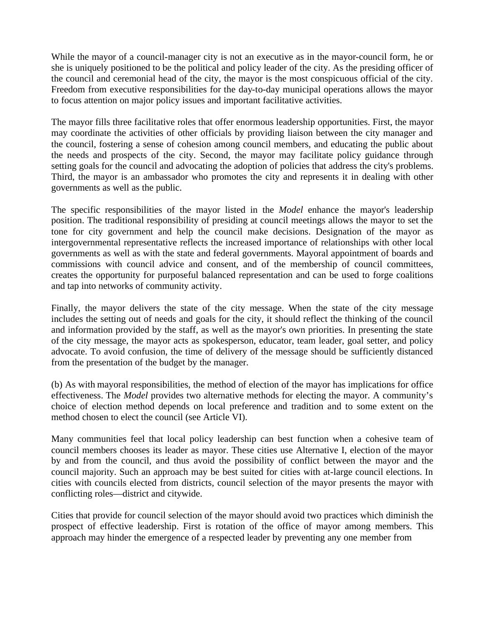While the mayor of a council-manager city is not an executive as in the mayor-council form, he or she is uniquely positioned to be the political and policy leader of the city. As the presiding officer of the council and ceremonial head of the city, the mayor is the most conspicuous official of the city. Freedom from executive responsibilities for the day-to-day municipal operations allows the mayor to focus attention on major policy issues and important facilitative activities.

The mayor fills three facilitative roles that offer enormous leadership opportunities. First, the mayor may coordinate the activities of other officials by providing liaison between the city manager and the council, fostering a sense of cohesion among council members, and educating the public about the needs and prospects of the city. Second, the mayor may facilitate policy guidance through setting goals for the council and advocating the adoption of policies that address the city's problems. Third, the mayor is an ambassador who promotes the city and represents it in dealing with other governments as well as the public.

The specific responsibilities of the mayor listed in the *Model* enhance the mayor's leadership position. The traditional responsibility of presiding at council meetings allows the mayor to set the tone for city government and help the council make decisions. Designation of the mayor as intergovernmental representative reflects the increased importance of relationships with other local governments as well as with the state and federal governments. Mayoral appointment of boards and commissions with council advice and consent, and of the membership of council committees, creates the opportunity for purposeful balanced representation and can be used to forge coalitions and tap into networks of community activity.

Finally, the mayor delivers the state of the city message. When the state of the city message includes the setting out of needs and goals for the city, it should reflect the thinking of the council and information provided by the staff, as well as the mayor's own priorities. In presenting the state of the city message, the mayor acts as spokesperson, educator, team leader, goal setter, and policy advocate. To avoid confusion, the time of delivery of the message should be sufficiently distanced from the presentation of the budget by the manager.

(b) As with mayoral responsibilities, the method of election of the mayor has implications for office effectiveness. The *Model* provides two alternative methods for electing the mayor. A community's choice of election method depends on local preference and tradition and to some extent on the method chosen to elect the council (see Article VI).

Many communities feel that local policy leadership can best function when a cohesive team of council members chooses its leader as mayor. These cities use Alternative I, election of the mayor by and from the council, and thus avoid the possibility of conflict between the mayor and the council majority. Such an approach may be best suited for cities with at-large council elections. In cities with councils elected from districts, council selection of the mayor presents the mayor with conflicting roles—district and citywide.

Cities that provide for council selection of the mayor should avoid two practices which diminish the prospect of effective leadership. First is rotation of the office of mayor among members. This approach may hinder the emergence of a respected leader by preventing any one member from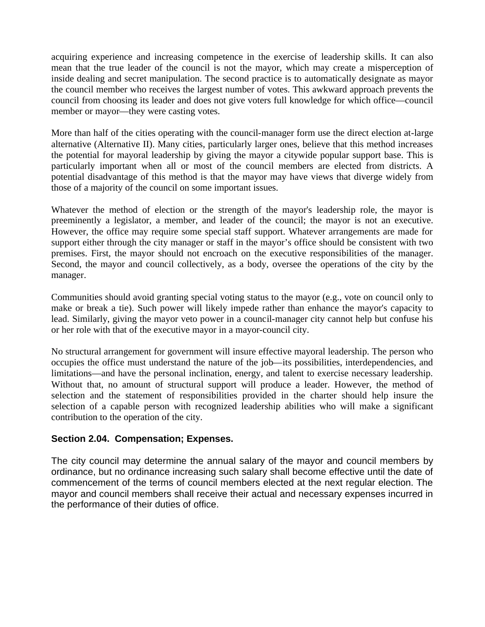acquiring experience and increasing competence in the exercise of leadership skills. It can also mean that the true leader of the council is not the mayor, which may create a misperception of inside dealing and secret manipulation. The second practice is to automatically designate as mayor the council member who receives the largest number of votes. This awkward approach prevents the council from choosing its leader and does not give voters full knowledge for which office—council member or mayor—they were casting votes.

More than half of the cities operating with the council-manager form use the direct election at-large alternative (Alternative II). Many cities, particularly larger ones, believe that this method increases the potential for mayoral leadership by giving the mayor a citywide popular support base. This is particularly important when all or most of the council members are elected from districts. A potential disadvantage of this method is that the mayor may have views that diverge widely from those of a majority of the council on some important issues.

Whatever the method of election or the strength of the mayor's leadership role, the mayor is preeminently a legislator, a member, and leader of the council; the mayor is not an executive. However, the office may require some special staff support. Whatever arrangements are made for support either through the city manager or staff in the mayor's office should be consistent with two premises. First, the mayor should not encroach on the executive responsibilities of the manager. Second, the mayor and council collectively, as a body, oversee the operations of the city by the manager.

Communities should avoid granting special voting status to the mayor (e.g., vote on council only to make or break a tie). Such power will likely impede rather than enhance the mayor's capacity to lead. Similarly, giving the mayor veto power in a council-manager city cannot help but confuse his or her role with that of the executive mayor in a mayor-council city.

No structural arrangement for government will insure effective mayoral leadership. The person who occupies the office must understand the nature of the job—its possibilities, interdependencies, and limitations—and have the personal inclination, energy, and talent to exercise necessary leadership. Without that, no amount of structural support will produce a leader. However, the method of selection and the statement of responsibilities provided in the charter should help insure the selection of a capable person with recognized leadership abilities who will make a significant contribution to the operation of the city.

#### **Section 2.04. Compensation; Expenses.**

The city council may determine the annual salary of the mayor and council members by ordinance, but no ordinance increasing such salary shall become effective until the date of commencement of the terms of council members elected at the next regular election. The mayor and council members shall receive their actual and necessary expenses incurred in the performance of their duties of office.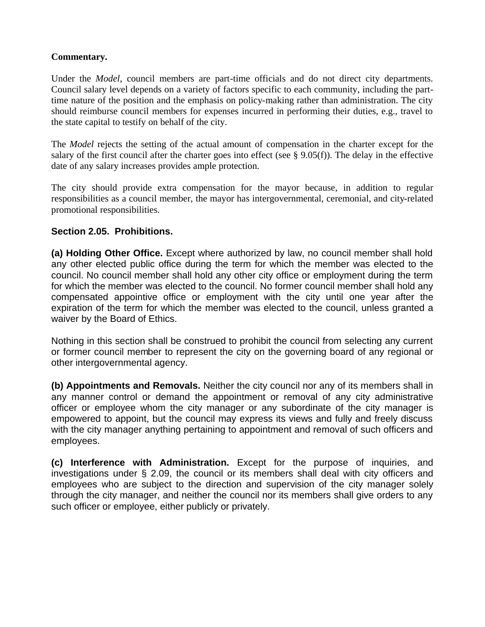### **Commentary.**

Under the *Model*, council members are part-time officials and do not direct city departments. Council salary level depends on a variety of factors specific to each community, including the parttime nature of the position and the emphasis on policy-making rather than administration. The city should reimburse council members for expenses incurred in performing their duties, e.g., travel to the state capital to testify on behalf of the city.

The *Model* rejects the setting of the actual amount of compensation in the charter except for the salary of the first council after the charter goes into effect (see  $\S$  9.05(f)). The delay in the effective date of any salary increases provides ample protection.

The city should provide extra compensation for the mayor because, in addition to regular responsibilities as a council member, the mayor has intergovernmental, ceremonial, and city-related promotional responsibilities.

# **Section 2.05. Prohibitions.**

**(a) Holding Other Office.** Except where authorized by law, no council member shall hold any other elected public office during the term for which the member was elected to the council. No council member shall hold any other city office or employment during the term for which the member was elected to the council. No former council member shall hold any compensated appointive office or employment with the city until one year after the expiration of the term for which the member was elected to the council, unless granted a waiver by the Board of Ethics.

Nothing in this section shall be construed to prohibit the council from selecting any current or former council member to represent the city on the governing board of any regional or other intergovernmental agency.

**(b) Appointments and Removals.** Neither the city council nor any of its members shall in any manner control or demand the appointment or removal of any city administrative officer or employee whom the city manager or any subordinate of the city manager is empowered to appoint, but the council may express its views and fully and freely discuss with the city manager anything pertaining to appointment and removal of such officers and employees.

**(c) Interference with Administration.** Except for the purpose of inquiries, and investigations under § 2.09, the council or its members shall deal with city officers and employees who are subject to the direction and supervision of the city manager solely through the city manager, and neither the council nor its members shall give orders to any such officer or employee, either publicly or privately.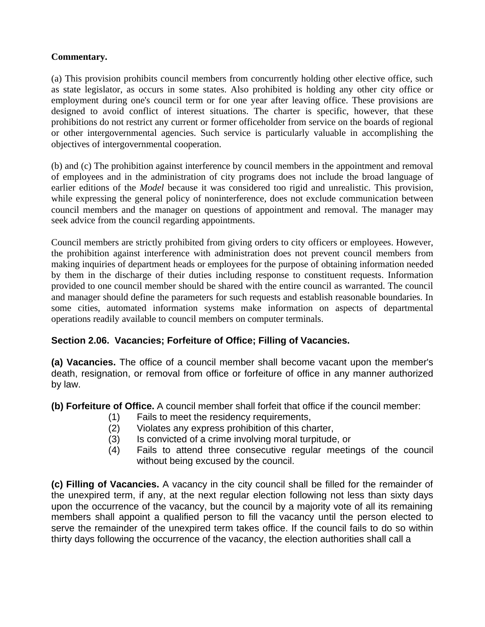# **Commentary.**

(a) This provision prohibits council members from concurrently holding other elective office, such as state legislator, as occurs in some states. Also prohibited is holding any other city office or employment during one's council term or for one year after leaving office. These provisions are designed to avoid conflict of interest situations. The charter is specific, however, that these prohibitions do not restrict any current or former officeholder from service on the boards of regional or other intergovernmental agencies. Such service is particularly valuable in accomplishing the objectives of intergovernmental cooperation.

(b) and (c) The prohibition against interference by council members in the appointment and removal of employees and in the administration of city programs does not include the broad language of earlier editions of the *Model* because it was considered too rigid and unrealistic. This provision, while expressing the general policy of noninterference, does not exclude communication between council members and the manager on questions of appointment and removal. The manager may seek advice from the council regarding appointments.

Council members are strictly prohibited from giving orders to city officers or employees. However, the prohibition against interference with administration does not prevent council members from making inquiries of department heads or employees for the purpose of obtaining information needed by them in the discharge of their duties including response to constituent requests. Information provided to one council member should be shared with the entire council as warranted. The council and manager should define the parameters for such requests and establish reasonable boundaries. In some cities, automated information systems make information on aspects of departmental operations readily available to council members on computer terminals.

# **Section 2.06. Vacancies; Forfeiture of Office; Filling of Vacancies.**

**(a) Vacancies.** The office of a council member shall become vacant upon the member's death, resignation, or removal from office or forfeiture of office in any manner authorized by law.

**(b) Forfeiture of Office.** A council member shall forfeit that office if the council member:

- (1) Fails to meet the residency requirements,
- (2) Violates any express prohibition of this charter,
- (3) Is convicted of a crime involving moral turpitude, or
- (4) Fails to attend three consecutive regular meetings of the council without being excused by the council.

**(c) Filling of Vacancies.** A vacancy in the city council shall be filled for the remainder of the unexpired term, if any, at the next regular election following not less than sixty days upon the occurrence of the vacancy, but the council by a majority vote of all its remaining members shall appoint a qualified person to fill the vacancy until the person elected to serve the remainder of the unexpired term takes office. If the council fails to do so within thirty days following the occurrence of the vacancy, the election authorities shall call a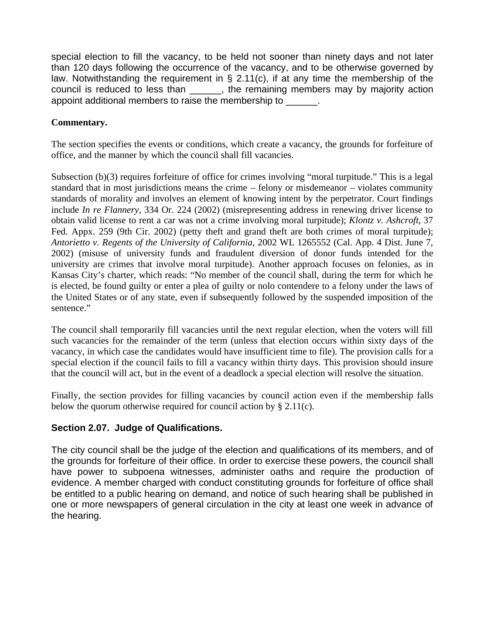special election to fill the vacancy, to be held not sooner than ninety days and not later than 120 days following the occurrence of the vacancy, and to be otherwise governed by law. Notwithstanding the requirement in  $\S$  2.11(c), if at any time the membership of the council is reduced to less than \_\_\_\_\_\_, the remaining members may by majority action appoint additional members to raise the membership to \_\_\_\_\_\_.

# **Commentary.**

The section specifies the events or conditions, which create a vacancy, the grounds for forfeiture of office, and the manner by which the council shall fill vacancies.

Subsection (b)(3) requires forfeiture of office for crimes involving "moral turpitude." This is a legal standard that in most jurisdictions means the crime – felony or misdemeanor – violates community standards of morality and involves an element of knowing intent by the perpetrator. Court findings include *In re Flannery*, 334 Or. 224 (2002) (misrepresenting address in renewing driver license to obtain valid license to rent a car was not a crime involving moral turpitude); *Klontz v. Ashcroft*, 37 Fed. Appx. 259 (9th Cir. 2002) (petty theft and grand theft are both crimes of moral turpitude); *Antorietto v. Regents of the University of California*, 2002 WL 1265552 (Cal. App. 4 Dist. June 7, 2002) (misuse of university funds and fraudulent diversion of donor funds intended for the university are crimes that involve moral turpitude). Another approach focuses on felonies, as in Kansas City's charter, which reads: "No member of the council shall, during the term for which he is elected, be found guilty or enter a plea of guilty or nolo contendere to a felony under the laws of the United States or of any state, even if subsequently followed by the suspended imposition of the sentence."

The council shall temporarily fill vacancies until the next regular election, when the voters will fill such vacancies for the remainder of the term (unless that election occurs within sixty days of the vacancy, in which case the candidates would have insufficient time to file). The provision calls for a special election if the council fails to fill a vacancy within thirty days. This provision should insure that the council will act, but in the event of a deadlock a special election will resolve the situation.

Finally, the section provides for filling vacancies by council action even if the membership falls below the quorum otherwise required for council action by  $\S$  2.11(c).

# **Section 2.07. Judge of Qualifications.**

The city council shall be the judge of the election and qualifications of its members, and of the grounds for forfeiture of their office. In order to exercise these powers, the council shall have power to subpoena witnesses, administer oaths and require the production of evidence. A member charged with conduct constituting grounds for forfeiture of office shall be entitled to a public hearing on demand, and notice of such hearing shall be published in one or more newspapers of general circulation in the city at least one week in advance of the hearing.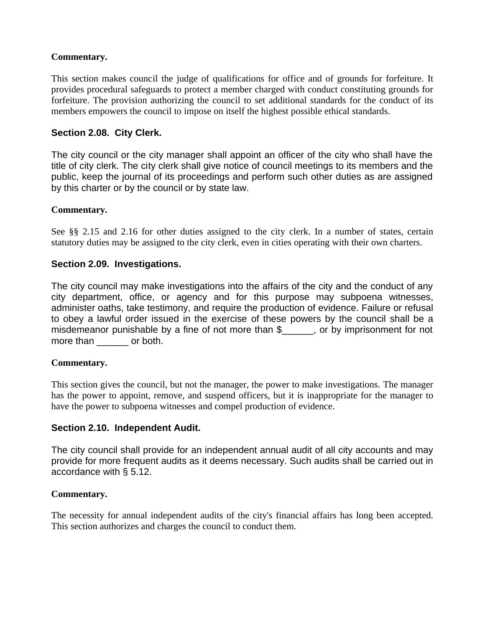# **Commentary.**

This section makes council the judge of qualifications for office and of grounds for forfeiture. It provides procedural safeguards to protect a member charged with conduct constituting grounds for forfeiture. The provision authorizing the council to set additional standards for the conduct of its members empowers the council to impose on itself the highest possible ethical standards.

### **Section 2.08. City Clerk.**

The city council or the city manager shall appoint an officer of the city who shall have the title of city clerk. The city clerk shall give notice of council meetings to its members and the public, keep the journal of its proceedings and perform such other duties as are assigned by this charter or by the council or by state law.

#### **Commentary.**

See §§ 2.15 and 2.16 for other duties assigned to the city clerk. In a number of states, certain statutory duties may be assigned to the city clerk, even in cities operating with their own charters.

#### **Section 2.09. Investigations.**

The city council may make investigations into the affairs of the city and the conduct of any city department, office, or agency and for this purpose may subpoena witnesses, administer oaths, take testimony, and require the production of evidence. Failure or refusal to obey a lawful order issued in the exercise of these powers by the council shall be a misdemeanor punishable by a fine of not more than \$\_\_\_\_\_\_, or by imprisonment for not more than \_\_\_\_\_\_\_ or both.

#### **Commentary.**

This section gives the council, but not the manager, the power to make investigations. The manager has the power to appoint, remove, and suspend officers, but it is inappropriate for the manager to have the power to subpoena witnesses and compel production of evidence.

#### **Section 2.10. Independent Audit.**

The city council shall provide for an independent annual audit of all city accounts and may provide for more frequent audits as it deems necessary. Such audits shall be carried out in accordance with § 5.12.

#### **Commentary.**

The necessity for annual independent audits of the city's financial affairs has long been accepted. This section authorizes and charges the council to conduct them.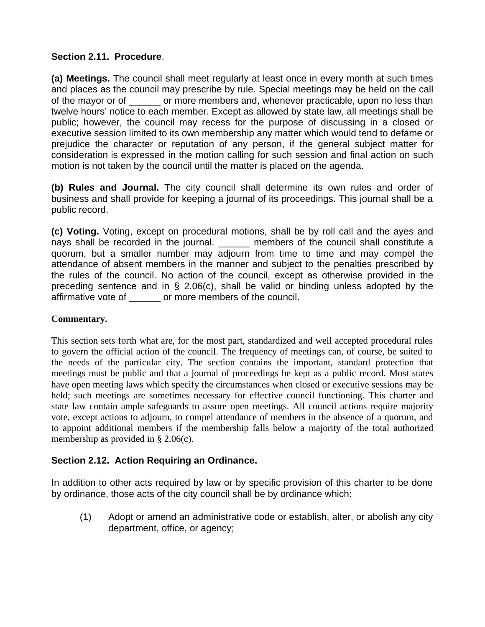# **Section 2.11. Procedure**.

**(a) Meetings.** The council shall meet regularly at least once in every month at such times and places as the council may prescribe by rule. Special meetings may be held on the call of the mayor or of \_\_\_\_\_\_ or more members and, whenever practicable, upon no less than twelve hours' notice to each member. Except as allowed by state law, all meetings shall be public; however, the council may recess for the purpose of discussing in a closed or executive session limited to its own membership any matter which would tend to defame or prejudice the character or reputation of any person, if the general subject matter for consideration is expressed in the motion calling for such session and final action on such motion is not taken by the council until the matter is placed on the agenda.

**(b) Rules and Journal.** The city council shall determine its own rules and order of business and shall provide for keeping a journal of its proceedings. This journal shall be a public record.

**(c) Voting.** Voting, except on procedural motions, shall be by roll call and the ayes and nays shall be recorded in the journal. \_\_\_\_\_\_ members of the council shall constitute a quorum, but a smaller number may adjourn from time to time and may compel the attendance of absent members in the manner and subject to the penalties prescribed by the rules of the council. No action of the council, except as otherwise provided in the preceding sentence and in § 2.06(c), shall be valid or binding unless adopted by the affirmative vote of \_\_\_\_\_\_ or more members of the council.

# **Commentary.**

This section sets forth what are, for the most part, standardized and well accepted procedural rules to govern the official action of the council. The frequency of meetings can, of course, be suited to the needs of the particular city. The section contains the important, standard protection that meetings must be public and that a journal of proceedings be kept as a public record. Most states have open meeting laws which specify the circumstances when closed or executive sessions may be held; such meetings are sometimes necessary for effective council functioning. This charter and state law contain ample safeguards to assure open meetings. All council actions require majority vote, except actions to adjourn, to compel attendance of members in the absence of a quorum, and to appoint additional members if the membership falls below a majority of the total authorized membership as provided in § 2.06(c).

# **Section 2.12. Action Requiring an Ordinance.**

In addition to other acts required by law or by specific provision of this charter to be done by ordinance, those acts of the city council shall be by ordinance which:

(1) Adopt or amend an administrative code or establish, alter, or abolish any city department, office, or agency;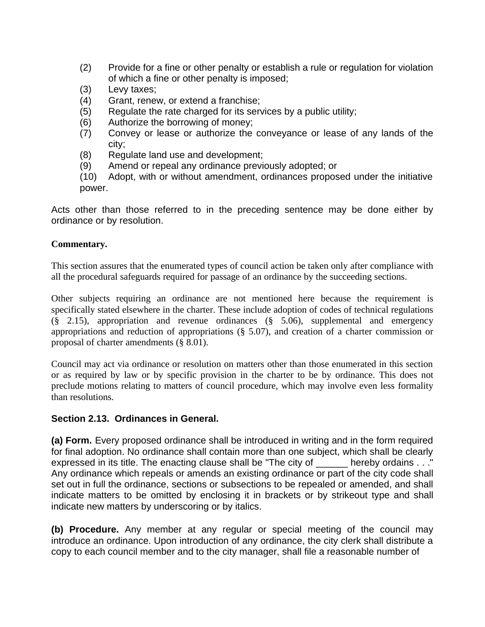- (2) Provide for a fine or other penalty or establish a rule or regulation for violation of which a fine or other penalty is imposed;
- (3) Levy taxes;
- (4) Grant, renew, or extend a franchise;
- (5) Regulate the rate charged for its services by a public utility;
- (6) Authorize the borrowing of money;
- (7) Convey or lease or authorize the conveyance or lease of any lands of the city;
- (8) Regulate land use and development;
- (9) Amend or repeal any ordinance previously adopted; or
- (10) Adopt, with or without amendment, ordinances proposed under the initiative power.

Acts other than those referred to in the preceding sentence may be done either by ordinance or by resolution.

### **Commentary.**

This section assures that the enumerated types of council action be taken only after compliance with all the procedural safeguards required for passage of an ordinance by the succeeding sections.

Other subjects requiring an ordinance are not mentioned here because the requirement is specifically stated elsewhere in the charter. These include adoption of codes of technical regulations (§ 2.15), appropriation and revenue ordinances (§ 5.06), supplemental and emergency appropriations and reduction of appropriations (§ 5.07), and creation of a charter commission or proposal of charter amendments (§ 8.01).

Council may act via ordinance or resolution on matters other than those enumerated in this section or as required by law or by specific provision in the charter to be by ordinance. This does not preclude motions relating to matters of council procedure, which may involve even less formality than resolutions.

# **Section 2.13. Ordinances in General.**

**(a) Form.** Every proposed ordinance shall be introduced in writing and in the form required for final adoption. No ordinance shall contain more than one subject, which shall be clearly expressed in its title. The enacting clause shall be "The city of \_\_\_\_\_\_ hereby ordains . . ." Any ordinance which repeals or amends an existing ordinance or part of the city code shall set out in full the ordinance, sections or subsections to be repealed or amended, and shall indicate matters to be omitted by enclosing it in brackets or by strikeout type and shall indicate new matters by underscoring or by italics.

**(b) Procedure.** Any member at any regular or special meeting of the council may introduce an ordinance. Upon introduction of any ordinance, the city clerk shall distribute a copy to each council member and to the city manager, shall file a reasonable number of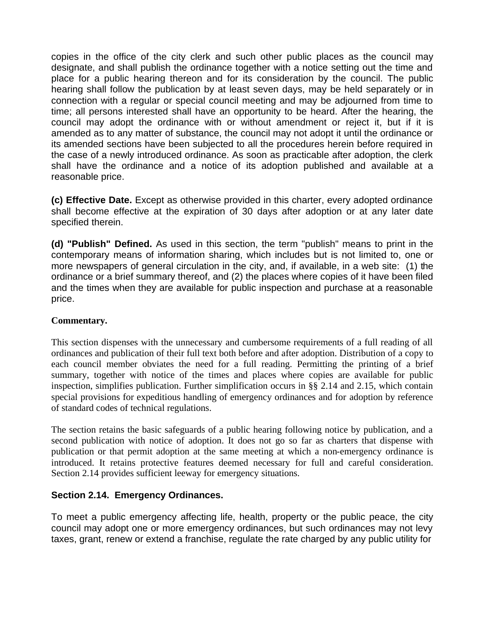copies in the office of the city clerk and such other public places as the council may designate, and shall publish the ordinance together with a notice setting out the time and place for a public hearing thereon and for its consideration by the council. The public hearing shall follow the publication by at least seven days, may be held separately or in connection with a regular or special council meeting and may be adjourned from time to time; all persons interested shall have an opportunity to be heard. After the hearing, the council may adopt the ordinance with or without amendment or reject it, but if it is amended as to any matter of substance, the council may not adopt it until the ordinance or its amended sections have been subjected to all the procedures herein before required in the case of a newly introduced ordinance. As soon as practicable after adoption, the clerk shall have the ordinance and a notice of its adoption published and available at a reasonable price.

**(c) Effective Date.** Except as otherwise provided in this charter, every adopted ordinance shall become effective at the expiration of 30 days after adoption or at any later date specified therein.

**(d) "Publish" Defined.** As used in this section, the term "publish" means to print in the contemporary means of information sharing, which includes but is not limited to, one or more newspapers of general circulation in the city, and, if available, in a web site: (1) the ordinance or a brief summary thereof, and (2) the places where copies of it have been filed and the times when they are available for public inspection and purchase at a reasonable price.

### **Commentary.**

This section dispenses with the unnecessary and cumbersome requirements of a full reading of all ordinances and publication of their full text both before and after adoption. Distribution of a copy to each council member obviates the need for a full reading. Permitting the printing of a brief summary, together with notice of the times and places where copies are available for public inspection, simplifies publication. Further simplification occurs in §§ 2.14 and 2.15, which contain special provisions for expeditious handling of emergency ordinances and for adoption by reference of standard codes of technical regulations.

The section retains the basic safeguards of a public hearing following notice by publication, and a second publication with notice of adoption. It does not go so far as charters that dispense with publication or that permit adoption at the same meeting at which a non-emergency ordinance is introduced. It retains protective features deemed necessary for full and careful consideration. Section 2.14 provides sufficient leeway for emergency situations.

### **Section 2.14. Emergency Ordinances.**

To meet a public emergency affecting life, health, property or the public peace, the city council may adopt one or more emergency ordinances, but such ordinances may not levy taxes, grant, renew or extend a franchise, regulate the rate charged by any public utility for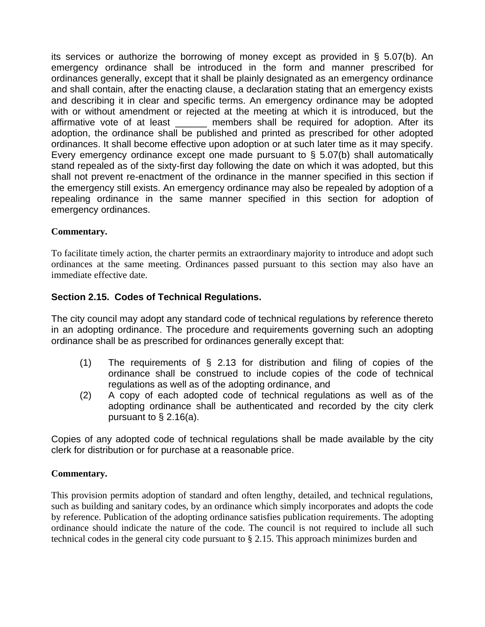its services or authorize the borrowing of money except as provided in § 5.07(b). An emergency ordinance shall be introduced in the form and manner prescribed for ordinances generally, except that it shall be plainly designated as an emergency ordinance and shall contain, after the enacting clause, a declaration stating that an emergency exists and describing it in clear and specific terms. An emergency ordinance may be adopted with or without amendment or rejected at the meeting at which it is introduced, but the affirmative vote of at least **the members shall be required for adoption**. After its adoption, the ordinance shall be published and printed as prescribed for other adopted ordinances. It shall become effective upon adoption or at such later time as it may specify. Every emergency ordinance except one made pursuant to § 5.07(b) shall automatically stand repealed as of the sixty-first day following the date on which it was adopted, but this shall not prevent re-enactment of the ordinance in the manner specified in this section if the emergency still exists. An emergency ordinance may also be repealed by adoption of a repealing ordinance in the same manner specified in this section for adoption of emergency ordinances.

### **Commentary.**

To facilitate timely action, the charter permits an extraordinary majority to introduce and adopt such ordinances at the same meeting. Ordinances passed pursuant to this section may also have an immediate effective date.

# **Section 2.15. Codes of Technical Regulations.**

The city council may adopt any standard code of technical regulations by reference thereto in an adopting ordinance. The procedure and requirements governing such an adopting ordinance shall be as prescribed for ordinances generally except that:

- (1) The requirements of § 2.13 for distribution and filing of copies of the ordinance shall be construed to include copies of the code of technical regulations as well as of the adopting ordinance, and
- (2) A copy of each adopted code of technical regulations as well as of the adopting ordinance shall be authenticated and recorded by the city clerk pursuant to  $\S$  2.16(a).

Copies of any adopted code of technical regulations shall be made available by the city clerk for distribution or for purchase at a reasonable price.

# **Commentary.**

This provision permits adoption of standard and often lengthy, detailed, and technical regulations, such as building and sanitary codes, by an ordinance which simply incorporates and adopts the code by reference. Publication of the adopting ordinance satisfies publication requirements. The adopting ordinance should indicate the nature of the code. The council is not required to include all such technical codes in the general city code pursuant to § 2.15. This approach minimizes burden and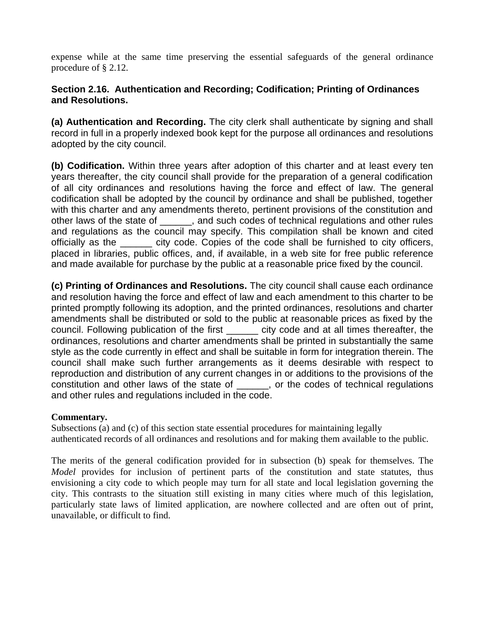expense while at the same time preserving the essential safeguards of the general ordinance procedure of § 2.12.

### **Section 2.16. Authentication and Recording; Codification; Printing of Ordinances and Resolutions.**

**(a) Authentication and Recording.** The city clerk shall authenticate by signing and shall record in full in a properly indexed book kept for the purpose all ordinances and resolutions adopted by the city council.

**(b) Codification.** Within three years after adoption of this charter and at least every ten years thereafter, the city council shall provide for the preparation of a general codification of all city ordinances and resolutions having the force and effect of law. The general codification shall be adopted by the council by ordinance and shall be published, together with this charter and any amendments thereto, pertinent provisions of the constitution and other laws of the state of \_\_\_\_\_\_, and such codes of technical regulations and other rules and regulations as the council may specify. This compilation shall be known and cited officially as the \_\_\_\_\_ city code. Copies of the code shall be furnished to city officers, placed in libraries, public offices, and, if available, in a web site for free public reference and made available for purchase by the public at a reasonable price fixed by the council.

**(c) Printing of Ordinances and Resolutions.** The city council shall cause each ordinance and resolution having the force and effect of law and each amendment to this charter to be printed promptly following its adoption, and the printed ordinances, resolutions and charter amendments shall be distributed or sold to the public at reasonable prices as fixed by the council. Following publication of the first \_\_\_\_\_ city code and at all times thereafter, the ordinances, resolutions and charter amendments shall be printed in substantially the same style as the code currently in effect and shall be suitable in form for integration therein. The council shall make such further arrangements as it deems desirable with respect to reproduction and distribution of any current changes in or additions to the provisions of the constitution and other laws of the state of \_\_\_\_\_\_, or the codes of technical regulations and other rules and regulations included in the code.

### **Commentary.**

Subsections (a) and (c) of this section state essential procedures for maintaining legally authenticated records of all ordinances and resolutions and for making them available to the public.

The merits of the general codification provided for in subsection (b) speak for themselves. The *Model* provides for inclusion of pertinent parts of the constitution and state statutes, thus envisioning a city code to which people may turn for all state and local legislation governing the city. This contrasts to the situation still existing in many cities where much of this legislation, particularly state laws of limited application, are nowhere collected and are often out of print, unavailable, or difficult to find.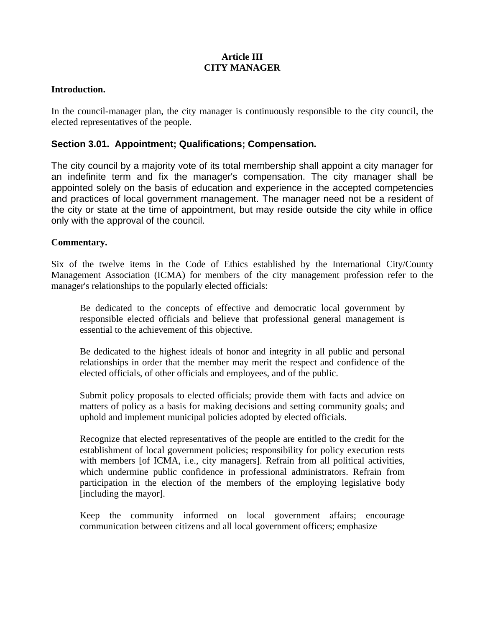### **Article III CITY MANAGER**

#### **Introduction.**

In the council-manager plan, the city manager is continuously responsible to the city council, the elected representatives of the people.

#### **Section 3.01. Appointment; Qualifications; Compensation.**

The city council by a majority vote of its total membership shall appoint a city manager for an indefinite term and fix the manager's compensation. The city manager shall be appointed solely on the basis of education and experience in the accepted competencies and practices of local government management. The manager need not be a resident of the city or state at the time of appointment, but may reside outside the city while in office only with the approval of the council.

#### **Commentary.**

Six of the twelve items in the Code of Ethics established by the International City/County Management Association (ICMA) for members of the city management profession refer to the manager's relationships to the popularly elected officials:

Be dedicated to the concepts of effective and democratic local government by responsible elected officials and believe that professional general management is essential to the achievement of this objective.

Be dedicated to the highest ideals of honor and integrity in all public and personal relationships in order that the member may merit the respect and confidence of the elected officials, of other officials and employees, and of the public.

Submit policy proposals to elected officials; provide them with facts and advice on matters of policy as a basis for making decisions and setting community goals; and uphold and implement municipal policies adopted by elected officials.

Recognize that elected representatives of the people are entitled to the credit for the establishment of local government policies; responsibility for policy execution rests with members [of ICMA, i.e., city managers]. Refrain from all political activities, which undermine public confidence in professional administrators. Refrain from participation in the election of the members of the employing legislative body [including the mayor].

Keep the community informed on local government affairs; encourage communication between citizens and all local government officers; emphasize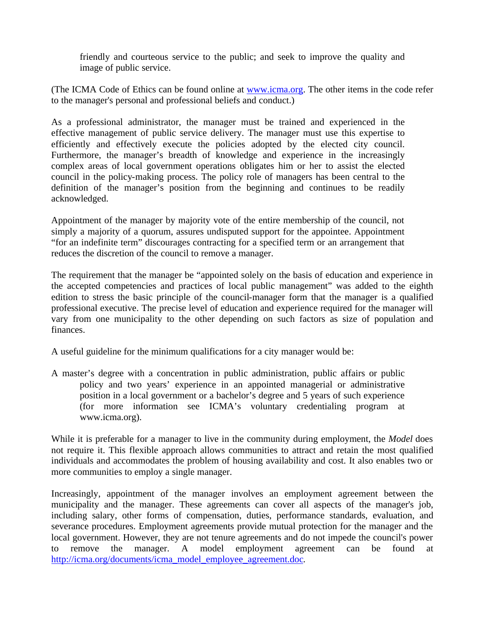friendly and courteous service to the public; and seek to improve the quality and image of public service.

(The ICMA Code of Ethics can be found online at www.icma.org. The other items in the code refer to the manager's personal and professional beliefs and conduct.)

As a professional administrator, the manager must be trained and experienced in the effective management of public service delivery. The manager must use this expertise to efficiently and effectively execute the policies adopted by the elected city council. Furthermore, the manager's breadth of knowledge and experience in the increasingly complex areas of local government operations obligates him or her to assist the elected council in the policy-making process. The policy role of managers has been central to the definition of the manager's position from the beginning and continues to be readily acknowledged.

Appointment of the manager by majority vote of the entire membership of the council, not simply a majority of a quorum, assures undisputed support for the appointee. Appointment "for an indefinite term" discourages contracting for a specified term or an arrangement that reduces the discretion of the council to remove a manager.

The requirement that the manager be "appointed solely on the basis of education and experience in the accepted competencies and practices of local public management" was added to the eighth edition to stress the basic principle of the council-manager form that the manager is a qualified professional executive. The precise level of education and experience required for the manager will vary from one municipality to the other depending on such factors as size of population and finances.

A useful guideline for the minimum qualifications for a city manager would be:

A master's degree with a concentration in public administration, public affairs or public policy and two years' experience in an appointed managerial or administrative position in a local government or a bachelor's degree and 5 years of such experience (for more information see ICMA's voluntary credentialing program at www.icma.org).

While it is preferable for a manager to live in the community during employment, the *Model* does not require it. This flexible approach allows communities to attract and retain the most qualified individuals and accommodates the problem of housing availability and cost. It also enables two or more communities to employ a single manager.

Increasingly, appointment of the manager involves an employment agreement between the municipality and the manager. These agreements can cover all aspects of the manager's job, including salary, other forms of compensation, duties, performance standards, evaluation, and severance procedures. Employment agreements provide mutual protection for the manager and the local government. However, they are not tenure agreements and do not impede the council's power to remove the manager. A model employment agreement can be found at http://icma.org/documents/icma\_model\_employee\_agreement.doc.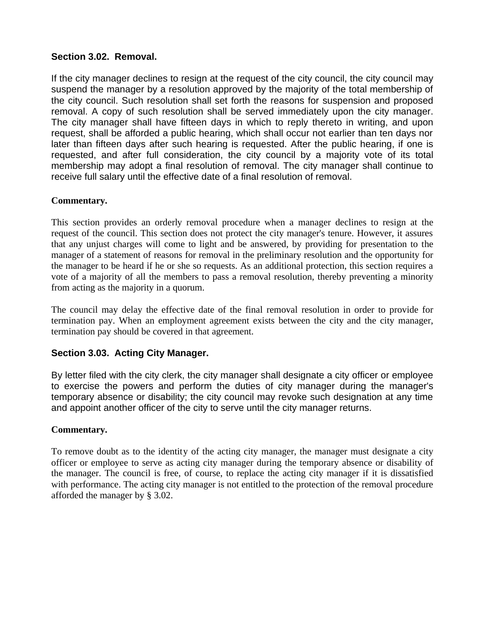### **Section 3.02. Removal.**

If the city manager declines to resign at the request of the city council, the city council may suspend the manager by a resolution approved by the majority of the total membership of the city council. Such resolution shall set forth the reasons for suspension and proposed removal. A copy of such resolution shall be served immediately upon the city manager. The city manager shall have fifteen days in which to reply thereto in writing, and upon request, shall be afforded a public hearing, which shall occur not earlier than ten days nor later than fifteen days after such hearing is requested. After the public hearing, if one is requested, and after full consideration, the city council by a majority vote of its total membership may adopt a final resolution of removal. The city manager shall continue to receive full salary until the effective date of a final resolution of removal.

### **Commentary.**

This section provides an orderly removal procedure when a manager declines to resign at the request of the council. This section does not protect the city manager's tenure. However, it assures that any unjust charges will come to light and be answered, by providing for presentation to the manager of a statement of reasons for removal in the preliminary resolution and the opportunity for the manager to be heard if he or she so requests. As an additional protection, this section requires a vote of a majority of all the members to pass a removal resolution, thereby preventing a minority from acting as the majority in a quorum.

The council may delay the effective date of the final removal resolution in order to provide for termination pay. When an employment agreement exists between the city and the city manager, termination pay should be covered in that agreement.

# **Section 3.03. Acting City Manager.**

By letter filed with the city clerk, the city manager shall designate a city officer or employee to exercise the powers and perform the duties of city manager during the manager's temporary absence or disability; the city council may revoke such designation at any time and appoint another officer of the city to serve until the city manager returns.

### **Commentary.**

To remove doubt as to the identity of the acting city manager, the manager must designate a city officer or employee to serve as acting city manager during the temporary absence or disability of the manager. The council is free, of course, to replace the acting city manager if it is dissatisfied with performance. The acting city manager is not entitled to the protection of the removal procedure afforded the manager by § 3.02.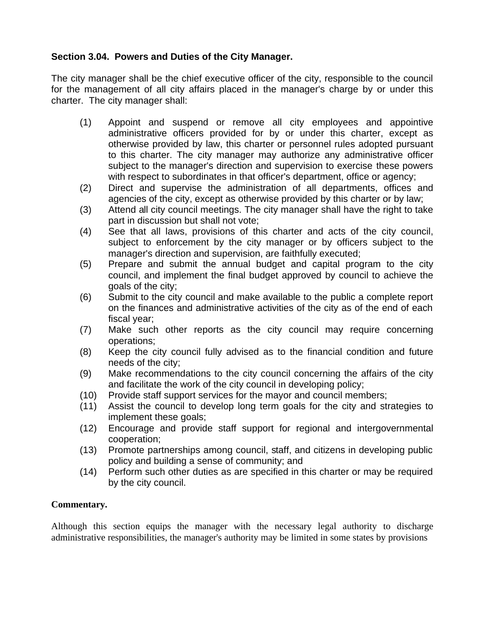# **Section 3.04. Powers and Duties of the City Manager.**

The city manager shall be the chief executive officer of the city, responsible to the council for the management of all city affairs placed in the manager's charge by or under this charter. The city manager shall:

- (1) Appoint and suspend or remove all city employees and appointive administrative officers provided for by or under this charter, except as otherwise provided by law, this charter or personnel rules adopted pursuant to this charter. The city manager may authorize any administrative officer subject to the manager's direction and supervision to exercise these powers with respect to subordinates in that officer's department, office or agency;
- (2) Direct and supervise the administration of all departments, offices and agencies of the city, except as otherwise provided by this charter or by law;
- (3) Attend all city council meetings. The city manager shall have the right to take part in discussion but shall not vote;
- (4) See that all laws, provisions of this charter and acts of the city council, subject to enforcement by the city manager or by officers subject to the manager's direction and supervision, are faithfully executed;
- (5) Prepare and submit the annual budget and capital program to the city council, and implement the final budget approved by council to achieve the goals of the city;
- (6) Submit to the city council and make available to the public a complete report on the finances and administrative activities of the city as of the end of each fiscal year;
- (7) Make such other reports as the city council may require concerning operations;
- (8) Keep the city council fully advised as to the financial condition and future needs of the city;
- (9) Make recommendations to the city council concerning the affairs of the city and facilitate the work of the city council in developing policy;
- (10) Provide staff support services for the mayor and council members;
- (11) Assist the council to develop long term goals for the city and strategies to implement these goals;
- (12) Encourage and provide staff support for regional and intergovernmental cooperation;
- (13) Promote partnerships among council, staff, and citizens in developing public policy and building a sense of community; and
- (14) Perform such other duties as are specified in this charter or may be required by the city council.

### **Commentary.**

Although this section equips the manager with the necessary legal authority to discharge administrative responsibilities, the manager's authority may be limited in some states by provisions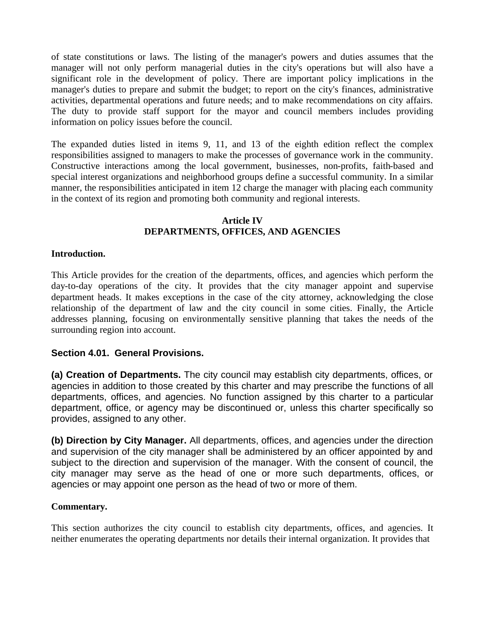of state constitutions or laws. The listing of the manager's powers and duties assumes that the manager will not only perform managerial duties in the city's operations but will also have a significant role in the development of policy. There are important policy implications in the manager's duties to prepare and submit the budget; to report on the city's finances, administrative activities, departmental operations and future needs; and to make recommendations on city affairs. The duty to provide staff support for the mayor and council members includes providing information on policy issues before the council.

The expanded duties listed in items 9, 11, and 13 of the eighth edition reflect the complex responsibilities assigned to managers to make the processes of governance work in the community. Constructive interactions among the local government, businesses, non-profits, faith-based and special interest organizations and neighborhood groups define a successful community. In a similar manner, the responsibilities anticipated in item 12 charge the manager with placing each community in the context of its region and promoting both community and regional interests.

#### **Article IV DEPARTMENTS, OFFICES, AND AGENCIES**

#### **Introduction.**

This Article provides for the creation of the departments, offices, and agencies which perform the day-to-day operations of the city. It provides that the city manager appoint and supervise department heads. It makes exceptions in the case of the city attorney, acknowledging the close relationship of the department of law and the city council in some cities. Finally, the Article addresses planning, focusing on environmentally sensitive planning that takes the needs of the surrounding region into account.

#### **Section 4.01. General Provisions.**

**(a) Creation of Departments.** The city council may establish city departments, offices, or agencies in addition to those created by this charter and may prescribe the functions of all departments, offices, and agencies. No function assigned by this charter to a particular department, office, or agency may be discontinued or, unless this charter specifically so provides, assigned to any other.

**(b) Direction by City Manager.** All departments, offices, and agencies under the direction and supervision of the city manager shall be administered by an officer appointed by and subject to the direction and supervision of the manager. With the consent of council, the city manager may serve as the head of one or more such departments, offices, or agencies or may appoint one person as the head of two or more of them.

#### **Commentary.**

This section authorizes the city council to establish city departments, offices, and agencies. It neither enumerates the operating departments nor details their internal organization. It provides that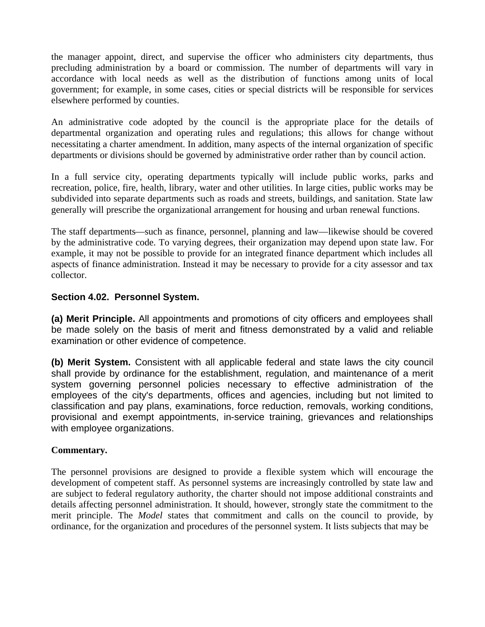the manager appoint, direct, and supervise the officer who administers city departments, thus precluding administration by a board or commission. The number of departments will vary in accordance with local needs as well as the distribution of functions among units of local government; for example, in some cases, cities or special districts will be responsible for services elsewhere performed by counties.

An administrative code adopted by the council is the appropriate place for the details of departmental organization and operating rules and regulations; this allows for change without necessitating a charter amendment. In addition, many aspects of the internal organization of specific departments or divisions should be governed by administrative order rather than by council action.

In a full service city, operating departments typically will include public works, parks and recreation, police, fire, health, library, water and other utilities. In large cities, public works may be subdivided into separate departments such as roads and streets, buildings, and sanitation. State law generally will prescribe the organizational arrangement for housing and urban renewal functions.

The staff departments—such as finance, personnel, planning and law—likewise should be covered by the administrative code. To varying degrees, their organization may depend upon state law. For example, it may not be possible to provide for an integrated finance department which includes all aspects of finance administration. Instead it may be necessary to provide for a city assessor and tax collector.

### **Section 4.02. Personnel System.**

**(a) Merit Principle.** All appointments and promotions of city officers and employees shall be made solely on the basis of merit and fitness demonstrated by a valid and reliable examination or other evidence of competence.

**(b) Merit System.** Consistent with all applicable federal and state laws the city council shall provide by ordinance for the establishment, regulation, and maintenance of a merit system governing personnel policies necessary to effective administration of the employees of the city's departments, offices and agencies, including but not limited to classification and pay plans, examinations, force reduction, removals, working conditions, provisional and exempt appointments, in-service training, grievances and relationships with employee organizations.

### **Commentary.**

The personnel provisions are designed to provide a flexible system which will encourage the development of competent staff. As personnel systems are increasingly controlled by state law and are subject to federal regulatory authority, the charter should not impose additional constraints and details affecting personnel administration. It should, however, strongly state the commitment to the merit principle. The *Model* states that commitment and calls on the council to provide, by ordinance, for the organization and procedures of the personnel system. It lists subjects that may be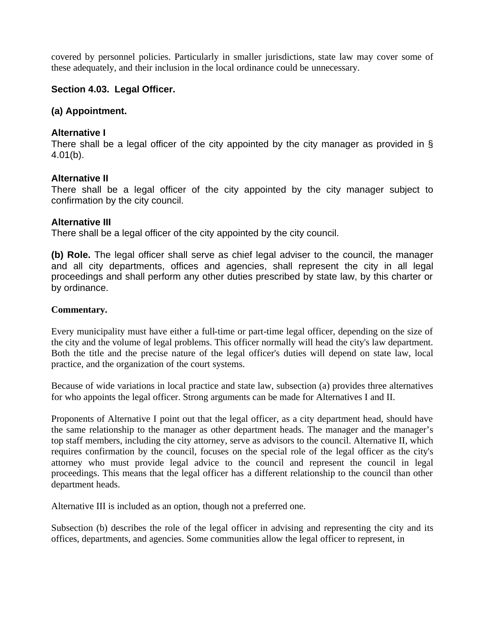covered by personnel policies. Particularly in smaller jurisdictions, state law may cover some of these adequately, and their inclusion in the local ordinance could be unnecessary.

### **Section 4.03. Legal Officer.**

#### **(a) Appointment.**

#### **Alternative I**

There shall be a legal officer of the city appointed by the city manager as provided in § 4.01(b).

#### **Alternative II**

There shall be a legal officer of the city appointed by the city manager subject to confirmation by the city council.

#### **Alternative III**

There shall be a legal officer of the city appointed by the city council.

**(b) Role.** The legal officer shall serve as chief legal adviser to the council, the manager and all city departments, offices and agencies, shall represent the city in all legal proceedings and shall perform any other duties prescribed by state law, by this charter or by ordinance.

#### **Commentary.**

Every municipality must have either a full-time or part-time legal officer, depending on the size of the city and the volume of legal problems. This officer normally will head the city's law department. Both the title and the precise nature of the legal officer's duties will depend on state law, local practice, and the organization of the court systems.

Because of wide variations in local practice and state law, subsection (a) provides three alternatives for who appoints the legal officer. Strong arguments can be made for Alternatives I and II.

Proponents of Alternative I point out that the legal officer, as a city department head, should have the same relationship to the manager as other department heads. The manager and the manager's top staff members, including the city attorney, serve as advisors to the council. Alternative II, which requires confirmation by the council, focuses on the special role of the legal officer as the city's attorney who must provide legal advice to the council and represent the council in legal proceedings. This means that the legal officer has a different relationship to the council than other department heads.

Alternative III is included as an option, though not a preferred one.

Subsection (b) describes the role of the legal officer in advising and representing the city and its offices, departments, and agencies. Some communities allow the legal officer to represent, in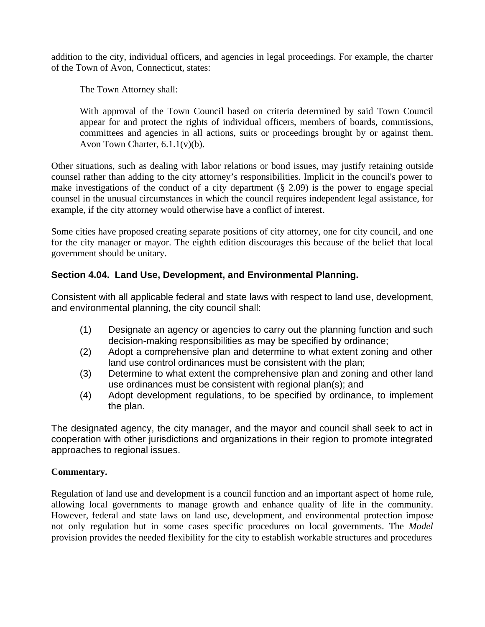addition to the city, individual officers, and agencies in legal proceedings. For example, the charter of the Town of Avon, Connecticut, states:

The Town Attorney shall:

With approval of the Town Council based on criteria determined by said Town Council appear for and protect the rights of individual officers, members of boards, commissions, committees and agencies in all actions, suits or proceedings brought by or against them. Avon Town Charter, 6.1.1(v)(b).

Other situations, such as dealing with labor relations or bond issues, may justify retaining outside counsel rather than adding to the city attorney's responsibilities. Implicit in the council's power to make investigations of the conduct of a city department (§ 2.09) is the power to engage special counsel in the unusual circumstances in which the council requires independent legal assistance, for example, if the city attorney would otherwise have a conflict of interest.

Some cities have proposed creating separate positions of city attorney, one for city council, and one for the city manager or mayor. The eighth edition discourages this because of the belief that local government should be unitary.

# **Section 4.04. Land Use, Development, and Environmental Planning.**

Consistent with all applicable federal and state laws with respect to land use, development, and environmental planning, the city council shall:

- (1) Designate an agency or agencies to carry out the planning function and such decision-making responsibilities as may be specified by ordinance;
- (2) Adopt a comprehensive plan and determine to what extent zoning and other land use control ordinances must be consistent with the plan;
- (3) Determine to what extent the comprehensive plan and zoning and other land use ordinances must be consistent with regional plan(s); and
- (4) Adopt development regulations, to be specified by ordinance, to implement the plan.

The designated agency, the city manager, and the mayor and council shall seek to act in cooperation with other jurisdictions and organizations in their region to promote integrated approaches to regional issues.

### **Commentary.**

Regulation of land use and development is a council function and an important aspect of home rule, allowing local governments to manage growth and enhance quality of life in the community. However, federal and state laws on land use, development, and environmental protection impose not only regulation but in some cases specific procedures on local governments. The *Model* provision provides the needed flexibility for the city to establish workable structures and procedures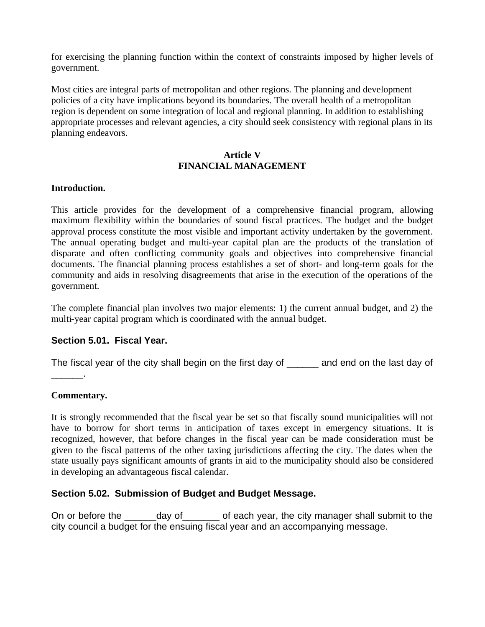for exercising the planning function within the context of constraints imposed by higher levels of government.

Most cities are integral parts of metropolitan and other regions. The planning and development policies of a city have implications beyond its boundaries. The overall health of a metropolitan region is dependent on some integration of local and regional planning. In addition to establishing appropriate processes and relevant agencies, a city should seek consistency with regional plans in its planning endeavors.

#### **Article V FINANCIAL MANAGEMENT**

#### **Introduction.**

This article provides for the development of a comprehensive financial program, allowing maximum flexibility within the boundaries of sound fiscal practices. The budget and the budget approval process constitute the most visible and important activity undertaken by the government. The annual operating budget and multi-year capital plan are the products of the translation of disparate and often conflicting community goals and objectives into comprehensive financial documents. The financial planning process establishes a set of short- and long-term goals for the community and aids in resolving disagreements that arise in the execution of the operations of the government.

The complete financial plan involves two major elements: 1) the current annual budget, and 2) the multi-year capital program which is coordinated with the annual budget.

### **Section 5.01. Fiscal Year.**

The fiscal year of the city shall begin on the first day of and end on the last day of

#### **Commentary.**

\_\_\_\_\_\_.

It is strongly recommended that the fiscal year be set so that fiscally sound municipalities will not have to borrow for short terms in anticipation of taxes except in emergency situations. It is recognized, however, that before changes in the fiscal year can be made consideration must be given to the fiscal patterns of the other taxing jurisdictions affecting the city. The dates when the state usually pays significant amounts of grants in aid to the municipality should also be considered in developing an advantageous fiscal calendar.

### **Section 5.02. Submission of Budget and Budget Message.**

On or before the day of each year, the city manager shall submit to the city council a budget for the ensuing fiscal year and an accompanying message.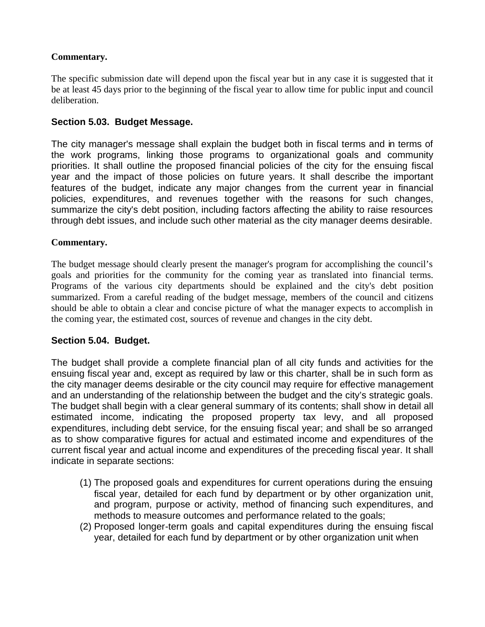### **Commentary.**

The specific submission date will depend upon the fiscal year but in any case it is suggested that it be at least 45 days prior to the beginning of the fiscal year to allow time for public input and council deliberation.

# **Section 5.03. Budget Message.**

The city manager's message shall explain the budget both in fiscal terms and in terms of the work programs, linking those programs to organizational goals and community priorities. It shall outline the proposed financial policies of the city for the ensuing fiscal year and the impact of those policies on future years. It shall describe the important features of the budget, indicate any major changes from the current year in financial policies, expenditures, and revenues together with the reasons for such changes, summarize the city's debt position, including factors affecting the ability to raise resources through debt issues, and include such other material as the city manager deems desirable.

### **Commentary.**

The budget message should clearly present the manager's program for accomplishing the council's goals and priorities for the community for the coming year as translated into financial terms. Programs of the various city departments should be explained and the city's debt position summarized. From a careful reading of the budget message, members of the council and citizens should be able to obtain a clear and concise picture of what the manager expects to accomplish in the coming year, the estimated cost, sources of revenue and changes in the city debt.

### **Section 5.04. Budget.**

The budget shall provide a complete financial plan of all city funds and activities for the ensuing fiscal year and, except as required by law or this charter, shall be in such form as the city manager deems desirable or the city council may require for effective management and an understanding of the relationship between the budget and the city's strategic goals. The budget shall begin with a clear general summary of its contents; shall show in detail all estimated income, indicating the proposed property tax levy, and all proposed expenditures, including debt service, for the ensuing fiscal year; and shall be so arranged as to show comparative figures for actual and estimated income and expenditures of the current fiscal year and actual income and expenditures of the preceding fiscal year. It shall indicate in separate sections:

- (1) The proposed goals and expenditures for current operations during the ensuing fiscal year, detailed for each fund by department or by other organization unit, and program, purpose or activity, method of financing such expenditures, and methods to measure outcomes and performance related to the goals;
- (2) Proposed longer-term goals and capital expenditures during the ensuing fiscal year, detailed for each fund by department or by other organization unit when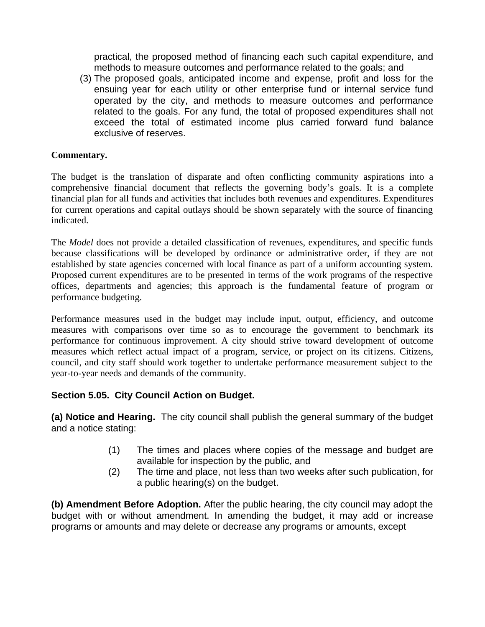practical, the proposed method of financing each such capital expenditure, and methods to measure outcomes and performance related to the goals; and

(3) The proposed goals, anticipated income and expense, profit and loss for the ensuing year for each utility or other enterprise fund or internal service fund operated by the city, and methods to measure outcomes and performance related to the goals. For any fund, the total of proposed expenditures shall not exceed the total of estimated income plus carried forward fund balance exclusive of reserves.

### **Commentary.**

The budget is the translation of disparate and often conflicting community aspirations into a comprehensive financial document that reflects the governing body's goals. It is a complete financial plan for all funds and activities that includes both revenues and expenditures. Expenditures for current operations and capital outlays should be shown separately with the source of financing indicated.

The *Model* does not provide a detailed classification of revenues, expenditures, and specific funds because classifications will be developed by ordinance or administrative order, if they are not established by state agencies concerned with local finance as part of a uniform accounting system. Proposed current expenditures are to be presented in terms of the work programs of the respective offices, departments and agencies; this approach is the fundamental feature of program or performance budgeting.

Performance measures used in the budget may include input, output, efficiency, and outcome measures with comparisons over time so as to encourage the government to benchmark its performance for continuous improvement. A city should strive toward development of outcome measures which reflect actual impact of a program, service, or project on its citizens. Citizens, council, and city staff should work together to undertake performance measurement subject to the year-to-year needs and demands of the community.

# **Section 5.05. City Council Action on Budget.**

**(a) Notice and Hearing.** The city council shall publish the general summary of the budget and a notice stating:

- (1) The times and places where copies of the message and budget are available for inspection by the public, and
- (2) The time and place, not less than two weeks after such publication, for a public hearing(s) on the budget.

**(b) Amendment Before Adoption.** After the public hearing, the city council may adopt the budget with or without amendment. In amending the budget, it may add or increase programs or amounts and may delete or decrease any programs or amounts, except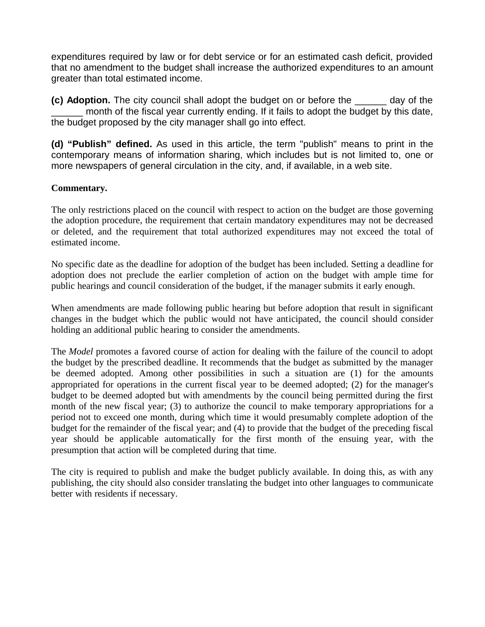expenditures required by law or for debt service or for an estimated cash deficit, provided that no amendment to the budget shall increase the authorized expenditures to an amount greater than total estimated income.

**(c) Adoption.** The city council shall adopt the budget on or before the \_\_\_\_\_\_ day of the month of the fiscal year currently ending. If it fails to adopt the budget by this date, the budget proposed by the city manager shall go into effect.

**(d) "Publish" defined.** As used in this article, the term "publish" means to print in the contemporary means of information sharing, which includes but is not limited to, one or more newspapers of general circulation in the city, and, if available, in a web site.

### **Commentary.**

The only restrictions placed on the council with respect to action on the budget are those governing the adoption procedure, the requirement that certain mandatory expenditures may not be decreased or deleted, and the requirement that total authorized expenditures may not exceed the total of estimated income.

No specific date as the deadline for adoption of the budget has been included. Setting a deadline for adoption does not preclude the earlier completion of action on the budget with ample time for public hearings and council consideration of the budget, if the manager submits it early enough.

When amendments are made following public hearing but before adoption that result in significant changes in the budget which the public would not have anticipated, the council should consider holding an additional public hearing to consider the amendments.

The *Model* promotes a favored course of action for dealing with the failure of the council to adopt the budget by the prescribed deadline. It recommends that the budget as submitted by the manager be deemed adopted. Among other possibilities in such a situation are (1) for the amounts appropriated for operations in the current fiscal year to be deemed adopted; (2) for the manager's budget to be deemed adopted but with amendments by the council being permitted during the first month of the new fiscal year; (3) to authorize the council to make temporary appropriations for a period not to exceed one month, during which time it would presumably complete adoption of the budget for the remainder of the fiscal year; and (4) to provide that the budget of the preceding fiscal year should be applicable automatically for the first month of the ensuing year, with the presumption that action will be completed during that time.

The city is required to publish and make the budget publicly available. In doing this, as with any publishing, the city should also consider translating the budget into other languages to communicate better with residents if necessary.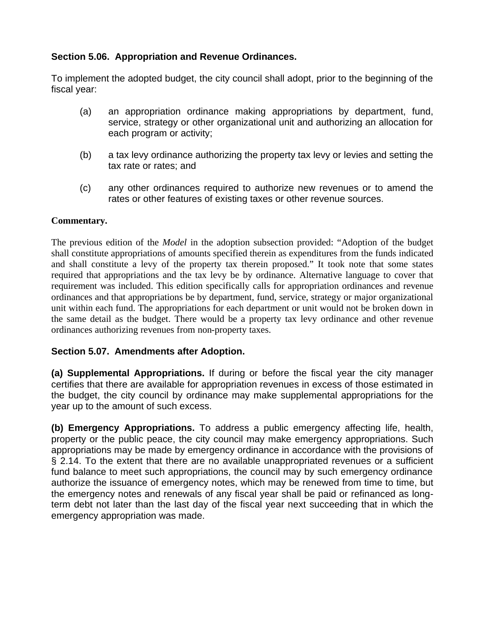# **Section 5.06. Appropriation and Revenue Ordinances.**

To implement the adopted budget, the city council shall adopt, prior to the beginning of the fiscal year:

- (a) an appropriation ordinance making appropriations by department, fund, service, strategy or other organizational unit and authorizing an allocation for each program or activity;
- (b) a tax levy ordinance authorizing the property tax levy or levies and setting the tax rate or rates; and
- (c) any other ordinances required to authorize new revenues or to amend the rates or other features of existing taxes or other revenue sources.

### **Commentary.**

The previous edition of the *Model* in the adoption subsection provided: "Adoption of the budget shall constitute appropriations of amounts specified therein as expenditures from the funds indicated and shall constitute a levy of the property tax therein proposed." It took note that some states required that appropriations and the tax levy be by ordinance. Alternative language to cover that requirement was included. This edition specifically calls for appropriation ordinances and revenue ordinances and that appropriations be by department, fund, service, strategy or major organizational unit within each fund. The appropriations for each department or unit would not be broken down in the same detail as the budget. There would be a property tax levy ordinance and other revenue ordinances authorizing revenues from non-property taxes.

# **Section 5.07. Amendments after Adoption.**

**(a) Supplemental Appropriations.** If during or before the fiscal year the city manager certifies that there are available for appropriation revenues in excess of those estimated in the budget, the city council by ordinance may make supplemental appropriations for the year up to the amount of such excess.

**(b) Emergency Appropriations.** To address a public emergency affecting life, health, property or the public peace, the city council may make emergency appropriations. Such appropriations may be made by emergency ordinance in accordance with the provisions of § 2.14. To the extent that there are no available unappropriated revenues or a sufficient fund balance to meet such appropriations, the council may by such emergency ordinance authorize the issuance of emergency notes, which may be renewed from time to time, but the emergency notes and renewals of any fiscal year shall be paid or refinanced as longterm debt not later than the last day of the fiscal year next succeeding that in which the emergency appropriation was made.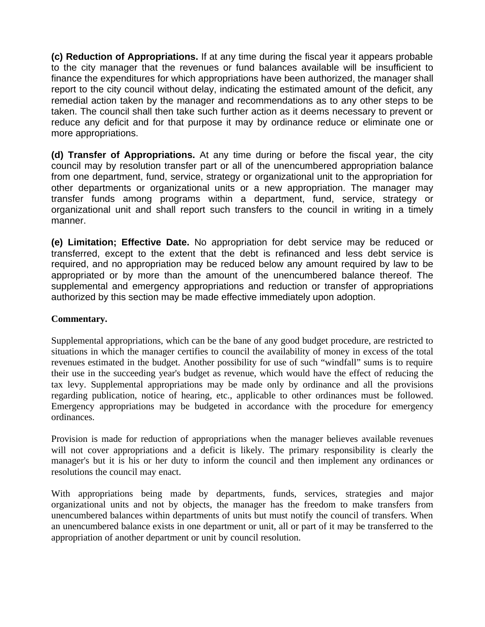**(c) Reduction of Appropriations.** If at any time during the fiscal year it appears probable to the city manager that the revenues or fund balances available will be insufficient to finance the expenditures for which appropriations have been authorized, the manager shall report to the city council without delay, indicating the estimated amount of the deficit, any remedial action taken by the manager and recommendations as to any other steps to be taken. The council shall then take such further action as it deems necessary to prevent or reduce any deficit and for that purpose it may by ordinance reduce or eliminate one or more appropriations.

**(d) Transfer of Appropriations.** At any time during or before the fiscal year, the city council may by resolution transfer part or all of the unencumbered appropriation balance from one department, fund, service, strategy or organizational unit to the appropriation for other departments or organizational units or a new appropriation. The manager may transfer funds among programs within a department, fund, service, strategy or organizational unit and shall report such transfers to the council in writing in a timely manner.

**(e) Limitation; Effective Date.** No appropriation for debt service may be reduced or transferred, except to the extent that the debt is refinanced and less debt service is required, and no appropriation may be reduced below any amount required by law to be appropriated or by more than the amount of the unencumbered balance thereof. The supplemental and emergency appropriations and reduction or transfer of appropriations authorized by this section may be made effective immediately upon adoption.

### **Commentary.**

Supplemental appropriations, which can be the bane of any good budget procedure, are restricted to situations in which the manager certifies to council the availability of money in excess of the total revenues estimated in the budget. Another possibility for use of such "windfall" sums is to require their use in the succeeding year's budget as revenue, which would have the effect of reducing the tax levy. Supplemental appropriations may be made only by ordinance and all the provisions regarding publication, notice of hearing, etc., applicable to other ordinances must be followed. Emergency appropriations may be budgeted in accordance with the procedure for emergency ordinances.

Provision is made for reduction of appropriations when the manager believes available revenues will not cover appropriations and a deficit is likely. The primary responsibility is clearly the manager's but it is his or her duty to inform the council and then implement any ordinances or resolutions the council may enact.

With appropriations being made by departments, funds, services, strategies and major organizational units and not by objects, the manager has the freedom to make transfers from unencumbered balances within departments of units but must notify the council of transfers. When an unencumbered balance exists in one department or unit, all or part of it may be transferred to the appropriation of another department or unit by council resolution.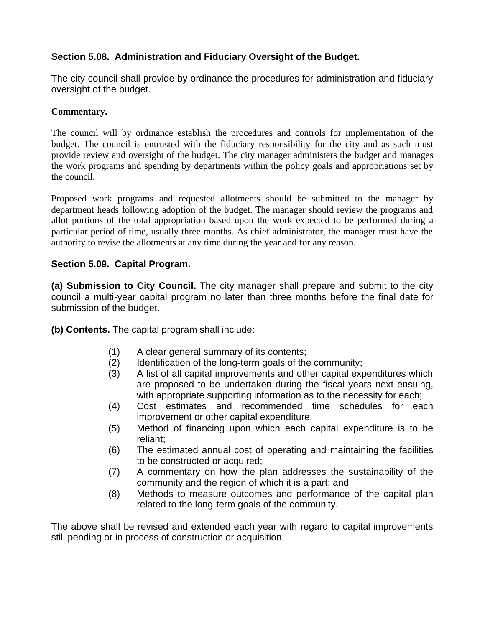# **Section 5.08. Administration and Fiduciary Oversight of the Budget.**

The city council shall provide by ordinance the procedures for administration and fiduciary oversight of the budget.

### **Commentary.**

The council will by ordinance establish the procedures and controls for implementation of the budget. The council is entrusted with the fiduciary responsibility for the city and as such must provide review and oversight of the budget. The city manager administers the budget and manages the work programs and spending by departments within the policy goals and appropriations set by the council.

Proposed work programs and requested allotments should be submitted to the manager by department heads following adoption of the budget. The manager should review the programs and allot portions of the total appropriation based upon the work expected to be performed during a particular period of time, usually three months. As chief administrator, the manager must have the authority to revise the allotments at any time during the year and for any reason.

### **Section 5.09. Capital Program.**

**(a) Submission to City Council.** The city manager shall prepare and submit to the city council a multi-year capital program no later than three months before the final date for submission of the budget.

**(b) Contents.** The capital program shall include:

- (1) A clear general summary of its contents;
- (2) Identification of the long-term goals of the community;
- (3) A list of all capital improvements and other capital expenditures which are proposed to be undertaken during the fiscal years next ensuing, with appropriate supporting information as to the necessity for each;
- (4) Cost estimates and recommended time schedules for each improvement or other capital expenditure;
- (5) Method of financing upon which each capital expenditure is to be reliant;
- (6) The estimated annual cost of operating and maintaining the facilities to be constructed or acquired;
- (7) A commentary on how the plan addresses the sustainability of the community and the region of which it is a part; and
- (8) Methods to measure outcomes and performance of the capital plan related to the long-term goals of the community.

The above shall be revised and extended each year with regard to capital improvements still pending or in process of construction or acquisition.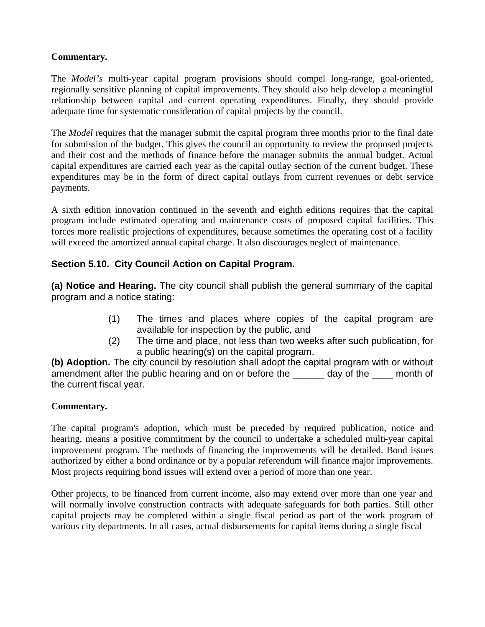### **Commentary.**

The *Model's* multi-year capital program provisions should compel long-range, goal-oriented, regionally sensitive planning of capital improvements. They should also help develop a meaningful relationship between capital and current operating expenditures. Finally, they should provide adequate time for systematic consideration of capital projects by the council.

The *Model* requires that the manager submit the capital program three months prior to the final date for submission of the budget. This gives the council an opportunity to review the proposed projects and their cost and the methods of finance before the manager submits the annual budget. Actual capital expenditures are carried each year as the capital outlay section of the current budget. These expenditures may be in the form of direct capital outlays from current revenues or debt service payments.

A sixth edition innovation continued in the seventh and eighth editions requires that the capital program include estimated operating and maintenance costs of proposed capital facilities. This forces more realistic projections of expenditures, because sometimes the operating cost of a facility will exceed the amortized annual capital charge. It also discourages neglect of maintenance.

# **Section 5.10. City Council Action on Capital Program.**

**(a) Notice and Hearing.** The city council shall publish the general summary of the capital program and a notice stating:

- (1) The times and places where copies of the capital program are available for inspection by the public, and
- (2) The time and place, not less than two weeks after such publication, for a public hearing(s) on the capital program.

**(b) Adoption.** The city council by resolution shall adopt the capital program with or without amendment after the public hearing and on or before the \_\_\_\_\_\_ day of the \_\_\_\_ month of the current fiscal year.

### **Commentary.**

The capital program's adoption, which must be preceded by required publication, notice and hearing, means a positive commitment by the council to undertake a scheduled multi-year capital improvement program. The methods of financing the improvements will be detailed. Bond issues authorized by either a bond ordinance or by a popular referendum will finance major improvements. Most projects requiring bond issues will extend over a period of more than one year.

Other projects, to be financed from current income, also may extend over more than one year and will normally involve construction contracts with adequate safeguards for both parties. Still other capital projects may be completed within a single fiscal period as part of the work program of various city departments. In all cases, actual disbursements for capital items during a single fiscal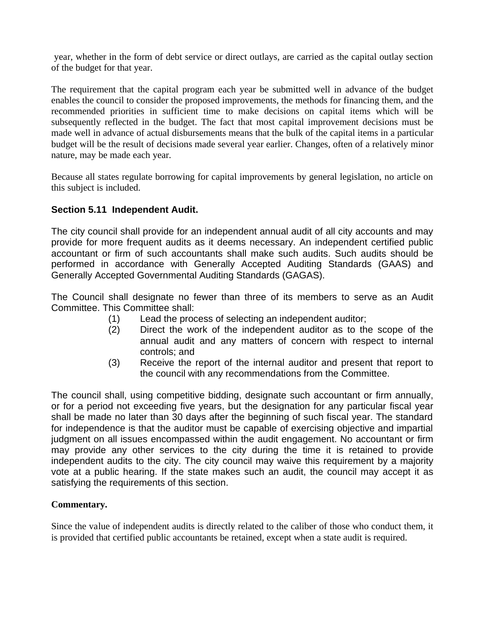year, whether in the form of debt service or direct outlays, are carried as the capital outlay section of the budget for that year.

The requirement that the capital program each year be submitted well in advance of the budget enables the council to consider the proposed improvements, the methods for financing them, and the recommended priorities in sufficient time to make decisions on capital items which will be subsequently reflected in the budget. The fact that most capital improvement decisions must be made well in advance of actual disbursements means that the bulk of the capital items in a particular budget will be the result of decisions made several year earlier. Changes, often of a relatively minor nature, may be made each year.

Because all states regulate borrowing for capital improvements by general legislation, no article on this subject is included.

### **Section 5.11 Independent Audit.**

The city council shall provide for an independent annual audit of all city accounts and may provide for more frequent audits as it deems necessary. An independent certified public accountant or firm of such accountants shall make such audits. Such audits should be performed in accordance with Generally Accepted Auditing Standards (GAAS) and Generally Accepted Governmental Auditing Standards (GAGAS).

The Council shall designate no fewer than three of its members to serve as an Audit Committee. This Committee shall:

- (1) Lead the process of selecting an independent auditor;
- (2) Direct the work of the independent auditor as to the scope of the annual audit and any matters of concern with respect to internal controls; and
- (3) Receive the report of the internal auditor and present that report to the council with any recommendations from the Committee.

The council shall, using competitive bidding, designate such accountant or firm annually, or for a period not exceeding five years, but the designation for any particular fiscal year shall be made no later than 30 days after the beginning of such fiscal year. The standard for independence is that the auditor must be capable of exercising objective and impartial judgment on all issues encompassed within the audit engagement. No accountant or firm may provide any other services to the city during the time it is retained to provide independent audits to the city. The city council may waive this requirement by a majority vote at a public hearing. If the state makes such an audit, the council may accept it as satisfying the requirements of this section.

### **Commentary.**

Since the value of independent audits is directly related to the caliber of those who conduct them, it is provided that certified public accountants be retained, except when a state audit is required.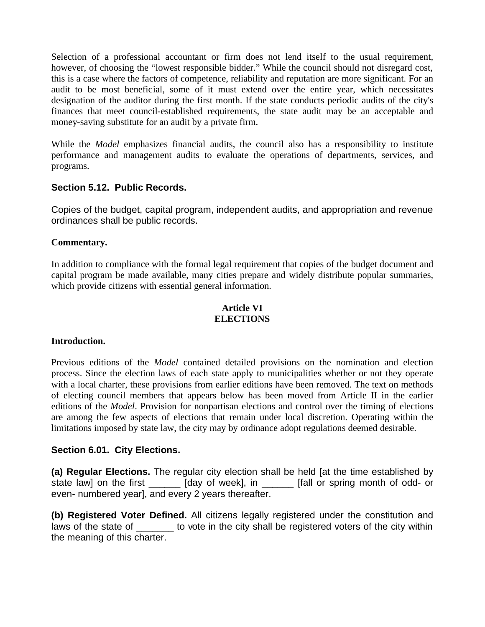Selection of a professional accountant or firm does not lend itself to the usual requirement, however, of choosing the "lowest responsible bidder." While the council should not disregard cost, this is a case where the factors of competence, reliability and reputation are more significant. For an audit to be most beneficial, some of it must extend over the entire year, which necessitates designation of the auditor during the first month. If the state conducts periodic audits of the city's finances that meet council-established requirements, the state audit may be an acceptable and money-saving substitute for an audit by a private firm.

While the *Model* emphasizes financial audits, the council also has a responsibility to institute performance and management audits to evaluate the operations of departments, services, and programs.

### **Section 5.12. Public Records.**

Copies of the budget, capital program, independent audits, and appropriation and revenue ordinances shall be public records.

#### **Commentary.**

In addition to compliance with the formal legal requirement that copies of the budget document and capital program be made available, many cities prepare and widely distribute popular summaries, which provide citizens with essential general information.

#### **Article VI ELECTIONS**

#### **Introduction.**

Previous editions of the *Model* contained detailed provisions on the nomination and election process. Since the election laws of each state apply to municipalities whether or not they operate with a local charter, these provisions from earlier editions have been removed. The text on methods of electing council members that appears below has been moved from Article II in the earlier editions of the *Model*. Provision for nonpartisan elections and control over the timing of elections are among the few aspects of elections that remain under local discretion. Operating within the limitations imposed by state law, the city may by ordinance adopt regulations deemed desirable.

#### **Section 6.01. City Elections.**

**(a) Regular Elections.** The regular city election shall be held [at the time established by state law] on the first \_\_\_\_\_\_ [day of week], in \_\_\_\_\_\_ [fall or spring month of odd- or even- numbered year], and every 2 years thereafter.

**(b) Registered Voter Defined.** All citizens legally registered under the constitution and laws of the state of \_\_\_\_\_\_\_ to vote in the city shall be registered voters of the city within the meaning of this charter.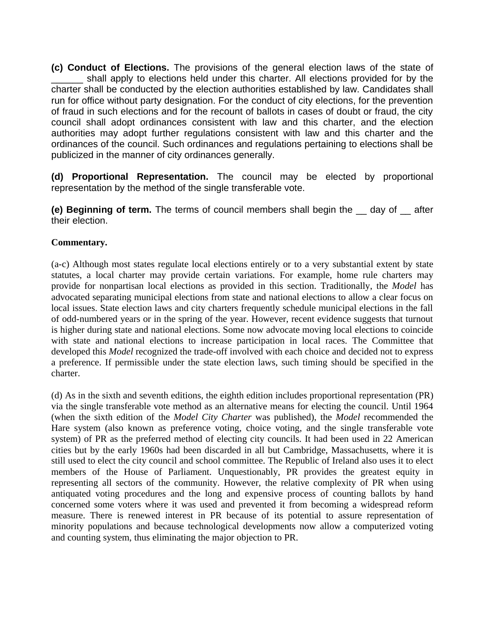**(c) Conduct of Elections.** The provisions of the general election laws of the state of shall apply to elections held under this charter. All elections provided for by the charter shall be conducted by the election authorities established by law. Candidates shall run for office without party designation. For the conduct of city elections, for the prevention of fraud in such elections and for the recount of ballots in cases of doubt or fraud, the city council shall adopt ordinances consistent with law and this charter, and the election authorities may adopt further regulations consistent with law and this charter and the ordinances of the council. Such ordinances and regulations pertaining to elections shall be publicized in the manner of city ordinances generally.

**(d) Proportional Representation.** The council may be elected by proportional representation by the method of the single transferable vote.

**(e) Beginning of term.** The terms of council members shall begin the \_\_ day of \_\_ after their election.

### **Commentary.**

(a-c) Although most states regulate local elections entirely or to a very substantial extent by state statutes, a local charter may provide certain variations. For example, home rule charters may provide for nonpartisan local elections as provided in this section. Traditionally, the *Model* has advocated separating municipal elections from state and national elections to allow a clear focus on local issues. State election laws and city charters frequently schedule municipal elections in the fall of odd-numbered years or in the spring of the year. However, recent evidence suggests that turnout is higher during state and national elections. Some now advocate moving local elections to coincide with state and national elections to increase participation in local races. The Committee that developed this *Model* recognized the trade-off involved with each choice and decided not to express a preference. If permissible under the state election laws, such timing should be specified in the charter.

(d) As in the sixth and seventh editions, the eighth edition includes proportional representation (PR) via the single transferable vote method as an alternative means for electing the council. Until 1964 (when the sixth edition of the *Model City Charter* was published), the *Model* recommended the Hare system (also known as preference voting, choice voting, and the single transferable vote system) of PR as the preferred method of electing city councils. It had been used in 22 American cities but by the early 1960s had been discarded in all but Cambridge, Massachusetts, where it is still used to elect the city council and school committee. The Republic of Ireland also uses it to elect members of the House of Parliament. Unquestionably, PR provides the greatest equity in representing all sectors of the community. However, the relative complexity of PR when using antiquated voting procedures and the long and expensive process of counting ballots by hand concerned some voters where it was used and prevented it from becoming a widespread reform measure. There is renewed interest in PR because of its potential to assure representation of minority populations and because technological developments now allow a computerized voting and counting system, thus eliminating the major objection to PR.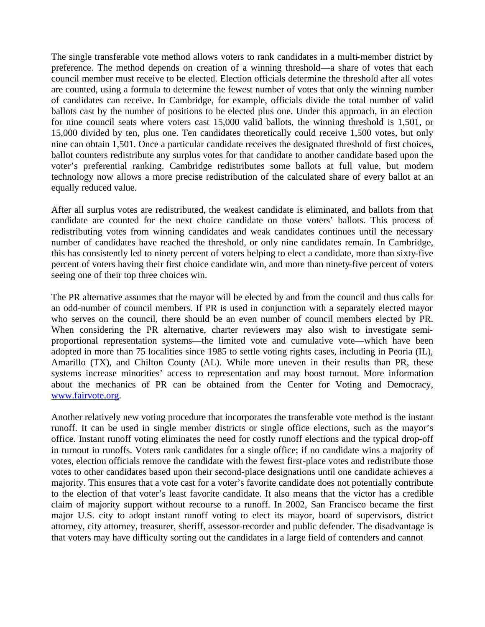The single transferable vote method allows voters to rank candidates in a multi-member district by preference. The method depends on creation of a winning threshold—a share of votes that each council member must receive to be elected. Election officials determine the threshold after all votes are counted, using a formula to determine the fewest number of votes that only the winning number of candidates can receive. In Cambridge, for example, officials divide the total number of valid ballots cast by the number of positions to be elected plus one. Under this approach, in an election for nine council seats where voters cast 15,000 valid ballots, the winning threshold is 1,501, or 15,000 divided by ten, plus one. Ten candidates theoretically could receive 1,500 votes, but only nine can obtain 1,501. Once a particular candidate receives the designated threshold of first choices, ballot counters redistribute any surplus votes for that candidate to another candidate based upon the voter's preferential ranking. Cambridge redistributes some ballots at full value, but modern technology now allows a more precise redistribution of the calculated share of every ballot at an equally reduced value.

After all surplus votes are redistributed, the weakest candidate is eliminated, and ballots from that candidate are counted for the next choice candidate on those voters' ballots. This process of redistributing votes from winning candidates and weak candidates continues until the necessary number of candidates have reached the threshold, or only nine candidates remain. In Cambridge, this has consistently led to ninety percent of voters helping to elect a candidate, more than sixty-five percent of voters having their first choice candidate win, and more than ninety-five percent of voters seeing one of their top three choices win.

The PR alternative assumes that the mayor will be elected by and from the council and thus calls for an odd-number of council members. If PR is used in conjunction with a separately elected mayor who serves on the council, there should be an even number of council members elected by PR. When considering the PR alternative, charter reviewers may also wish to investigate semiproportional representation systems—the limited vote and cumulative vote—which have been adopted in more than 75 localities since 1985 to settle voting rights cases, including in Peoria (IL), Amarillo (TX), and Chilton County (AL). While more uneven in their results than PR, these systems increase minorities' access to representation and may boost turnout. More information about the mechanics of PR can be obtained from the Center for Voting and Democracy, www.fairvote.org.

Another relatively new voting procedure that incorporates the transferable vote method is the instant runoff. It can be used in single member districts or single office elections, such as the mayor's office. Instant runoff voting eliminates the need for costly runoff elections and the typical drop-off in turnout in runoffs. Voters rank candidates for a single office; if no candidate wins a majority of votes, election officials remove the candidate with the fewest first-place votes and redistribute those votes to other candidates based upon their second-place designations until one candidate achieves a majority. This ensures that a vote cast for a voter's favorite candidate does not potentially contribute to the election of that voter's least favorite candidate. It also means that the victor has a credible claim of majority support without recourse to a runoff. In 2002, San Francisco became the first major U.S. city to adopt instant runoff voting to elect its mayor, board of supervisors, district attorney, city attorney, treasurer, sheriff, assessor-recorder and public defender. The disadvantage is that voters may have difficulty sorting out the candidates in a large field of contenders and cannot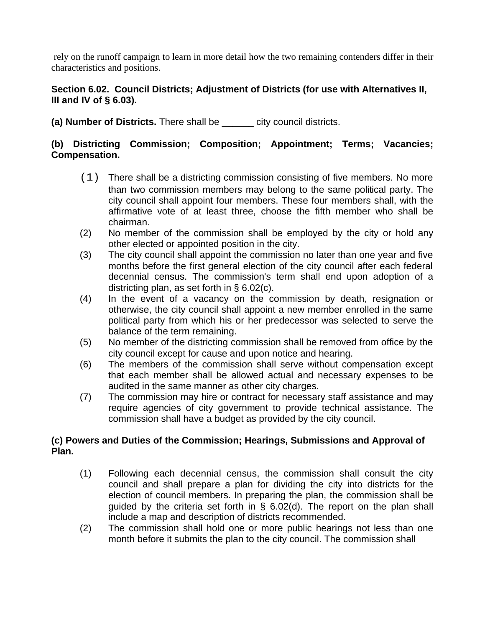rely on the runoff campaign to learn in more detail how the two remaining contenders differ in their characteristics and positions.

### **Section 6.02. Council Districts; Adjustment of Districts (for use with Alternatives II, III and IV of § 6.03).**

**(a) Number of Districts.** There shall be \_\_\_\_\_\_ city council districts.

# **(b) Districting Commission; Composition; Appointment; Terms; Vacancies; Compensation.**

- (1) There shall be a districting commission consisting of five members. No more than two commission members may belong to the same political party. The city council shall appoint four members. These four members shall, with the affirmative vote of at least three, choose the fifth member who shall be chairman.
- (2) No member of the commission shall be employed by the city or hold any other elected or appointed position in the city.
- (3) The city council shall appoint the commission no later than one year and five months before the first general election of the city council after each federal decennial census. The commission's term shall end upon adoption of a districting plan, as set forth in § 6.02(c).
- (4) In the event of a vacancy on the commission by death, resignation or otherwise, the city council shall appoint a new member enrolled in the same political party from which his or her predecessor was selected to serve the balance of the term remaining.
- (5) No member of the districting commission shall be removed from office by the city council except for cause and upon notice and hearing.
- (6) The members of the commission shall serve without compensation except that each member shall be allowed actual and necessary expenses to be audited in the same manner as other city charges.
- (7) The commission may hire or contract for necessary staff assistance and may require agencies of city government to provide technical assistance. The commission shall have a budget as provided by the city council.

# **(c) Powers and Duties of the Commission; Hearings, Submissions and Approval of Plan.**

- (1) Following each decennial census, the commission shall consult the city council and shall prepare a plan for dividing the city into districts for the election of council members. In preparing the plan, the commission shall be guided by the criteria set forth in § 6.02(d). The report on the plan shall include a map and description of districts recommended.
- (2) The commission shall hold one or more public hearings not less than one month before it submits the plan to the city council. The commission shall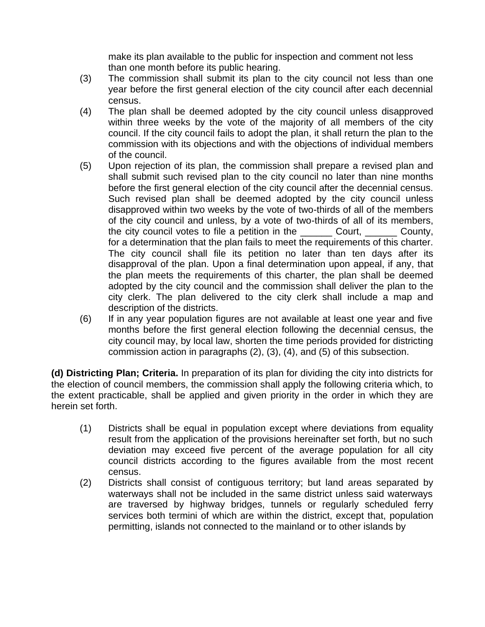make its plan available to the public for inspection and comment not less than one month before its public hearing.

- (3) The commission shall submit its plan to the city council not less than one year before the first general election of the city council after each decennial census.
- (4) The plan shall be deemed adopted by the city council unless disapproved within three weeks by the vote of the majority of all members of the city council. If the city council fails to adopt the plan, it shall return the plan to the commission with its objections and with the objections of individual members of the council.
- (5) Upon rejection of its plan, the commission shall prepare a revised plan and shall submit such revised plan to the city council no later than nine months before the first general election of the city council after the decennial census. Such revised plan shall be deemed adopted by the city council unless disapproved within two weeks by the vote of two-thirds of all of the members of the city council and unless, by a vote of two-thirds of all of its members, the city council votes to file a petition in the \_\_\_\_\_\_ Court, \_\_\_\_\_\_ County, for a determination that the plan fails to meet the requirements of this charter. The city council shall file its petition no later than ten days after its disapproval of the plan. Upon a final determination upon appeal, if any, that the plan meets the requirements of this charter, the plan shall be deemed adopted by the city council and the commission shall deliver the plan to the city clerk. The plan delivered to the city clerk shall include a map and description of the districts.
- (6) If in any year population figures are not available at least one year and five months before the first general election following the decennial census, the city council may, by local law, shorten the time periods provided for districting commission action in paragraphs (2), (3), (4), and (5) of this subsection.

**(d) Districting Plan; Criteria.** In preparation of its plan for dividing the city into districts for the election of council members, the commission shall apply the following criteria which, to the extent practicable, shall be applied and given priority in the order in which they are herein set forth.

- (1) Districts shall be equal in population except where deviations from equality result from the application of the provisions hereinafter set forth, but no such deviation may exceed five percent of the average population for all city council districts according to the figures available from the most recent census.
- (2) Districts shall consist of contiguous territory; but land areas separated by waterways shall not be included in the same district unless said waterways are traversed by highway bridges, tunnels or regularly scheduled ferry services both termini of which are within the district, except that, population permitting, islands not connected to the mainland or to other islands by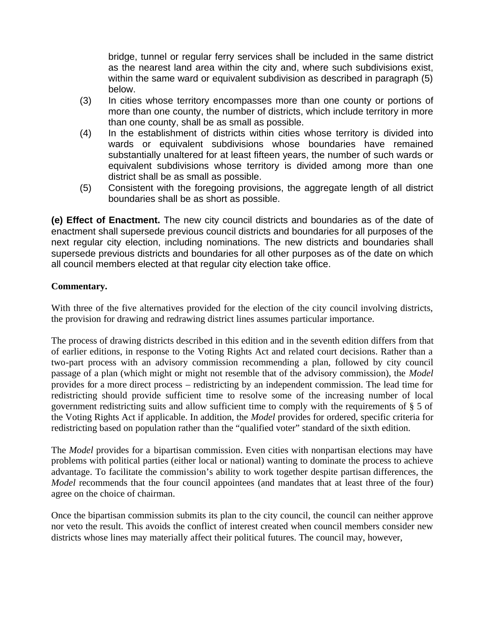bridge, tunnel or regular ferry services shall be included in the same district as the nearest land area within the city and, where such subdivisions exist, within the same ward or equivalent subdivision as described in paragraph (5) below.

- (3) In cities whose territory encompasses more than one county or portions of more than one county, the number of districts, which include territory in more than one county, shall be as small as possible.
- (4) In the establishment of districts within cities whose territory is divided into wards or equivalent subdivisions whose boundaries have remained substantially unaltered for at least fifteen years, the number of such wards or equivalent subdivisions whose territory is divided among more than one district shall be as small as possible.
- (5) Consistent with the foregoing provisions, the aggregate length of all district boundaries shall be as short as possible.

**(e) Effect of Enactment.** The new city council districts and boundaries as of the date of enactment shall supersede previous council districts and boundaries for all purposes of the next regular city election, including nominations. The new districts and boundaries shall supersede previous districts and boundaries for all other purposes as of the date on which all council members elected at that regular city election take office.

### **Commentary.**

With three of the five alternatives provided for the election of the city council involving districts, the provision for drawing and redrawing district lines assumes particular importance.

The process of drawing districts described in this edition and in the seventh edition differs from that of earlier editions, in response to the Voting Rights Act and related court decisions. Rather than a two-part process with an advisory commission recommending a plan, followed by city council passage of a plan (which might or might not resemble that of the advisory commission), the *Model* provides for a more direct process – redistricting by an independent commission. The lead time for redistricting should provide sufficient time to resolve some of the increasing number of local government redistricting suits and allow sufficient time to comply with the requirements of § 5 of the Voting Rights Act if applicable. In addition, the *Model* provides for ordered, specific criteria for redistricting based on population rather than the "qualified voter" standard of the sixth edition.

The *Model* provides for a bipartisan commission. Even cities with nonpartisan elections may have problems with political parties (either local or national) wanting to dominate the process to achieve advantage. To facilitate the commission's ability to work together despite partisan differences, the *Model* recommends that the four council appointees (and mandates that at least three of the four) agree on the choice of chairman.

Once the bipartisan commission submits its plan to the city council, the council can neither approve nor veto the result. This avoids the conflict of interest created when council members consider new districts whose lines may materially affect their political futures. The council may, however,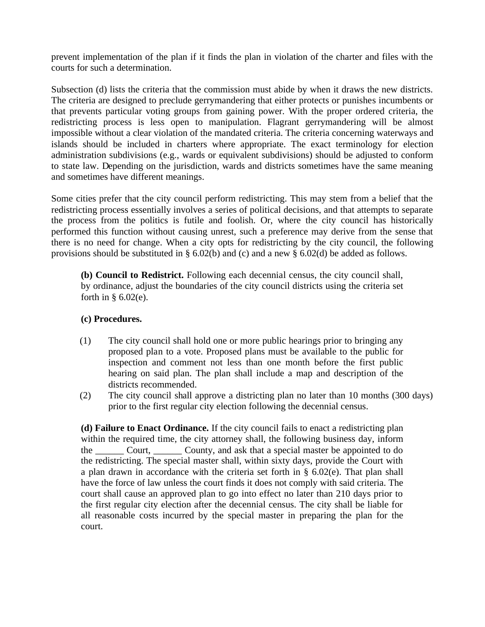prevent implementation of the plan if it finds the plan in violation of the charter and files with the courts for such a determination.

Subsection (d) lists the criteria that the commission must abide by when it draws the new districts. The criteria are designed to preclude gerrymandering that either protects or punishes incumbents or that prevents particular voting groups from gaining power. With the proper ordered criteria, the redistricting process is less open to manipulation. Flagrant gerrymandering will be almost impossible without a clear violation of the mandated criteria. The criteria concerning waterways and islands should be included in charters where appropriate. The exact terminology for election administration subdivisions (e.g., wards or equivalent subdivisions) should be adjusted to conform to state law. Depending on the jurisdiction, wards and districts sometimes have the same meaning and sometimes have different meanings.

Some cities prefer that the city council perform redistricting. This may stem from a belief that the redistricting process essentially involves a series of political decisions, and that attempts to separate the process from the politics is futile and foolish. Or, where the city council has historically performed this function without causing unrest, such a preference may derive from the sense that there is no need for change. When a city opts for redistricting by the city council, the following provisions should be substituted in § 6.02(b) and (c) and a new § 6.02(d) be added as follows.

**(b) Council to Redistrict.** Following each decennial census, the city council shall, by ordinance, adjust the boundaries of the city council districts using the criteria set forth in  $§ 6.02(e)$ .

#### **(c) Procedures.**

- (1) The city council shall hold one or more public hearings prior to bringing any proposed plan to a vote. Proposed plans must be available to the public for inspection and comment not less than one month before the first public hearing on said plan. The plan shall include a map and description of the districts recommended.
- (2) The city council shall approve a districting plan no later than 10 months (300 days) prior to the first regular city election following the decennial census.

**(d) Failure to Enact Ordinance.** If the city council fails to enact a redistricting plan within the required time, the city attorney shall, the following business day, inform the Court, County, and ask that a special master be appointed to do the redistricting. The special master shall, within sixty days, provide the Court with a plan drawn in accordance with the criteria set forth in § 6.02(e). That plan shall have the force of law unless the court finds it does not comply with said criteria. The court shall cause an approved plan to go into effect no later than 210 days prior to the first regular city election after the decennial census. The city shall be liable for all reasonable costs incurred by the special master in preparing the plan for the court.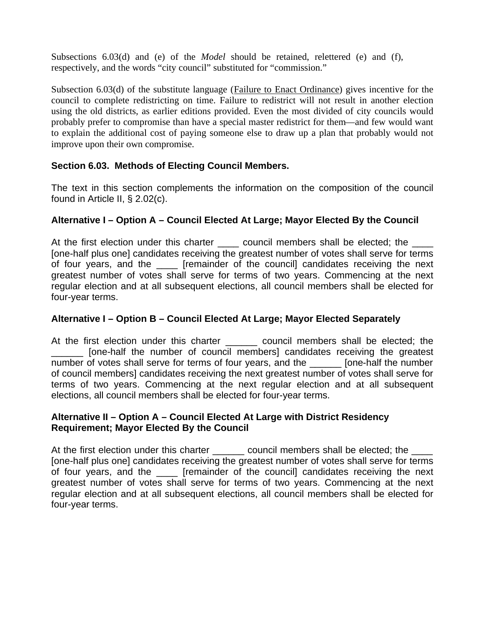Subsections 6.03(d) and (e) of the *Model* should be retained, relettered (e) and (f), respectively, and the words "city council" substituted for "commission."

Subsection 6.03(d) of the substitute language (Failure to Enact Ordinance) gives incentive for the council to complete redistricting on time. Failure to redistrict will not result in another election using the old districts, as earlier editions provided. Even the most divided of city councils would probably prefer to compromise than have a special master redistrict for them—and few would want to explain the additional cost of paying someone else to draw up a plan that probably would not improve upon their own compromise.

# **Section 6.03. Methods of Electing Council Members.**

The text in this section complements the information on the composition of the council found in Article II, § 2.02(c).

# **Alternative I – Option A – Council Elected At Large; Mayor Elected By the Council**

At the first election under this charter \_\_\_\_\_ council members shall be elected; the \_\_\_\_ [one-half plus one] candidates receiving the greatest number of votes shall serve for terms of four years, and the \_\_\_\_ [remainder of the council] candidates receiving the next greatest number of votes shall serve for terms of two years. Commencing at the next regular election and at all subsequent elections, all council members shall be elected for four-year terms.

# **Alternative I – Option B – Council Elected At Large; Mayor Elected Separately**

At the first election under this charter \_\_\_\_\_\_\_ council members shall be elected; the [one-half the number of council members] candidates receiving the greatest number of votes shall serve for terms of four years, and the **Frankland** [one-half the number of council members] candidates receiving the next greatest number of votes shall serve for terms of two years. Commencing at the next regular election and at all subsequent elections, all council members shall be elected for four-year terms.

### **Alternative II – Option A – Council Elected At Large with District Residency Requirement; Mayor Elected By the Council**

At the first election under this charter council members shall be elected; the [one-half plus one] candidates receiving the greatest number of votes shall serve for terms of four years, and the \_\_\_\_ [remainder of the council] candidates receiving the next greatest number of votes shall serve for terms of two years. Commencing at the next regular election and at all subsequent elections, all council members shall be elected for four-year terms.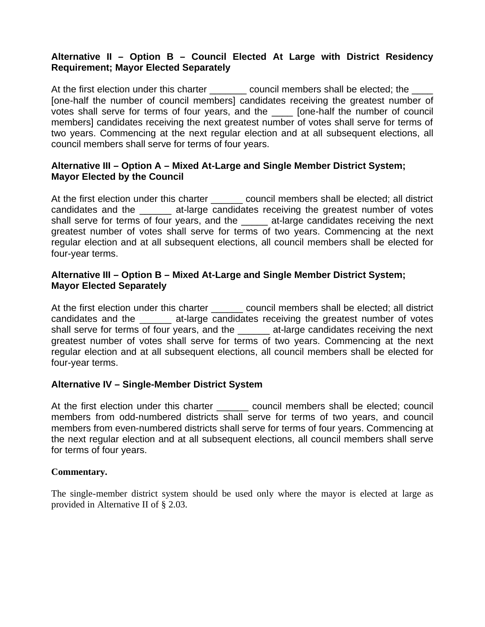### **Alternative II – Option B – Council Elected At Large with District Residency Requirement; Mayor Elected Separately**

At the first election under this charter \_\_\_\_\_\_\_\_ council members shall be elected; the \_\_\_\_ [one-half the number of council members] candidates receiving the greatest number of votes shall serve for terms of four years, and the \_\_\_\_ [one-half the number of council members] candidates receiving the next greatest number of votes shall serve for terms of two years. Commencing at the next regular election and at all subsequent elections, all council members shall serve for terms of four years.

### **Alternative III – Option A – Mixed At-Large and Single Member District System; Mayor Elected by the Council**

At the first election under this charter \_\_\_\_\_\_ council members shall be elected; all district candidates and the \_\_\_\_\_\_ at-large candidates receiving the greatest number of votes shall serve for terms of four years, and the \_\_\_\_\_ at-large candidates receiving the next greatest number of votes shall serve for terms of two years. Commencing at the next regular election and at all subsequent elections, all council members shall be elected for four-year terms.

### **Alternative III – Option B – Mixed At-Large and Single Member District System; Mayor Elected Separately**

At the first election under this charter \_\_\_\_\_\_ council members shall be elected; all district candidates and the \_\_\_\_\_\_ at-large candidates receiving the greatest number of votes shall serve for terms of four years, and the \_\_\_\_\_\_ at-large candidates receiving the next greatest number of votes shall serve for terms of two years. Commencing at the next regular election and at all subsequent elections, all council members shall be elected for four-year terms.

# **Alternative IV – Single-Member District System**

At the first election under this charter example council members shall be elected; council members from odd-numbered districts shall serve for terms of two years, and council members from even-numbered districts shall serve for terms of four years. Commencing at the next regular election and at all subsequent elections, all council members shall serve for terms of four years.

### **Commentary.**

The single-member district system should be used only where the mayor is elected at large as provided in Alternative II of § 2.03.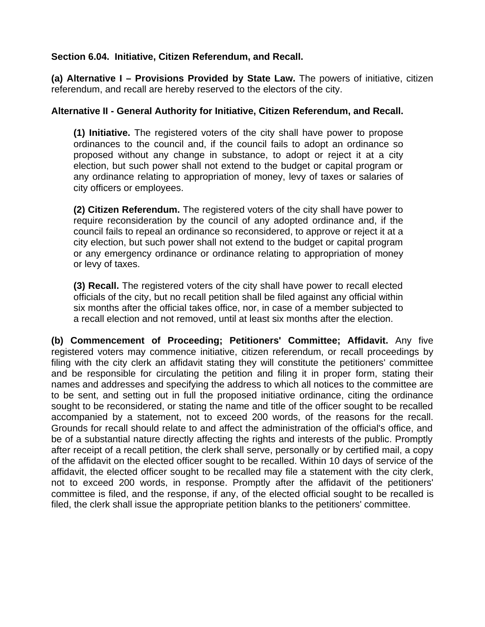### **Section 6.04. Initiative, Citizen Referendum, and Recall.**

**(a) Alternative I – Provisions Provided by State Law.** The powers of initiative, citizen referendum, and recall are hereby reserved to the electors of the city.

### **Alternative II - General Authority for Initiative, Citizen Referendum, and Recall.**

**(1) Initiative.** The registered voters of the city shall have power to propose ordinances to the council and, if the council fails to adopt an ordinance so proposed without any change in substance, to adopt or reject it at a city election, but such power shall not extend to the budget or capital program or any ordinance relating to appropriation of money, levy of taxes or salaries of city officers or employees.

**(2) Citizen Referendum.** The registered voters of the city shall have power to require reconsideration by the council of any adopted ordinance and, if the council fails to repeal an ordinance so reconsidered, to approve or reject it at a city election, but such power shall not extend to the budget or capital program or any emergency ordinance or ordinance relating to appropriation of money or levy of taxes.

**(3) Recall.** The registered voters of the city shall have power to recall elected officials of the city, but no recall petition shall be filed against any official within six months after the official takes office, nor, in case of a member subjected to a recall election and not removed, until at least six months after the election.

**(b) Commencement of Proceeding; Petitioners' Committee; Affidavit.** Any five registered voters may commence initiative, citizen referendum, or recall proceedings by filing with the city clerk an affidavit stating they will constitute the petitioners' committee and be responsible for circulating the petition and filing it in proper form, stating their names and addresses and specifying the address to which all notices to the committee are to be sent, and setting out in full the proposed initiative ordinance, citing the ordinance sought to be reconsidered, or stating the name and title of the officer sought to be recalled accompanied by a statement, not to exceed 200 words, of the reasons for the recall. Grounds for recall should relate to and affect the administration of the official's office, and be of a substantial nature directly affecting the rights and interests of the public. Promptly after receipt of a recall petition, the clerk shall serve, personally or by certified mail, a copy of the affidavit on the elected officer sought to be recalled. Within 10 days of service of the affidavit, the elected officer sought to be recalled may file a statement with the city clerk, not to exceed 200 words, in response. Promptly after the affidavit of the petitioners' committee is filed, and the response, if any, of the elected official sought to be recalled is filed, the clerk shall issue the appropriate petition blanks to the petitioners' committee.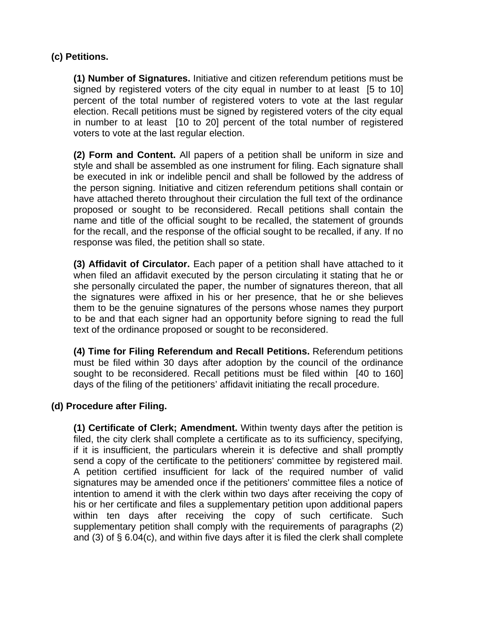# **(c) Petitions.**

**(1) Number of Signatures.** Initiative and citizen referendum petitions must be signed by registered voters of the city equal in number to at least [5 to 10] percent of the total number of registered voters to vote at the last regular election. Recall petitions must be signed by registered voters of the city equal in number to at least [10 to 20] percent of the total number of registered voters to vote at the last regular election.

**(2) Form and Content.** All papers of a petition shall be uniform in size and style and shall be assembled as one instrument for filing. Each signature shall be executed in ink or indelible pencil and shall be followed by the address of the person signing. Initiative and citizen referendum petitions shall contain or have attached thereto throughout their circulation the full text of the ordinance proposed or sought to be reconsidered. Recall petitions shall contain the name and title of the official sought to be recalled, the statement of grounds for the recall, and the response of the official sought to be recalled, if any. If no response was filed, the petition shall so state.

**(3) Affidavit of Circulator.** Each paper of a petition shall have attached to it when filed an affidavit executed by the person circulating it stating that he or she personally circulated the paper, the number of signatures thereon, that all the signatures were affixed in his or her presence, that he or she believes them to be the genuine signatures of the persons whose names they purport to be and that each signer had an opportunity before signing to read the full text of the ordinance proposed or sought to be reconsidered.

**(4) Time for Filing Referendum and Recall Petitions.** Referendum petitions must be filed within 30 days after adoption by the council of the ordinance sought to be reconsidered. Recall petitions must be filed within [40 to 160] days of the filing of the petitioners' affidavit initiating the recall procedure.

### **(d) Procedure after Filing.**

**(1) Certificate of Clerk; Amendment.** Within twenty days after the petition is filed, the city clerk shall complete a certificate as to its sufficiency, specifying, if it is insufficient, the particulars wherein it is defective and shall promptly send a copy of the certificate to the petitioners' committee by registered mail. A petition certified insufficient for lack of the required number of valid signatures may be amended once if the petitioners' committee files a notice of intention to amend it with the clerk within two days after receiving the copy of his or her certificate and files a supplementary petition upon additional papers within ten days after receiving the copy of such certificate. Such supplementary petition shall comply with the requirements of paragraphs (2) and (3) of § 6.04(c), and within five days after it is filed the clerk shall complete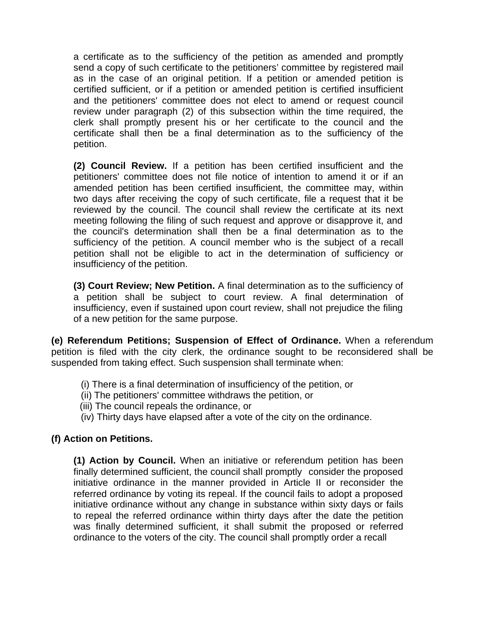a certificate as to the sufficiency of the petition as amended and promptly send a copy of such certificate to the petitioners' committee by registered mail as in the case of an original petition. If a petition or amended petition is certified sufficient, or if a petition or amended petition is certified insufficient and the petitioners' committee does not elect to amend or request council review under paragraph (2) of this subsection within the time required, the clerk shall promptly present his or her certificate to the council and the certificate shall then be a final determination as to the sufficiency of the petition.

**(2) Council Review.** If a petition has been certified insufficient and the petitioners' committee does not file notice of intention to amend it or if an amended petition has been certified insufficient, the committee may, within two days after receiving the copy of such certificate, file a request that it be reviewed by the council. The council shall review the certificate at its next meeting following the filing of such request and approve or disapprove it, and the council's determination shall then be a final determination as to the sufficiency of the petition. A council member who is the subject of a recall petition shall not be eligible to act in the determination of sufficiency or insufficiency of the petition.

**(3) Court Review; New Petition.** A final determination as to the sufficiency of a petition shall be subject to court review. A final determination of insufficiency, even if sustained upon court review, shall not prejudice the filing of a new petition for the same purpose.

**(e) Referendum Petitions; Suspension of Effect of Ordinance.** When a referendum petition is filed with the city clerk, the ordinance sought to be reconsidered shall be suspended from taking effect. Such suspension shall terminate when:

- (i) There is a final determination of insufficiency of the petition, or
- (ii) The petitioners' committee withdraws the petition, or
- (iii) The council repeals the ordinance, or
- (iv) Thirty days have elapsed after a vote of the city on the ordinance.

### **(f) Action on Petitions.**

**(1) Action by Council.** When an initiative or referendum petition has been finally determined sufficient, the council shall promptly consider the proposed initiative ordinance in the manner provided in Article II or reconsider the referred ordinance by voting its repeal. If the council fails to adopt a proposed initiative ordinance without any change in substance within sixty days or fails to repeal the referred ordinance within thirty days after the date the petition was finally determined sufficient, it shall submit the proposed or referred ordinance to the voters of the city. The council shall promptly order a recall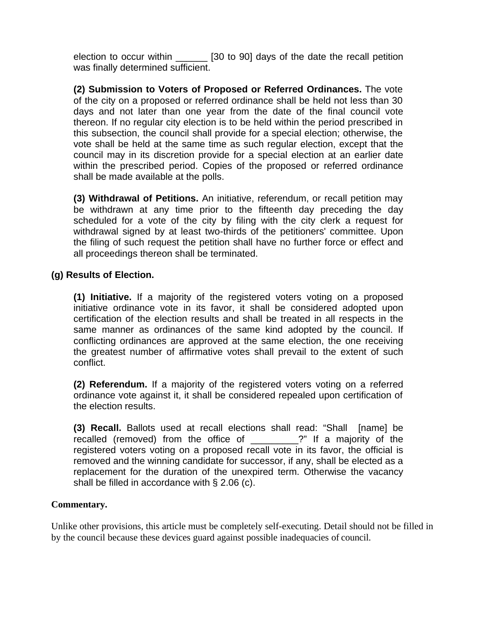election to occur within [30 to 90] days of the date the recall petition was finally determined sufficient.

**(2) Submission to Voters of Proposed or Referred Ordinances.** The vote of the city on a proposed or referred ordinance shall be held not less than 30 days and not later than one year from the date of the final council vote thereon. If no regular city election is to be held within the period prescribed in this subsection, the council shall provide for a special election; otherwise, the vote shall be held at the same time as such regular election, except that the council may in its discretion provide for a special election at an earlier date within the prescribed period. Copies of the proposed or referred ordinance shall be made available at the polls.

**(3) Withdrawal of Petitions.** An initiative, referendum, or recall petition may be withdrawn at any time prior to the fifteenth day preceding the day scheduled for a vote of the city by filing with the city clerk a request for withdrawal signed by at least two-thirds of the petitioners' committee. Upon the filing of such request the petition shall have no further force or effect and all proceedings thereon shall be terminated.

### **(g) Results of Election.**

**(1) Initiative.** If a majority of the registered voters voting on a proposed initiative ordinance vote in its favor, it shall be considered adopted upon certification of the election results and shall be treated in all respects in the same manner as ordinances of the same kind adopted by the council. If conflicting ordinances are approved at the same election, the one receiving the greatest number of affirmative votes shall prevail to the extent of such conflict.

**(2) Referendum.** If a majority of the registered voters voting on a referred ordinance vote against it, it shall be considered repealed upon certification of the election results.

**(3) Recall.** Ballots used at recall elections shall read: "Shall [name] be recalled (removed) from the office of \_\_\_\_\_\_\_\_\_?" If a majority of the registered voters voting on a proposed recall vote in its favor, the official is removed and the winning candidate for successor, if any, shall be elected as a replacement for the duration of the unexpired term. Otherwise the vacancy shall be filled in accordance with § 2.06 (c).

#### **Commentary.**

Unlike other provisions, this article must be completely self-executing. Detail should not be filled in by the council because these devices guard against possible inadequacies of council.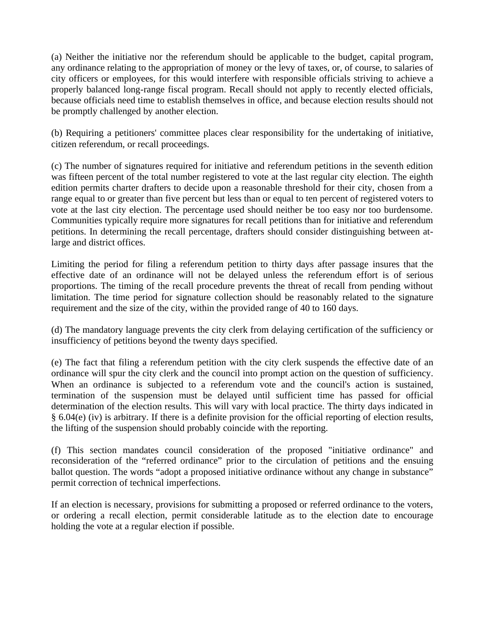(a) Neither the initiative nor the referendum should be applicable to the budget, capital program, any ordinance relating to the appropriation of money or the levy of taxes, or, of course, to salaries of city officers or employees, for this would interfere with responsible officials striving to achieve a properly balanced long-range fiscal program. Recall should not apply to recently elected officials, because officials need time to establish themselves in office, and because election results should not be promptly challenged by another election.

(b) Requiring a petitioners' committee places clear responsibility for the undertaking of initiative, citizen referendum, or recall proceedings.

(c) The number of signatures required for initiative and referendum petitions in the seventh edition was fifteen percent of the total number registered to vote at the last regular city election. The eighth edition permits charter drafters to decide upon a reasonable threshold for their city, chosen from a range equal to or greater than five percent but less than or equal to ten percent of registered voters to vote at the last city election. The percentage used should neither be too easy nor too burdensome. Communities typically require more signatures for recall petitions than for initiative and referendum petitions. In determining the recall percentage, drafters should consider distinguishing between atlarge and district offices.

Limiting the period for filing a referendum petition to thirty days after passage insures that the effective date of an ordinance will not be delayed unless the referendum effort is of serious proportions. The timing of the recall procedure prevents the threat of recall from pending without limitation. The time period for signature collection should be reasonably related to the signature requirement and the size of the city, within the provided range of 40 to 160 days.

(d) The mandatory language prevents the city clerk from delaying certification of the sufficiency or insufficiency of petitions beyond the twenty days specified.

(e) The fact that filing a referendum petition with the city clerk suspends the effective date of an ordinance will spur the city clerk and the council into prompt action on the question of sufficiency. When an ordinance is subjected to a referendum vote and the council's action is sustained, termination of the suspension must be delayed until sufficient time has passed for official determination of the election results. This will vary with local practice. The thirty days indicated in § 6.04(e) (iv) is arbitrary. If there is a definite provision for the official reporting of election results, the lifting of the suspension should probably coincide with the reporting.

(f) This section mandates council consideration of the proposed "initiative ordinance" and reconsideration of the "referred ordinance" prior to the circulation of petitions and the ensuing ballot question. The words "adopt a proposed initiative ordinance without any change in substance" permit correction of technical imperfections.

If an election is necessary, provisions for submitting a proposed or referred ordinance to the voters, or ordering a recall election, permit considerable latitude as to the election date to encourage holding the vote at a regular election if possible.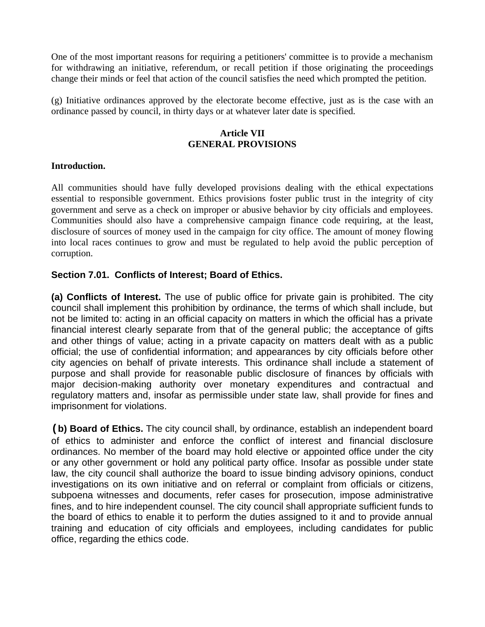One of the most important reasons for requiring a petitioners' committee is to provide a mechanism for withdrawing an initiative, referendum, or recall petition if those originating the proceedings change their minds or feel that action of the council satisfies the need which prompted the petition.

(g) Initiative ordinances approved by the electorate become effective, just as is the case with an ordinance passed by council, in thirty days or at whatever later date is specified.

#### **Article VII GENERAL PROVISIONS**

#### **Introduction.**

All communities should have fully developed provisions dealing with the ethical expectations essential to responsible government. Ethics provisions foster public trust in the integrity of city government and serve as a check on improper or abusive behavior by city officials and employees. Communities should also have a comprehensive campaign finance code requiring, at the least, disclosure of sources of money used in the campaign for city office. The amount of money flowing into local races continues to grow and must be regulated to help avoid the public perception of corruption.

### **Section 7.01. Conflicts of Interest; Board of Ethics.**

**(a) Conflicts of Interest.** The use of public office for private gain is prohibited. The city council shall implement this prohibition by ordinance, the terms of which shall include, but not be limited to: acting in an official capacity on matters in which the official has a private financial interest clearly separate from that of the general public; the acceptance of gifts and other things of value; acting in a private capacity on matters dealt with as a public official; the use of confidential information; and appearances by city officials before other city agencies on behalf of private interests. This ordinance shall include a statement of purpose and shall provide for reasonable public disclosure of finances by officials with major decision-making authority over monetary expenditures and contractual and regulatory matters and, insofar as permissible under state law, shall provide for fines and imprisonment for violations.

**(b) Board of Ethics.** The city council shall, by ordinance, establish an independent board of ethics to administer and enforce the conflict of interest and financial disclosure ordinances. No member of the board may hold elective or appointed office under the city or any other government or hold any political party office. Insofar as possible under state law, the city council shall authorize the board to issue binding advisory opinions, conduct investigations on its own initiative and on referral or complaint from officials or citizens, subpoena witnesses and documents, refer cases for prosecution, impose administrative fines, and to hire independent counsel. The city council shall appropriate sufficient funds to the board of ethics to enable it to perform the duties assigned to it and to provide annual training and education of city officials and employees, including candidates for public office, regarding the ethics code.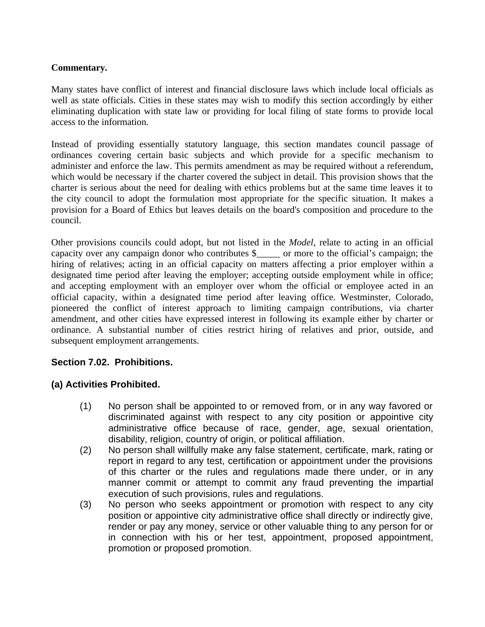# **Commentary.**

Many states have conflict of interest and financial disclosure laws which include local officials as well as state officials. Cities in these states may wish to modify this section accordingly by either eliminating duplication with state law or providing for local filing of state forms to provide local access to the information.

Instead of providing essentially statutory language, this section mandates council passage of ordinances covering certain basic subjects and which provide for a specific mechanism to administer and enforce the law. This permits amendment as may be required without a referendum, which would be necessary if the charter covered the subject in detail. This provision shows that the charter is serious about the need for dealing with ethics problems but at the same time leaves it to the city council to adopt the formulation most appropriate for the specific situation. It makes a provision for a Board of Ethics but leaves details on the board's composition and procedure to the council.

Other provisions councils could adopt, but not listed in the *Model*, relate to acting in an official capacity over any campaign donor who contributes \$ or more to the official's campaign; the hiring of relatives; acting in an official capacity on matters affecting a prior employer within a designated time period after leaving the employer; accepting outside employment while in office; and accepting employment with an employer over whom the official or employee acted in an official capacity, within a designated time period after leaving office. Westminster, Colorado, pioneered the conflict of interest approach to limiting campaign contributions, via charter amendment, and other cities have expressed interest in following its example either by charter or ordinance. A substantial number of cities restrict hiring of relatives and prior, outside, and subsequent employment arrangements.

# **Section 7.02. Prohibitions.**

# **(a) Activities Prohibited.**

- (1) No person shall be appointed to or removed from, or in any way favored or discriminated against with respect to any city position or appointive city administrative office because of race, gender, age, sexual orientation, disability, religion, country of origin, or political affiliation.
- (2) No person shall willfully make any false statement, certificate, mark, rating or report in regard to any test, certification or appointment under the provisions of this charter or the rules and regulations made there under, or in any manner commit or attempt to commit any fraud preventing the impartial execution of such provisions, rules and regulations.
- (3) No person who seeks appointment or promotion with respect to any city position or appointive city administrative office shall directly or indirectly give, render or pay any money, service or other valuable thing to any person for or in connection with his or her test, appointment, proposed appointment, promotion or proposed promotion.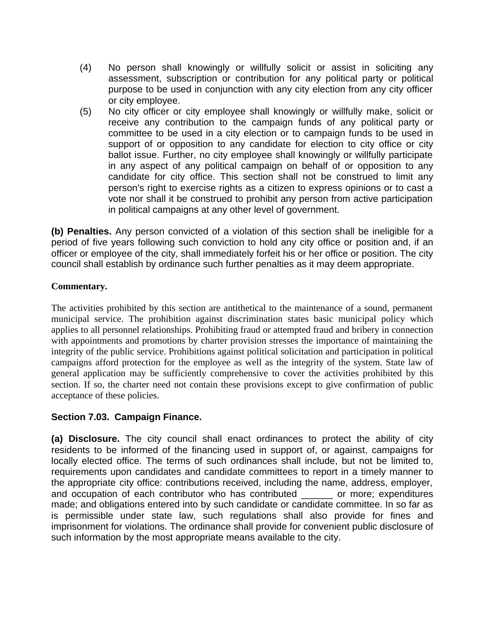- (4) No person shall knowingly or willfully solicit or assist in soliciting any assessment, subscription or contribution for any political party or political purpose to be used in conjunction with any city election from any city officer or city employee.
- (5) No city officer or city employee shall knowingly or willfully make, solicit or receive any contribution to the campaign funds of any political party or committee to be used in a city election or to campaign funds to be used in support of or opposition to any candidate for election to city office or city ballot issue. Further, no city employee shall knowingly or willfully participate in any aspect of any political campaign on behalf of or opposition to any candidate for city office. This section shall not be construed to limit any person's right to exercise rights as a citizen to express opinions or to cast a vote nor shall it be construed to prohibit any person from active participation in political campaigns at any other level of government.

**(b) Penalties.** Any person convicted of a violation of this section shall be ineligible for a period of five years following such conviction to hold any city office or position and, if an officer or employee of the city, shall immediately forfeit his or her office or position. The city council shall establish by ordinance such further penalties as it may deem appropriate.

# **Commentary.**

The activities prohibited by this section are antithetical to the maintenance of a sound, permanent municipal service. The prohibition against discrimination states basic municipal policy which applies to all personnel relationships. Prohibiting fraud or attempted fraud and bribery in connection with appointments and promotions by charter provision stresses the importance of maintaining the integrity of the public service. Prohibitions against political solicitation and participation in political campaigns afford protection for the employee as well as the integrity of the system. State law of general application may be sufficiently comprehensive to cover the activities prohibited by this section. If so, the charter need not contain these provisions except to give confirmation of public acceptance of these policies.

# **Section 7.03. Campaign Finance.**

**(a) Disclosure.** The city council shall enact ordinances to protect the ability of city residents to be informed of the financing used in support of, or against, campaigns for locally elected office. The terms of such ordinances shall include, but not be limited to, requirements upon candidates and candidate committees to report in a timely manner to the appropriate city office: contributions received, including the name, address, employer, and occupation of each contributor who has contributed or more; expenditures made; and obligations entered into by such candidate or candidate committee. In so far as is permissible under state law, such regulations shall also provide for fines and imprisonment for violations. The ordinance shall provide for convenient public disclosure of such information by the most appropriate means available to the city.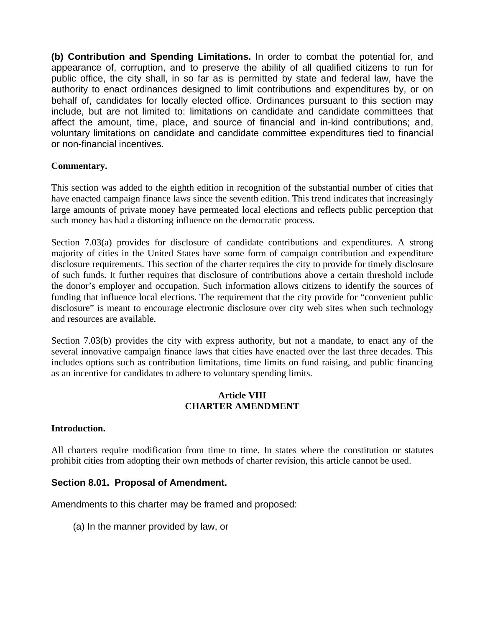**(b) Contribution and Spending Limitations.** In order to combat the potential for, and appearance of, corruption, and to preserve the ability of all qualified citizens to run for public office, the city shall, in so far as is permitted by state and federal law, have the authority to enact ordinances designed to limit contributions and expenditures by, or on behalf of, candidates for locally elected office. Ordinances pursuant to this section may include, but are not limited to: limitations on candidate and candidate committees that affect the amount, time, place, and source of financial and in-kind contributions; and, voluntary limitations on candidate and candidate committee expenditures tied to financial or non-financial incentives.

## **Commentary.**

This section was added to the eighth edition in recognition of the substantial number of cities that have enacted campaign finance laws since the seventh edition. This trend indicates that increasingly large amounts of private money have permeated local elections and reflects public perception that such money has had a distorting influence on the democratic process.

Section 7.03(a) provides for disclosure of candidate contributions and expenditures. A strong majority of cities in the United States have some form of campaign contribution and expenditure disclosure requirements. This section of the charter requires the city to provide for timely disclosure of such funds. It further requires that disclosure of contributions above a certain threshold include the donor's employer and occupation. Such information allows citizens to identify the sources of funding that influence local elections. The requirement that the city provide for "convenient public disclosure" is meant to encourage electronic disclosure over city web sites when such technology and resources are available.

Section 7.03(b) provides the city with express authority, but not a mandate, to enact any of the several innovative campaign finance laws that cities have enacted over the last three decades. This includes options such as contribution limitations, time limits on fund raising, and public financing as an incentive for candidates to adhere to voluntary spending limits.

## **Article VIII CHARTER AMENDMENT**

### **Introduction.**

All charters require modification from time to time. In states where the constitution or statutes prohibit cities from adopting their own methods of charter revision, this article cannot be used.

# **Section 8.01. Proposal of Amendment.**

Amendments to this charter may be framed and proposed:

(a) In the manner provided by law, or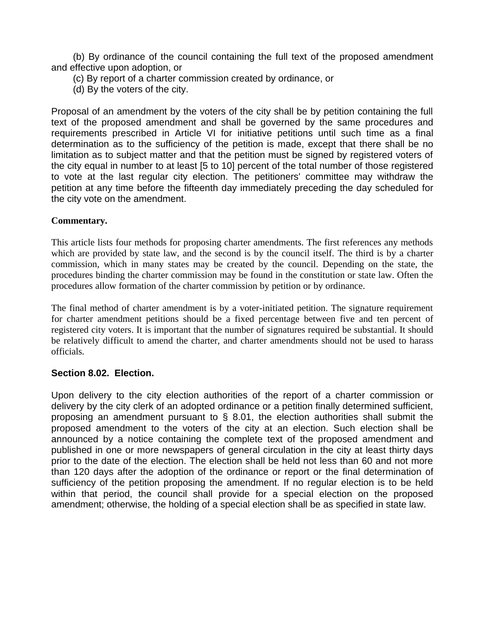(b) By ordinance of the council containing the full text of the proposed amendment and effective upon adoption, or

(c) By report of a charter commission created by ordinance, or

(d) By the voters of the city.

Proposal of an amendment by the voters of the city shall be by petition containing the full text of the proposed amendment and shall be governed by the same procedures and requirements prescribed in Article VI for initiative petitions until such time as a final determination as to the sufficiency of the petition is made, except that there shall be no limitation as to subject matter and that the petition must be signed by registered voters of the city equal in number to at least [5 to 10] percent of the total number of those registered to vote at the last regular city election. The petitioners' committee may withdraw the petition at any time before the fifteenth day immediately preceding the day scheduled for the city vote on the amendment.

# **Commentary.**

This article lists four methods for proposing charter amendments. The first references any methods which are provided by state law, and the second is by the council itself. The third is by a charter commission, which in many states may be created by the council. Depending on the state, the procedures binding the charter commission may be found in the constitution or state law. Often the procedures allow formation of the charter commission by petition or by ordinance.

The final method of charter amendment is by a voter-initiated petition. The signature requirement for charter amendment petitions should be a fixed percentage between five and ten percent of registered city voters. It is important that the number of signatures required be substantial. It should be relatively difficult to amend the charter, and charter amendments should not be used to harass officials.

# **Section 8.02. Election.**

Upon delivery to the city election authorities of the report of a charter commission or delivery by the city clerk of an adopted ordinance or a petition finally determined sufficient, proposing an amendment pursuant to § 8.01, the election authorities shall submit the proposed amendment to the voters of the city at an election. Such election shall be announced by a notice containing the complete text of the proposed amendment and published in one or more newspapers of general circulation in the city at least thirty days prior to the date of the election. The election shall be held not less than 60 and not more than 120 days after the adoption of the ordinance or report or the final determination of sufficiency of the petition proposing the amendment. If no regular election is to be held within that period, the council shall provide for a special election on the proposed amendment; otherwise, the holding of a special election shall be as specified in state law.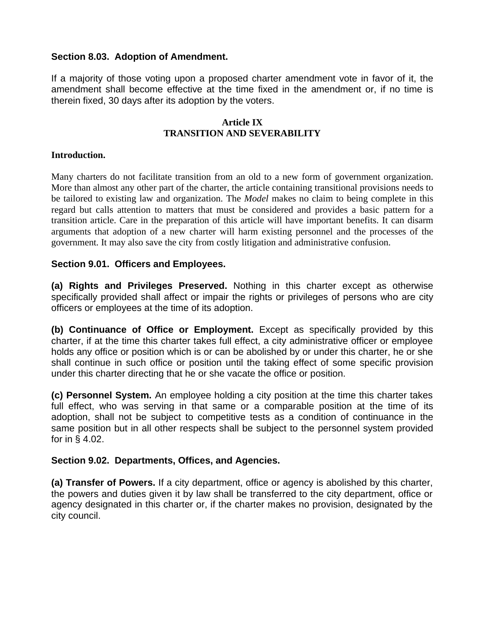# **Section 8.03. Adoption of Amendment.**

If a majority of those voting upon a proposed charter amendment vote in favor of it, the amendment shall become effective at the time fixed in the amendment or, if no time is therein fixed, 30 days after its adoption by the voters.

### **Article IX TRANSITION AND SEVERABILITY**

## **Introduction.**

Many charters do not facilitate transition from an old to a new form of government organization. More than almost any other part of the charter, the article containing transitional provisions needs to be tailored to existing law and organization. The *Model* makes no claim to being complete in this regard but calls attention to matters that must be considered and provides a basic pattern for a transition article. Care in the preparation of this article will have important benefits. It can disarm arguments that adoption of a new charter will harm existing personnel and the processes of the government. It may also save the city from costly litigation and administrative confusion.

# **Section 9.01. Officers and Employees.**

**(a) Rights and Privileges Preserved.** Nothing in this charter except as otherwise specifically provided shall affect or impair the rights or privileges of persons who are city officers or employees at the time of its adoption.

**(b) Continuance of Office or Employment.** Except as specifically provided by this charter, if at the time this charter takes full effect, a city administrative officer or employee holds any office or position which is or can be abolished by or under this charter, he or she shall continue in such office or position until the taking effect of some specific provision under this charter directing that he or she vacate the office or position.

**(c) Personnel System.** An employee holding a city position at the time this charter takes full effect, who was serving in that same or a comparable position at the time of its adoption, shall not be subject to competitive tests as a condition of continuance in the same position but in all other respects shall be subject to the personnel system provided for in § 4.02.

# **Section 9.02. Departments, Offices, and Agencies.**

**(a) Transfer of Powers.** If a city department, office or agency is abolished by this charter, the powers and duties given it by law shall be transferred to the city department, office or agency designated in this charter or, if the charter makes no provision, designated by the city council.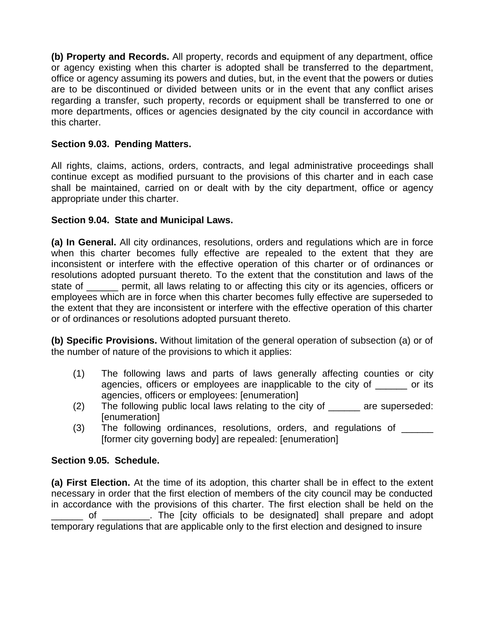**(b) Property and Records.** All property, records and equipment of any department, office or agency existing when this charter is adopted shall be transferred to the department, office or agency assuming its powers and duties, but, in the event that the powers or duties are to be discontinued or divided between units or in the event that any conflict arises regarding a transfer, such property, records or equipment shall be transferred to one or more departments, offices or agencies designated by the city council in accordance with this charter.

# **Section 9.03. Pending Matters.**

All rights, claims, actions, orders, contracts, and legal administrative proceedings shall continue except as modified pursuant to the provisions of this charter and in each case shall be maintained, carried on or dealt with by the city department, office or agency appropriate under this charter.

# **Section 9.04. State and Municipal Laws.**

**(a) In General.** All city ordinances, resolutions, orders and regulations which are in force when this charter becomes fully effective are repealed to the extent that they are inconsistent or interfere with the effective operation of this charter or of ordinances or resolutions adopted pursuant thereto. To the extent that the constitution and laws of the state of \_\_\_\_\_\_ permit, all laws relating to or affecting this city or its agencies, officers or employees which are in force when this charter becomes fully effective are superseded to the extent that they are inconsistent or interfere with the effective operation of this charter or of ordinances or resolutions adopted pursuant thereto.

**(b) Specific Provisions.** Without limitation of the general operation of subsection (a) or of the number of nature of the provisions to which it applies:

- (1) The following laws and parts of laws generally affecting counties or city agencies, officers or employees are inapplicable to the city of or its agencies, officers or employees: [enumeration]
- (2) The following public local laws relating to the city of \_\_\_\_\_\_ are superseded: [enumeration]
- (3) The following ordinances, resolutions, orders, and regulations of [former city governing body] are repealed: [enumeration]

# **Section 9.05. Schedule.**

**(a) First Election.** At the time of its adoption, this charter shall be in effect to the extent necessary in order that the first election of members of the city council may be conducted in accordance with the provisions of this charter. The first election shall be held on the of \_\_\_\_\_\_\_\_. The [city officials to be designated] shall prepare and adopt temporary regulations that are applicable only to the first election and designed to insure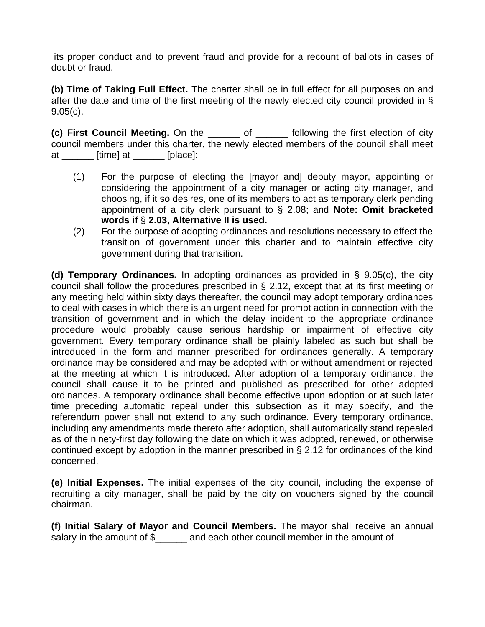its proper conduct and to prevent fraud and provide for a recount of ballots in cases of doubt or fraud.

**(b) Time of Taking Full Effect.** The charter shall be in full effect for all purposes on and after the date and time of the first meeting of the newly elected city council provided in § 9.05(c).

**(c) First Council Meeting.** On the \_\_\_\_\_\_ of \_\_\_\_\_\_ following the first election of city council members under this charter, the newly elected members of the council shall meet at  $\frac{1}{\sqrt{1-\frac{1}{\sqrt{1-\frac{1}{\sqrt{1-\frac{1}{\sqrt{1-\frac{1}{\sqrt{1-\frac{1}{\sqrt{1-\frac{1}{\sqrt{1-\frac{1}{\sqrt{1-\frac{1}{\sqrt{1-\frac{1}{\sqrt{1-\frac{1}{\sqrt{1-\frac{1}{\sqrt{1-\frac{1}{\sqrt{1-\frac{1}{\sqrt{1-\frac{1}{\sqrt{1-\frac{1}{\sqrt{1-\frac{1}{\sqrt{1-\frac{1}{\sqrt{1-\frac{1}{\sqrt{1-\frac{1}{\sqrt{1-\frac{1}{\sqrt{1-\frac{1}{\sqrt{1-\frac{1}{\sqrt{1-\frac{1}{\sqrt{1-\$ 

- (1) For the purpose of electing the [mayor and] deputy mayor, appointing or considering the appointment of a city manager or acting city manager, and choosing, if it so desires, one of its members to act as temporary clerk pending appointment of a city clerk pursuant to § 2.08; and **Note: Omit bracketed words if** § **2.03, Alternative II is used.**
- (2) For the purpose of adopting ordinances and resolutions necessary to effect the transition of government under this charter and to maintain effective city government during that transition.

**(d) Temporary Ordinances.** In adopting ordinances as provided in § 9.05(c), the city council shall follow the procedures prescribed in § 2.12, except that at its first meeting or any meeting held within sixty days thereafter, the council may adopt temporary ordinances to deal with cases in which there is an urgent need for prompt action in connection with the transition of government and in which the delay incident to the appropriate ordinance procedure would probably cause serious hardship or impairment of effective city government. Every temporary ordinance shall be plainly labeled as such but shall be introduced in the form and manner prescribed for ordinances generally. A temporary ordinance may be considered and may be adopted with or without amendment or rejected at the meeting at which it is introduced. After adoption of a temporary ordinance, the council shall cause it to be printed and published as prescribed for other adopted ordinances. A temporary ordinance shall become effective upon adoption or at such later time preceding automatic repeal under this subsection as it may specify, and the referendum power shall not extend to any such ordinance. Every temporary ordinance, including any amendments made thereto after adoption, shall automatically stand repealed as of the ninety-first day following the date on which it was adopted, renewed, or otherwise continued except by adoption in the manner prescribed in § 2.12 for ordinances of the kind concerned.

**(e) Initial Expenses.** The initial expenses of the city council, including the expense of recruiting a city manager, shall be paid by the city on vouchers signed by the council chairman.

**(f) Initial Salary of Mayor and Council Members.** The mayor shall receive an annual salary in the amount of \$\_\_\_\_\_\_ and each other council member in the amount of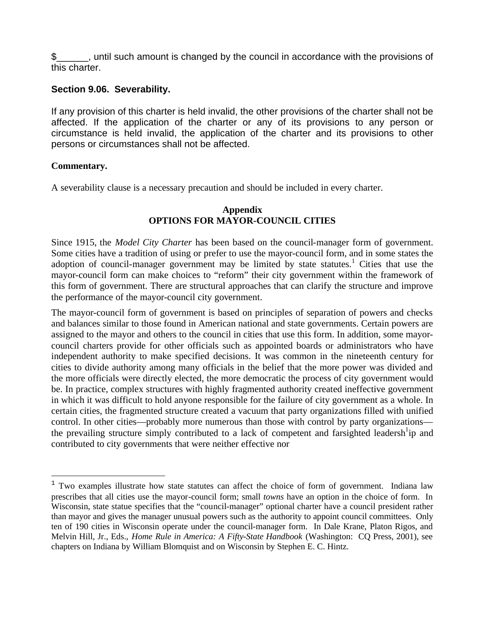\$\_\_\_\_\_\_, until such amount is changed by the council in accordance with the provisions of this charter.

# **Section 9.06. Severability.**

If any provision of this charter is held invalid, the other provisions of the charter shall not be affected. If the application of the charter or any of its provisions to any person or circumstance is held invalid, the application of the charter and its provisions to other persons or circumstances shall not be affected.

# **Commentary.**

 $\overline{a}$ 

A severability clause is a necessary precaution and should be included in every charter.

## **Appendix OPTIONS FOR MAYOR-COUNCIL CITIES**

Since 1915, the *Model City Charter* has been based on the council-manager form of government. Some cities have a tradition of using or prefer to use the mayor-council form, and in some states the adoption of council-manager government may be limited by state statutes.<sup>1</sup> Cities that use the mayor-council form can make choices to "reform" their city government within the framework of this form of government. There are structural approaches that can clarify the structure and improve the performance of the mayor-council city government.

The mayor-council form of government is based on principles of separation of powers and checks and balances similar to those found in American national and state governments. Certain powers are assigned to the mayor and others to the council in cities that use this form. In addition, some mayorcouncil charters provide for other officials such as appointed boards or administrators who have independent authority to make specified decisions. It was common in the nineteenth century for cities to divide authority among many officials in the belief that the more power was divided and the more officials were directly elected, the more democratic the process of city government would be. In practice, complex structures with highly fragmented authority created ineffective government in which it was difficult to hold anyone responsible for the failure of city government as a whole. In certain cities, the fragmented structure created a vacuum that party organizations filled with unified control. In other cities—probably more numerous than those with control by party organizations the prevailing structure simply contributed to a lack of competent and farsighted leadersh<sup>1</sup>ip and contributed to city governments that were neither effective nor

 $1$  Two examples illustrate how state statutes can affect the choice of form of government. Indiana law prescribes that all cities use the mayor-council form; small *towns* have an option in the choice of form. In Wisconsin, state statue specifies that the "council-manager" optional charter have a council president rather than mayor and gives the manager unusual powers such as the authority to appoint council committees. Only ten of 190 cities in Wisconsin operate under the council-manager form. In Dale Krane, Platon Rigos, and Melvin Hill, Jr., Eds., *Home Rule in America: A Fifty-State Handbook* (Washington: CQ Press, 2001), see chapters on Indiana by William Blomquist and on Wisconsin by Stephen E. C. Hintz.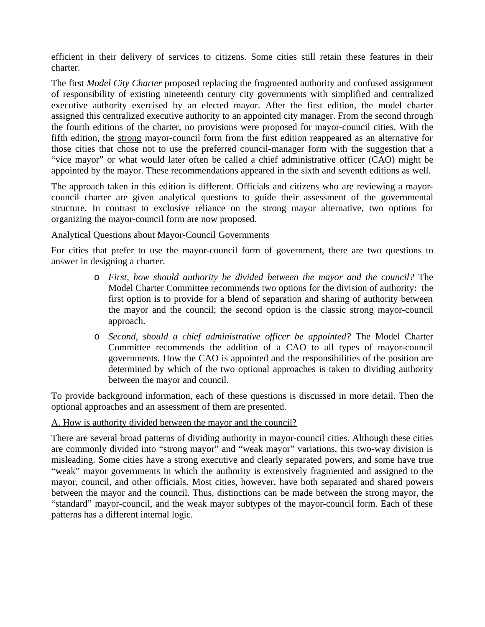efficient in their delivery of services to citizens. Some cities still retain these features in their charter.

The first *Model City Charter* proposed replacing the fragmented authority and confused assignment of responsibility of existing nineteenth century city governments with simplified and centralized executive authority exercised by an elected mayor. After the first edition, the model charter assigned this centralized executive authority to an appointed city manager. From the second through the fourth editions of the charter, no provisions were proposed for mayor-council cities. With the fifth edition, the strong mayor-council form from the first edition reappeared as an alternative for those cities that chose not to use the preferred council-manager form with the suggestion that a "vice mayor" or what would later often be called a chief administrative officer (CAO) might be appointed by the mayor. These recommendations appeared in the sixth and seventh editions as well.

The approach taken in this edition is different. Officials and citizens who are reviewing a mayorcouncil charter are given analytical questions to guide their assessment of the governmental structure. In contrast to exclusive reliance on the strong mayor alternative, two options for organizing the mayor-council form are now proposed.

### Analytical Questions about Mayor-Council Governments

For cities that prefer to use the mayor-council form of government, there are two questions to answer in designing a charter.

- o *First, how should authority be divided between the mayor and the council?* The Model Charter Committee recommends two options for the division of authority: the first option is to provide for a blend of separation and sharing of authority between the mayor and the council; the second option is the classic strong mayor-council approach.
- o *Second, should a chief administrative officer be appointed?* The Model Charter Committee recommends the addition of a CAO to all types of mayor-council governments. How the CAO is appointed and the responsibilities of the position are determined by which of the two optional approaches is taken to dividing authority between the mayor and council.

To provide background information, each of these questions is discussed in more detail. Then the optional approaches and an assessment of them are presented.

### A. How is authority divided between the mayor and the council?

There are several broad patterns of dividing authority in mayor-council cities. Although these cities are commonly divided into "strong mayor" and "weak mayor" variations, this two-way division is misleading. Some cities have a strong executive and clearly separated powers, and some have true "weak" mayor governments in which the authority is extensively fragmented and assigned to the mayor, council, and other officials. Most cities, however, have both separated and shared powers between the mayor and the council. Thus, distinctions can be made between the strong mayor, the "standard" mayor-council, and the weak mayor subtypes of the mayor-council form. Each of these patterns has a different internal logic.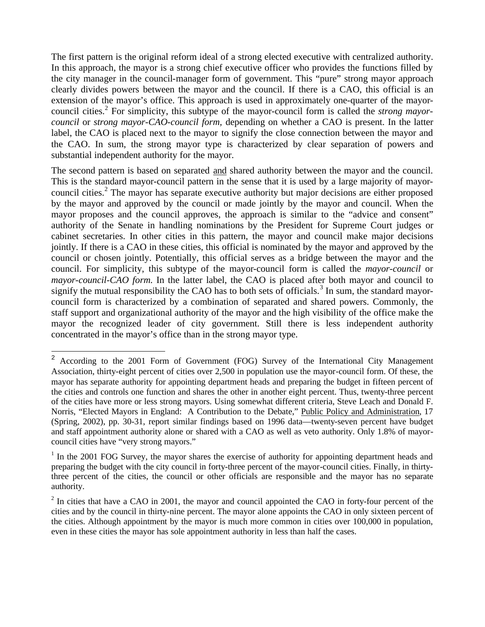The first pattern is the original reform ideal of a strong elected executive with centralized authority. In this approach, the mayor is a strong chief executive officer who provides the functions filled by the city manager in the council-manager form of government. This "pure" strong mayor approach clearly divides powers between the mayor and the council. If there is a CAO, this official is an extension of the mayor's office. This approach is used in approximately one-quarter of the mayorcouncil cities.<sup>2</sup> For simplicity, this subtype of the mayor-council form is called the *strong mayorcouncil* or *strong mayor-CAO-council form,* depending on whether a CAO is present. In the latter label, the CAO is placed next to the mayor to signify the close connection between the mayor and the CAO. In sum, the strong mayor type is characterized by clear separation of powers and substantial independent authority for the mayor.

The second pattern is based on separated and shared authority between the mayor and the council. This is the standard mayor-council pattern in the sense that it is used by a large majority of mayorcouncil cities.<sup>2</sup> The mayor has separate executive authority but major decisions are either proposed by the mayor and approved by the council or made jointly by the mayor and council. When the mayor proposes and the council approves, the approach is similar to the "advice and consent" authority of the Senate in handling nominations by the President for Supreme Court judges or cabinet secretaries. In other cities in this pattern, the mayor and council make major decisions jointly. If there is a CAO in these cities, this official is nominated by the mayor and approved by the council or chosen jointly. Potentially, this official serves as a bridge between the mayor and the council. For simplicity, this subtype of the mayor-council form is called the *mayor-council* or *mayor-council-CAO form.* In the latter label, the CAO is placed after both mayor and council to signify the mutual responsibility the CAO has to both sets of officials.<sup>3</sup> In sum, the standard mayorcouncil form is characterized by a combination of separated and shared powers. Commonly, the staff support and organizational authority of the mayor and the high visibility of the office make the mayor the recognized leader of city government. Still there is less independent authority concentrated in the mayor's office than in the strong mayor type.

<sup>&</sup>lt;sup>2</sup> According to the 2001 Form of Government (FOG) Survey of the International City Management Association, thirty-eight percent of cities over 2,500 in population use the mayor-council form. Of these, the mayor has separate authority for appointing department heads and preparing the budget in fifteen percent of the cities and controls one function and shares the other in another eight percent. Thus, twenty-three percent of the cities have more or less strong mayors. Using somewhat different criteria, Steve Leach and Donald F. Norris, "Elected Mayors in England: A Contribution to the Debate," Public Policy and Administration, 17 (Spring, 2002), pp. 30-31, report similar findings based on 1996 data—twenty-seven percent have budget and staff appointment authority alone or shared with a CAO as well as veto authority. Only 1.8% of mayorcouncil cities have "very strong mayors."

<sup>&</sup>lt;sup>1</sup> In the 2001 FOG Survey, the mayor shares the exercise of authority for appointing department heads and preparing the budget with the city council in forty-three percent of the mayor-council cities. Finally, in thirtythree percent of the cities, the council or other officials are responsible and the mayor has no separate authority.

 $2$  In cities that have a CAO in 2001, the mayor and council appointed the CAO in forty-four percent of the cities and by the council in thirty-nine percent. The mayor alone appoints the CAO in only sixteen percent of the cities. Although appointment by the mayor is much more common in cities over 100,000 in population, even in these cities the mayor has sole appointment authority in less than half the cases.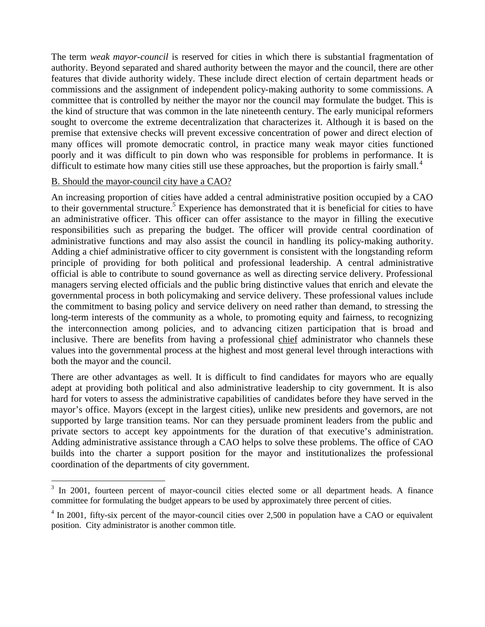The term *weak mayor-council* is reserved for cities in which there is substantial fragmentation of authority. Beyond separated and shared authority between the mayor and the council, there are other features that divide authority widely. These include direct election of certain department heads or commissions and the assignment of independent policy-making authority to some commissions. A committee that is controlled by neither the mayor nor the council may formulate the budget. This is the kind of structure that was common in the late nineteenth century. The early municipal reformers sought to overcome the extreme decentralization that characterizes it. Although it is based on the premise that extensive checks will prevent excessive concentration of power and direct election of many offices will promote democratic control, in practice many weak mayor cities functioned poorly and it was difficult to pin down who was responsible for problems in performance. It is difficult to estimate how many cities still use these approaches, but the proportion is fairly small.<sup>4</sup>

## B. Should the mayor-council city have a CAO?

 $\overline{a}$ 

An increasing proportion of cities have added a central administrative position occupied by a CAO to their governmental structure.<sup>5</sup> Experience has demonstrated that it is beneficial for cities to have an administrative officer. This officer can offer assistance to the mayor in filling the executive responsibilities such as preparing the budget. The officer will provide central coordination of administrative functions and may also assist the council in handling its policy-making authority. Adding a chief administrative officer to city government is consistent with the longstanding reform principle of providing for both political and professional leadership. A central administrative official is able to contribute to sound governance as well as directing service delivery. Professional managers serving elected officials and the public bring distinctive values that enrich and elevate the governmental process in both policymaking and service delivery. These professional values include the commitment to basing policy and service delivery on need rather than demand, to stressing the long-term interests of the community as a whole, to promoting equity and fairness, to recognizing the interconnection among policies, and to advancing citizen participation that is broad and inclusive. There are benefits from having a professional chief administrator who channels these values into the governmental process at the highest and most general level through interactions with both the mayor and the council.

There are other advantages as well. It is difficult to find candidates for mayors who are equally adept at providing both political and also administrative leadership to city government. It is also hard for voters to assess the administrative capabilities of candidates before they have served in the mayor's office. Mayors (except in the largest cities), unlike new presidents and governors, are not supported by large transition teams. Nor can they persuade prominent leaders from the public and private sectors to accept key appointments for the duration of that executive's administration. Adding administrative assistance through a CAO helps to solve these problems. The office of CAO builds into the charter a support position for the mayor and institutionalizes the professional coordination of the departments of city government.

<sup>&</sup>lt;sup>3</sup> In 2001, fourteen percent of mayor-council cities elected some or all department heads. A finance committee for formulating the budget appears to be used by approximately three percent of cities.

 $4 \text{ In } 2001$ , fifty-six percent of the mayor-council cities over 2,500 in population have a CAO or equivalent position. City administrator is another common title.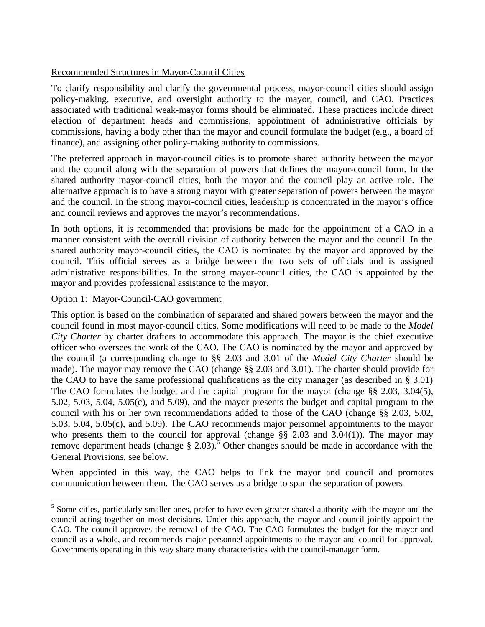## Recommended Structures in Mayor-Council Cities

To clarify responsibility and clarify the governmental process, mayor-council cities should assign policy-making, executive, and oversight authority to the mayor, council, and CAO. Practices associated with traditional weak-mayor forms should be eliminated. These practices include direct election of department heads and commissions, appointment of administrative officials by commissions, having a body other than the mayor and council formulate the budget (e.g., a board of finance), and assigning other policy-making authority to commissions.

The preferred approach in mayor-council cities is to promote shared authority between the mayor and the council along with the separation of powers that defines the mayor-council form. In the shared authority mayor-council cities, both the mayor and the council play an active role. The alternative approach is to have a strong mayor with greater separation of powers between the mayor and the council. In the strong mayor-council cities, leadership is concentrated in the mayor's office and council reviews and approves the mayor's recommendations.

In both options, it is recommended that provisions be made for the appointment of a CAO in a manner consistent with the overall division of authority between the mayor and the council. In the shared authority mayor-council cities, the CAO is nominated by the mayor and approved by the council. This official serves as a bridge between the two sets of officials and is assigned administrative responsibilities. In the strong mayor-council cities, the CAO is appointed by the mayor and provides professional assistance to the mayor.

### Option 1: Mayor-Council-CAO government

 $\overline{a}$ 

This option is based on the combination of separated and shared powers between the mayor and the council found in most mayor-council cities. Some modifications will need to be made to the *Model City Charter* by charter drafters to accommodate this approach. The mayor is the chief executive officer who oversees the work of the CAO. The CAO is nominated by the mayor and approved by the council (a corresponding change to §§ 2.03 and 3.01 of the *Model City Charter* should be made). The mayor may remove the CAO (change §§ 2.03 and 3.01). The charter should provide for the CAO to have the same professional qualifications as the city manager (as described in § 3.01) The CAO formulates the budget and the capital program for the mayor (change §§ 2.03, 3.04(5), 5.02, 5.03, 5.04, 5.05(c), and 5.09), and the mayor presents the budget and capital program to the council with his or her own recommendations added to those of the CAO (change §§ 2.03, 5.02, 5.03, 5.04, 5.05(c), and 5.09). The CAO recommends major personnel appointments to the mayor who presents them to the council for approval (change §§ 2.03 and 3.04(1)). The mayor may remove department heads (change  $\S 2.03$ ).<sup>6</sup> Other changes should be made in accordance with the General Provisions, see below.

When appointed in this way, the CAO helps to link the mayor and council and promotes communication between them. The CAO serves as a bridge to span the separation of powers

<sup>&</sup>lt;sup>5</sup> Some cities, particularly smaller ones, prefer to have even greater shared authority with the mayor and the council acting together on most decisions. Under this approach, the mayor and council jointly appoint the CAO. The council approves the removal of the CAO. The CAO formulates the budget for the mayor and council as a whole, and recommends major personnel appointments to the mayor and council for approval. Governments operating in this way share many characteristics with the council-manager form.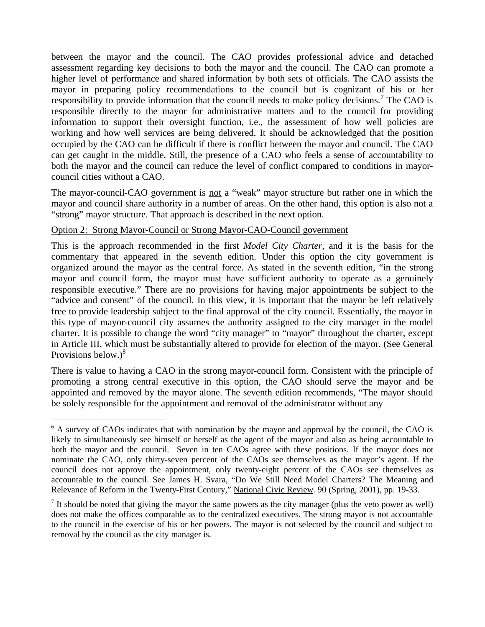between the mayor and the council. The CAO provides professional advice and detached assessment regarding key decisions to both the mayor and the council. The CAO can promote a higher level of performance and shared information by both sets of officials. The CAO assists the mayor in preparing policy recommendations to the council but is cognizant of his or her responsibility to provide information that the council needs to make policy decisions.<sup>7</sup> The CAO is responsible directly to the mayor for administrative matters and to the council for providing information to support their oversight function, i.e., the assessment of how well policies are working and how well services are being delivered. It should be acknowledged that the position occupied by the CAO can be difficult if there is conflict between the mayor and council. The CAO can get caught in the middle. Still, the presence of a CAO who feels a sense of accountability to both the mayor and the council can reduce the level of conflict compared to conditions in mayorcouncil cities without a CAO.

The mayor-council-CAO government is <u>not</u> a "weak" mayor structure but rather one in which the mayor and council share authority in a number of areas. On the other hand, this option is also not a "strong" mayor structure. That approach is described in the next option.

### Option 2: Strong Mayor-Council or Strong Mayor-CAO-Council government

 $\overline{a}$ 

This is the approach recommended in the first *Model City Charter*, and it is the basis for the commentary that appeared in the seventh edition. Under this option the city government is organized around the mayor as the central force. As stated in the seventh edition, "in the strong mayor and council form, the mayor must have sufficient authority to operate as a genuinely responsible executive." There are no provisions for having major appointments be subject to the "advice and consent" of the council. In this view, it is important that the mayor be left relatively free to provide leadership subject to the final approval of the city council. Essentially, the mayor in this type of mayor-council city assumes the authority assigned to the city manager in the model charter. It is possible to change the word "city manager" to "mayor" throughout the charter, except in Article III, which must be substantially altered to provide for election of the mayor. (See General Provisions below.) $8$ 

There is value to having a CAO in the strong mayor-council form. Consistent with the principle of promoting a strong central executive in this option, the CAO should serve the mayor and be appointed and removed by the mayor alone. The seventh edition recommends, "The mayor should be solely responsible for the appointment and removal of the administrator without any

<sup>&</sup>lt;sup>6</sup> A survey of CAOs indicates that with nomination by the mayor and approval by the council, the CAO is likely to simultaneously see himself or herself as the agent of the mayor and also as being accountable to both the mayor and the council. Seven in ten CAOs agree with these positions. If the mayor does not nominate the CAO, only thirty-seven percent of the CAOs see themselves as the mayor's agent. If the council does not approve the appointment, only twenty-eight percent of the CAOs see themselves as accountable to the council. See James H. Svara, "Do We Still Need Model Charters? The Meaning and Relevance of Reform in the Twenty-First Century," National Civic Review. 90 (Spring, 2001), pp. 19-33.

<sup>&</sup>lt;sup>7</sup> It should be noted that giving the mayor the same powers as the city manager (plus the veto power as well) does not make the offices comparable as to the centralized executives. The strong mayor is not accountable to the council in the exercise of his or her powers. The mayor is not selected by the council and subject to removal by the council as the city manager is.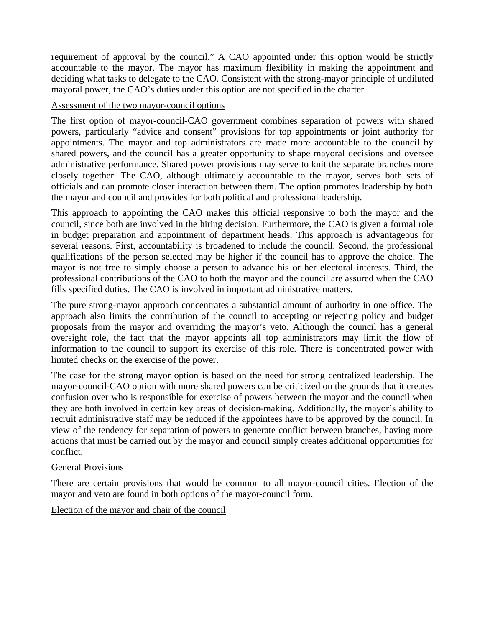requirement of approval by the council." A CAO appointed under this option would be strictly accountable to the mayor. The mayor has maximum flexibility in making the appointment and deciding what tasks to delegate to the CAO. Consistent with the strong-mayor principle of undiluted mayoral power, the CAO's duties under this option are not specified in the charter.

## Assessment of the two mayor-council options

The first option of mayor-council-CAO government combines separation of powers with shared powers, particularly "advice and consent" provisions for top appointments or joint authority for appointments. The mayor and top administrators are made more accountable to the council by shared powers, and the council has a greater opportunity to shape mayoral decisions and oversee administrative performance. Shared power provisions may serve to knit the separate branches more closely together. The CAO, although ultimately accountable to the mayor, serves both sets of officials and can promote closer interaction between them. The option promotes leadership by both the mayor and council and provides for both political and professional leadership.

This approach to appointing the CAO makes this official responsive to both the mayor and the council, since both are involved in the hiring decision. Furthermore, the CAO is given a formal role in budget preparation and appointment of department heads. This approach is advantageous for several reasons. First, accountability is broadened to include the council. Second, the professional qualifications of the person selected may be higher if the council has to approve the choice. The mayor is not free to simply choose a person to advance his or her electoral interests. Third, the professional contributions of the CAO to both the mayor and the council are assured when the CAO fills specified duties. The CAO is involved in important administrative matters.

The pure strong-mayor approach concentrates a substantial amount of authority in one office. The approach also limits the contribution of the council to accepting or rejecting policy and budget proposals from the mayor and overriding the mayor's veto. Although the council has a general oversight role, the fact that the mayor appoints all top administrators may limit the flow of information to the council to support its exercise of this role. There is concentrated power with limited checks on the exercise of the power.

The case for the strong mayor option is based on the need for strong centralized leadership. The mayor-council-CAO option with more shared powers can be criticized on the grounds that it creates confusion over who is responsible for exercise of powers between the mayor and the council when they are both involved in certain key areas of decision-making. Additionally, the mayor's ability to recruit administrative staff may be reduced if the appointees have to be approved by the council. In view of the tendency for separation of powers to generate conflict between branches, having more actions that must be carried out by the mayor and council simply creates additional opportunities for conflict.

# General Provisions

There are certain provisions that would be common to all mayor-council cities. Election of the mayor and veto are found in both options of the mayor-council form.

Election of the mayor and chair of the council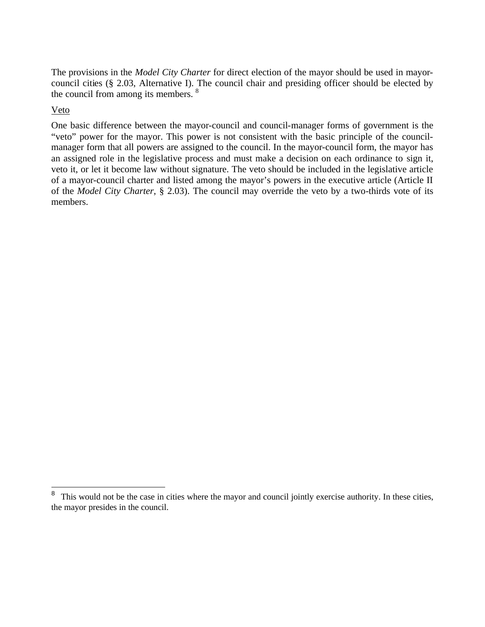The provisions in the *Model City Charter* for direct election of the mayor should be used in mayorcouncil cities (§ 2.03, Alternative I). The council chair and presiding officer should be elected by the council from among its members. <sup>8</sup>

## Veto

 $\overline{a}$ 

One basic difference between the mayor-council and council-manager forms of government is the "veto" power for the mayor. This power is not consistent with the basic principle of the councilmanager form that all powers are assigned to the council. In the mayor-council form, the mayor has an assigned role in the legislative process and must make a decision on each ordinance to sign it, veto it, or let it become law without signature. The veto should be included in the legislative article of a mayor-council charter and listed among the mayor's powers in the executive article (Article II of the *Model City Charter*, § 2.03). The council may override the veto by a two-thirds vote of its members.

<sup>&</sup>lt;sup>8</sup> This would not be the case in cities where the mayor and council jointly exercise authority. In these cities, the mayor presides in the council.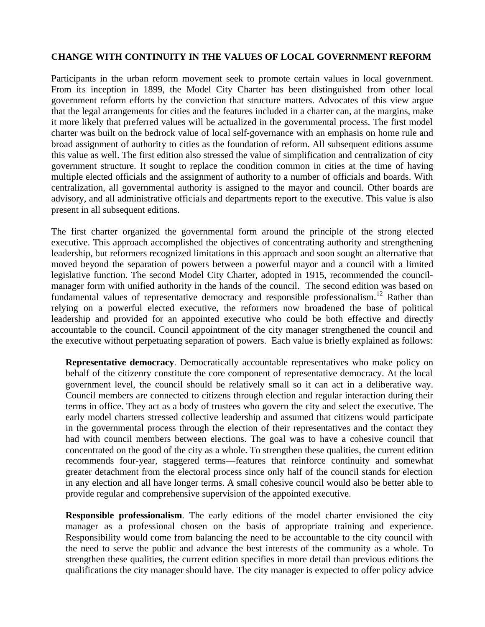## **CHANGE WITH CONTINUITY IN THE VALUES OF LOCAL GOVERNMENT REFORM**

Participants in the urban reform movement seek to promote certain values in local government. From its inception in 1899, the Model City Charter has been distinguished from other local government reform efforts by the conviction that structure matters. Advocates of this view argue that the legal arrangements for cities and the features included in a charter can, at the margins, make it more likely that preferred values will be actualized in the governmental process. The first model charter was built on the bedrock value of local self-governance with an emphasis on home rule and broad assignment of authority to cities as the foundation of reform. All subsequent editions assume this value as well. The first edition also stressed the value of simplification and centralization of city government structure. It sought to replace the condition common in cities at the time of having multiple elected officials and the assignment of authority to a number of officials and boards. With centralization, all governmental authority is assigned to the mayor and council. Other boards are advisory, and all administrative officials and departments report to the executive. This value is also present in all subsequent editions.

The first charter organized the governmental form around the principle of the strong elected executive. This approach accomplished the objectives of concentrating authority and strengthening leadership, but reformers recognized limitations in this approach and soon sought an alternative that moved beyond the separation of powers between a powerful mayor and a council with a limited legislative function. The second Model City Charter, adopted in 1915, recommended the councilmanager form with unified authority in the hands of the council. The second edition was based on fundamental values of representative democracy and responsible professionalism.<sup>12</sup> Rather than relying on a powerful elected executive, the reformers now broadened the base of political leadership and provided for an appointed executive who could be both effective and directly accountable to the council. Council appointment of the city manager strengthened the council and the executive without perpetuating separation of powers. Each value is briefly explained as follows:

**Representative democracy**. Democratically accountable representatives who make policy on behalf of the citizenry constitute the core component of representative democracy. At the local government level, the council should be relatively small so it can act in a deliberative way. Council members are connected to citizens through election and regular interaction during their terms in office. They act as a body of trustees who govern the city and select the executive. The early model charters stressed collective leadership and assumed that citizens would participate in the governmental process through the election of their representatives and the contact they had with council members between elections. The goal was to have a cohesive council that concentrated on the good of the city as a whole. To strengthen these qualities, the current edition recommends four-year, staggered terms—features that reinforce continuity and somewhat greater detachment from the electoral process since only half of the council stands for election in any election and all have longer terms. A small cohesive council would also be better able to provide regular and comprehensive supervision of the appointed executive.

**Responsible professionalism**. The early editions of the model charter envisioned the city manager as a professional chosen on the basis of appropriate training and experience. Responsibility would come from balancing the need to be accountable to the city council with the need to serve the public and advance the best interests of the community as a whole. To strengthen these qualities, the current edition specifies in more detail than previous editions the qualifications the city manager should have. The city manager is expected to offer policy advice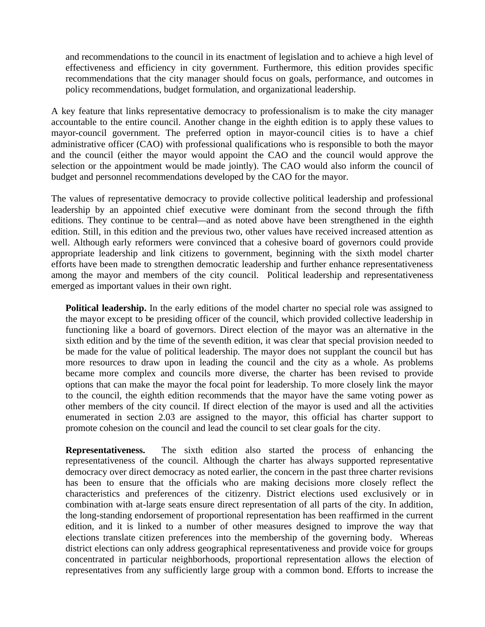and recommendations to the council in its enactment of legislation and to achieve a high level of effectiveness and efficiency in city government. Furthermore, this edition provides specific recommendations that the city manager should focus on goals, performance, and outcomes in policy recommendations, budget formulation, and organizational leadership.

A key feature that links representative democracy to professionalism is to make the city manager accountable to the entire council. Another change in the eighth edition is to apply these values to mayor-council government. The preferred option in mayor-council cities is to have a chief administrative officer (CAO) with professional qualifications who is responsible to both the mayor and the council (either the mayor would appoint the CAO and the council would approve the selection or the appointment would be made jointly). The CAO would also inform the council of budget and personnel recommendations developed by the CAO for the mayor.

The values of representative democracy to provide collective political leadership and professional leadership by an appointed chief executive were dominant from the second through the fifth editions. They continue to be central—and as noted above have been strengthened in the eighth edition. Still, in this edition and the previous two, other values have received increased attention as well. Although early reformers were convinced that a cohesive board of governors could provide appropriate leadership and link citizens to government, beginning with the sixth model charter efforts have been made to strengthen democratic leadership and further enhance representativeness among the mayor and members of the city council. Political leadership and representativeness emerged as important values in their own right.

**Political leadership.** In the early editions of the model charter no special role was assigned to the mayor except to be presiding officer of the council, which provided collective leadership in functioning like a board of governors. Direct election of the mayor was an alternative in the sixth edition and by the time of the seventh edition, it was clear that special provision needed to be made for the value of political leadership. The mayor does not supplant the council but has more resources to draw upon in leading the council and the city as a whole. As problems became more complex and councils more diverse, the charter has been revised to provide options that can make the mayor the focal point for leadership. To more closely link the mayor to the council, the eighth edition recommends that the mayor have the same voting power as other members of the city council. If direct election of the mayor is used and all the activities enumerated in section 2.03 are assigned to the mayor, this official has charter support to promote cohesion on the council and lead the council to set clear goals for the city.

**Representativeness.** The sixth edition also started the process of enhancing the representativeness of the council. Although the charter has always supported representative democracy over direct democracy as noted earlier, the concern in the past three charter revisions has been to ensure that the officials who are making decisions more closely reflect the characteristics and preferences of the citizenry. District elections used exclusively or in combination with at-large seats ensure direct representation of all parts of the city. In addition, the long-standing endorsement of proportional representation has been reaffirmed in the current edition, and it is linked to a number of other measures designed to improve the way that elections translate citizen preferences into the membership of the governing body. Whereas district elections can only address geographical representativeness and provide voice for groups concentrated in particular neighborhoods, proportional representation allows the election of representatives from any sufficiently large group with a common bond. Efforts to increase the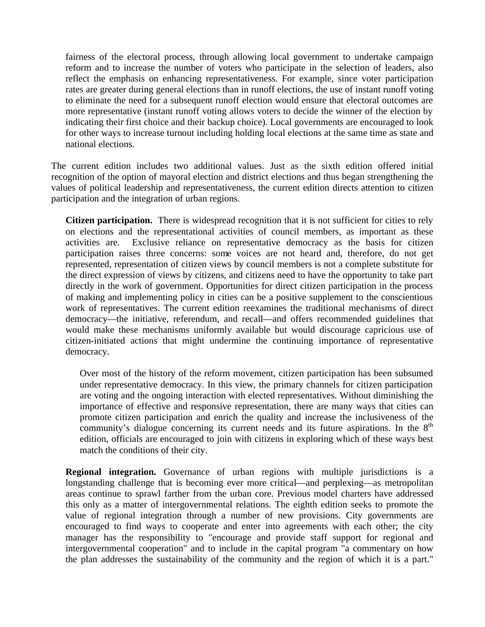fairness of the electoral process, through allowing local government to undertake campaign reform and to increase the number of voters who participate in the selection of leaders, also reflect the emphasis on enhancing representativeness. For example, since voter participation rates are greater during general elections than in runoff elections, the use of instant runoff voting to eliminate the need for a subsequent runoff election would ensure that electoral outcomes are more representative (instant runoff voting allows voters to decide the winner of the election by indicating their first choice and their backup choice). Local governments are encouraged to look for other ways to increase turnout including holding local elections at the same time as state and national elections.

The current edition includes two additional values. Just as the sixth edition offered initial recognition of the option of mayoral election and district elections and thus began strengthening the values of political leadership and representativeness, the current edition directs attention to citizen participation and the integration of urban regions.

**Citizen participation.** There is widespread recognition that it is not sufficient for cities to rely on elections and the representational activities of council members, as important as these activities are. Exclusive reliance on representative democracy as the basis for citizen participation raises three concerns: some voices are not heard and, therefore, do not get represented, representation of citizen views by council members is not a complete substitute for the direct expression of views by citizens, and citizens need to have the opportunity to take part directly in the work of government. Opportunities for direct citizen participation in the process of making and implementing policy in cities can be a positive supplement to the conscientious work of representatives. The current edition reexamines the traditional mechanisms of direct democracy—the initiative, referendum, and recall—and offers recommended guidelines that would make these mechanisms uniformly available but would discourage capricious use of citizen-initiated actions that might undermine the continuing importance of representative democracy.

Over most of the history of the reform movement, citizen participation has been subsumed under representative democracy. In this view, the primary channels for citizen participation are voting and the ongoing interaction with elected representatives. Without diminishing the importance of effective and responsive representation, there are many ways that cities can promote citizen participation and enrich the quality and increase the inclusiveness of the community's dialogue concerning its current needs and its future aspirations. In the  $8<sup>th</sup>$ edition, officials are encouraged to join with citizens in exploring which of these ways best match the conditions of their city.

**Regional integration.** Governance of urban regions with multiple jurisdictions is a longstanding challenge that is becoming ever more critical—and perplexing—as metropolitan areas continue to sprawl farther from the urban core. Previous model charters have addressed this only as a matter of intergovernmental relations. The eighth edition seeks to promote the value of regional integration through a number of new provisions. City governments are encouraged to find ways to cooperate and enter into agreements with each other; the city manager has the responsibility to "encourage and provide staff support for regional and intergovernmental cooperation" and to include in the capital program "a commentary on how the plan addresses the sustainability of the community and the region of which it is a part."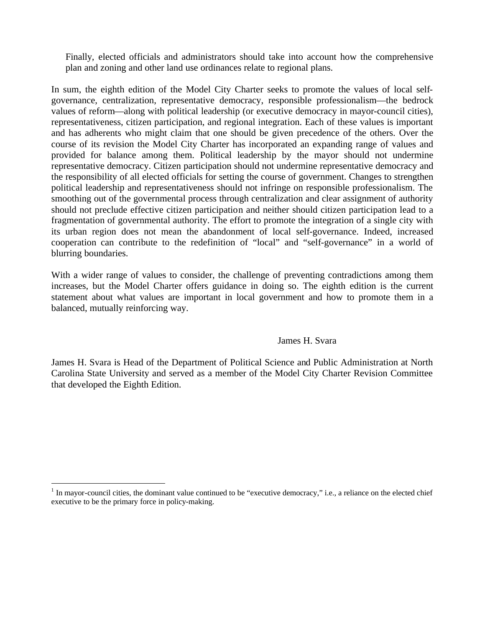Finally, elected officials and administrators should take into account how the comprehensive plan and zoning and other land use ordinances relate to regional plans.

In sum, the eighth edition of the Model City Charter seeks to promote the values of local selfgovernance, centralization, representative democracy, responsible professionalism—the bedrock values of reform—along with political leadership (or executive democracy in mayor-council cities), representativeness, citizen participation, and regional integration. Each of these values is important and has adherents who might claim that one should be given precedence of the others. Over the course of its revision the Model City Charter has incorporated an expanding range of values and provided for balance among them. Political leadership by the mayor should not undermine representative democracy. Citizen participation should not undermine representative democracy and the responsibility of all elected officials for setting the course of government. Changes to strengthen political leadership and representativeness should not infringe on responsible professionalism. The smoothing out of the governmental process through centralization and clear assignment of authority should not preclude effective citizen participation and neither should citizen participation lead to a fragmentation of governmental authority. The effort to promote the integration of a single city with its urban region does not mean the abandonment of local self-governance. Indeed, increased cooperation can contribute to the redefinition of "local" and "self-governance" in a world of blurring boundaries.

With a wider range of values to consider, the challenge of preventing contradictions among them increases, but the Model Charter offers guidance in doing so. The eighth edition is the current statement about what values are important in local government and how to promote them in a balanced, mutually reinforcing way.

#### James H. Svara

James H. Svara is Head of the Department of Political Science and Public Administration at North Carolina State University and served as a member of the Model City Charter Revision Committee that developed the Eighth Edition.

 $\overline{a}$ 

 $1$  In mayor-council cities, the dominant value continued to be "executive democracy," i.e., a reliance on the elected chief executive to be the primary force in policy-making.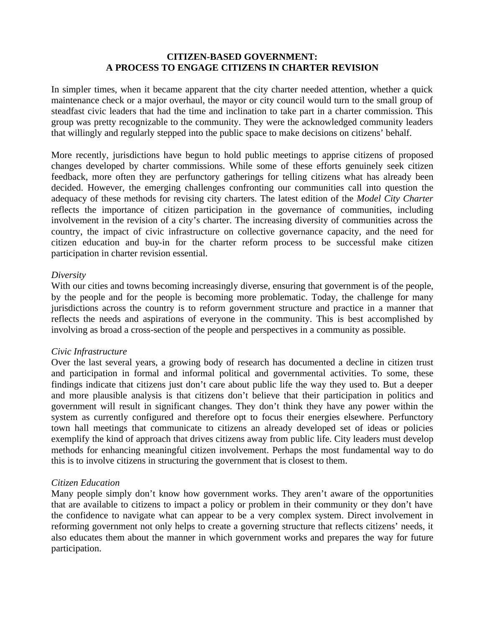### **CITIZEN-BASED GOVERNMENT: A PROCESS TO ENGAGE CITIZENS IN CHARTER REVISION**

In simpler times, when it became apparent that the city charter needed attention, whether a quick maintenance check or a major overhaul, the mayor or city council would turn to the small group of steadfast civic leaders that had the time and inclination to take part in a charter commission. This group was pretty recognizable to the community. They were the acknowledged community leaders that willingly and regularly stepped into the public space to make decisions on citizens' behalf.

More recently, jurisdictions have begun to hold public meetings to apprise citizens of proposed changes developed by charter commissions. While some of these efforts genuinely seek citizen feedback, more often they are perfunctory gatherings for telling citizens what has already been decided. However, the emerging challenges confronting our communities call into question the adequacy of these methods for revising city charters. The latest edition of the *Model City Charter* reflects the importance of citizen participation in the governance of communities, including involvement in the revision of a city's charter. The increasing diversity of communities across the country, the impact of civic infrastructure on collective governance capacity, and the need for citizen education and buy-in for the charter reform process to be successful make citizen participation in charter revision essential.

#### *Diversity*

With our cities and towns becoming increasingly diverse, ensuring that government is of the people, by the people and for the people is becoming more problematic. Today, the challenge for many jurisdictions across the country is to reform government structure and practice in a manner that reflects the needs and aspirations of everyone in the community. This is best accomplished by involving as broad a cross-section of the people and perspectives in a community as possible.

### *Civic Infrastructure*

Over the last several years, a growing body of research has documented a decline in citizen trust and participation in formal and informal political and governmental activities. To some, these findings indicate that citizens just don't care about public life the way they used to. But a deeper and more plausible analysis is that citizens don't believe that their participation in politics and government will result in significant changes. They don't think they have any power within the system as currently configured and therefore opt to focus their energies elsewhere. Perfunctory town hall meetings that communicate to citizens an already developed set of ideas or policies exemplify the kind of approach that drives citizens away from public life. City leaders must develop methods for enhancing meaningful citizen involvement. Perhaps the most fundamental way to do this is to involve citizens in structuring the government that is closest to them.

### *Citizen Education*

Many people simply don't know how government works. They aren't aware of the opportunities that are available to citizens to impact a policy or problem in their community or they don't have the confidence to navigate what can appear to be a very complex system. Direct involvement in reforming government not only helps to create a governing structure that reflects citizens' needs, it also educates them about the manner in which government works and prepares the way for future participation.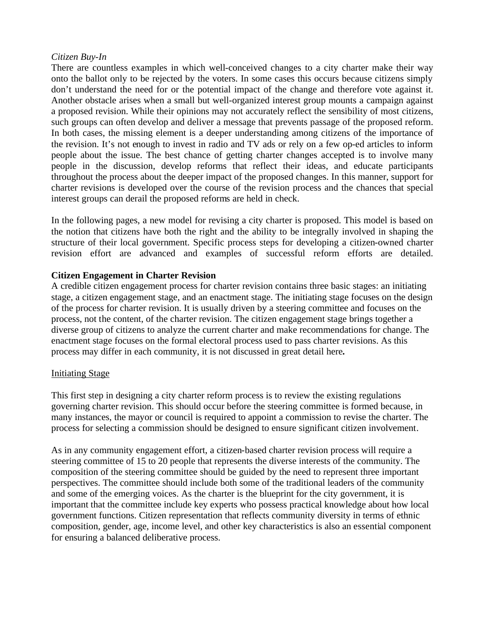#### *Citizen Buy-In*

There are countless examples in which well-conceived changes to a city charter make their way onto the ballot only to be rejected by the voters. In some cases this occurs because citizens simply don't understand the need for or the potential impact of the change and therefore vote against it. Another obstacle arises when a small but well-organized interest group mounts a campaign against a proposed revision. While their opinions may not accurately reflect the sensibility of most citizens, such groups can often develop and deliver a message that prevents passage of the proposed reform. In both cases, the missing element is a deeper understanding among citizens of the importance of the revision. It's not enough to invest in radio and TV ads or rely on a few op-ed articles to inform people about the issue. The best chance of getting charter changes accepted is to involve many people in the discussion, develop reforms that reflect their ideas, and educate participants throughout the process about the deeper impact of the proposed changes. In this manner, support for charter revisions is developed over the course of the revision process and the chances that special interest groups can derail the proposed reforms are held in check.

In the following pages, a new model for revising a city charter is proposed. This model is based on the notion that citizens have both the right and the ability to be integrally involved in shaping the structure of their local government. Specific process steps for developing a citizen-owned charter revision effort are advanced and examples of successful reform efforts are detailed.

### **Citizen Engagement in Charter Revision**

A credible citizen engagement process for charter revision contains three basic stages: an initiating stage, a citizen engagement stage, and an enactment stage. The initiating stage focuses on the design of the process for charter revision. It is usually driven by a steering committee and focuses on the process, not the content, of the charter revision. The citizen engagement stage brings together a diverse group of citizens to analyze the current charter and make recommendations for change. The enactment stage focuses on the formal electoral process used to pass charter revisions. As this process may differ in each community, it is not discussed in great detail here**.**

### Initiating Stage

This first step in designing a city charter reform process is to review the existing regulations governing charter revision. This should occur before the steering committee is formed because, in many instances, the mayor or council is required to appoint a commission to revise the charter. The process for selecting a commission should be designed to ensure significant citizen involvement.

As in any community engagement effort, a citizen-based charter revision process will require a steering committee of 15 to 20 people that represents the diverse interests of the community. The composition of the steering committee should be guided by the need to represent three important perspectives. The committee should include both some of the traditional leaders of the community and some of the emerging voices. As the charter is the blueprint for the city government, it is important that the committee include key experts who possess practical knowledge about how local government functions. Citizen representation that reflects community diversity in terms of ethnic composition, gender, age, income level, and other key characteristics is also an essential component for ensuring a balanced deliberative process.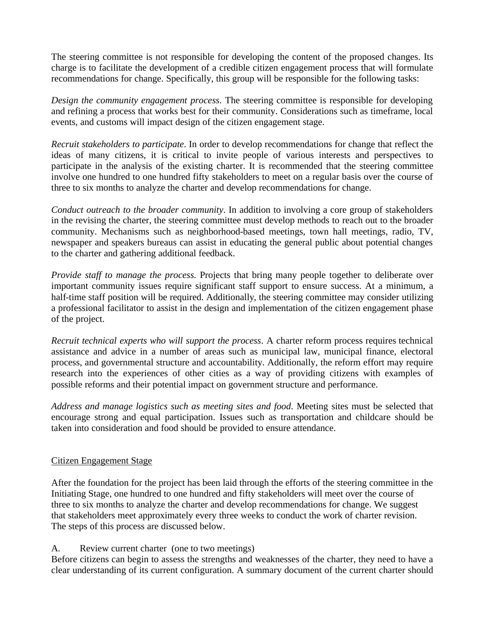The steering committee is not responsible for developing the content of the proposed changes. Its charge is to facilitate the development of a credible citizen engagement process that will formulate recommendations for change. Specifically, this group will be responsible for the following tasks:

*Design the community engagement process*. The steering committee is responsible for developing and refining a process that works best for their community. Considerations such as timeframe, local events, and customs will impact design of the citizen engagement stage.

*Recruit stakeholders to participate*. In order to develop recommendations for change that reflect the ideas of many citizens, it is critical to invite people of various interests and perspectives to participate in the analysis of the existing charter. It is recommended that the steering committee involve one hundred to one hundred fifty stakeholders to meet on a regular basis over the course of three to six months to analyze the charter and develop recommendations for change.

*Conduct outreach to the broader community*. In addition to involving a core group of stakeholders in the revising the charter, the steering committee must develop methods to reach out to the broader community. Mechanisms such as neighborhood-based meetings, town hall meetings, radio, TV, newspaper and speakers bureaus can assist in educating the general public about potential changes to the charter and gathering additional feedback.

*Provide staff to manage the process*. Projects that bring many people together to deliberate over important community issues require significant staff support to ensure success. At a minimum, a half-time staff position will be required. Additionally, the steering committee may consider utilizing a professional facilitator to assist in the design and implementation of the citizen engagement phase of the project.

*Recruit technical experts who will support the process*. A charter reform process requires technical assistance and advice in a number of areas such as municipal law, municipal finance, electoral process, and governmental structure and accountability. Additionally, the reform effort may require research into the experiences of other cities as a way of providing citizens with examples of possible reforms and their potential impact on government structure and performance.

*Address and manage logistics such as meeting sites and food*. Meeting sites must be selected that encourage strong and equal participation. Issues such as transportation and childcare should be taken into consideration and food should be provided to ensure attendance.

# Citizen Engagement Stage

After the foundation for the project has been laid through the efforts of the steering committee in the Initiating Stage, one hundred to one hundred and fifty stakeholders will meet over the course of three to six months to analyze the charter and develop recommendations for change. We suggest that stakeholders meet approximately every three weeks to conduct the work of charter revision. The steps of this process are discussed below.

A. Review current charter (one to two meetings)

Before citizens can begin to assess the strengths and weaknesses of the charter, they need to have a clear understanding of its current configuration. A summary document of the current charter should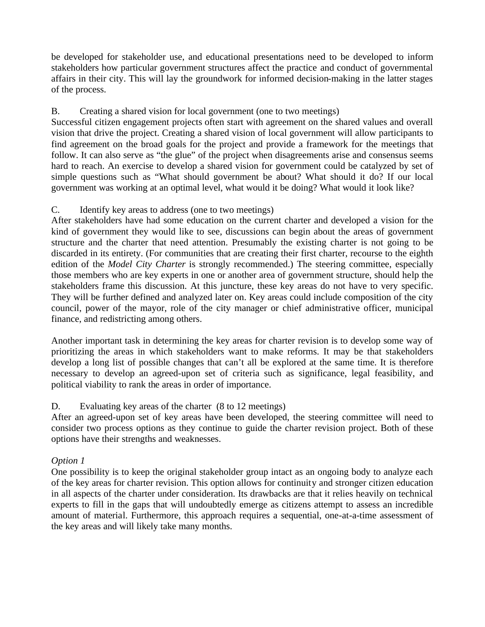be developed for stakeholder use, and educational presentations need to be developed to inform stakeholders how particular government structures affect the practice and conduct of governmental affairs in their city. This will lay the groundwork for informed decision-making in the latter stages of the process.

# B. Creating a shared vision for local government (one to two meetings)

Successful citizen engagement projects often start with agreement on the shared values and overall vision that drive the project. Creating a shared vision of local government will allow participants to find agreement on the broad goals for the project and provide a framework for the meetings that follow. It can also serve as "the glue" of the project when disagreements arise and consensus seems hard to reach. An exercise to develop a shared vision for government could be catalyzed by set of simple questions such as "What should government be about? What should it do? If our local government was working at an optimal level, what would it be doing? What would it look like?

# C. Identify key areas to address (one to two meetings)

After stakeholders have had some education on the current charter and developed a vision for the kind of government they would like to see, discussions can begin about the areas of government structure and the charter that need attention. Presumably the existing charter is not going to be discarded in its entirety. (For communities that are creating their first charter, recourse to the eighth edition of the *Model City Charter* is strongly recommended.) The steering committee, especially those members who are key experts in one or another area of government structure, should help the stakeholders frame this discussion. At this juncture, these key areas do not have to very specific. They will be further defined and analyzed later on. Key areas could include composition of the city council, power of the mayor, role of the city manager or chief administrative officer, municipal finance, and redistricting among others.

Another important task in determining the key areas for charter revision is to develop some way of prioritizing the areas in which stakeholders want to make reforms. It may be that stakeholders develop a long list of possible changes that can't all be explored at the same time. It is therefore necessary to develop an agreed-upon set of criteria such as significance, legal feasibility, and political viability to rank the areas in order of importance.

# D. Evaluating key areas of the charter (8 to 12 meetings)

After an agreed-upon set of key areas have been developed, the steering committee will need to consider two process options as they continue to guide the charter revision project. Both of these options have their strengths and weaknesses.

# *Option 1*

One possibility is to keep the original stakeholder group intact as an ongoing body to analyze each of the key areas for charter revision. This option allows for continuity and stronger citizen education in all aspects of the charter under consideration. Its drawbacks are that it relies heavily on technical experts to fill in the gaps that will undoubtedly emerge as citizens attempt to assess an incredible amount of material. Furthermore, this approach requires a sequential, one-at-a-time assessment of the key areas and will likely take many months.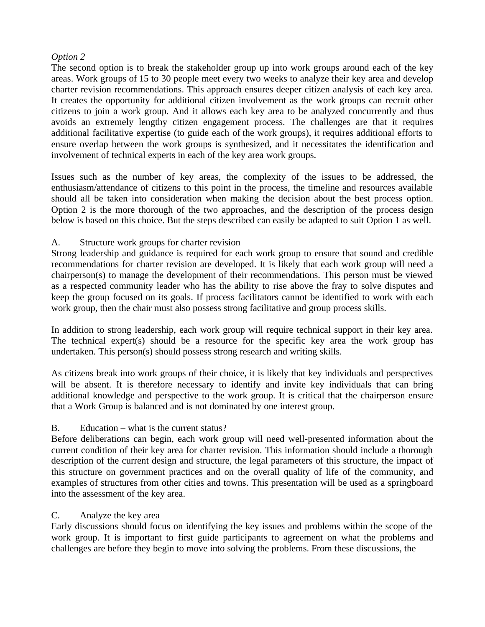# *Option 2*

The second option is to break the stakeholder group up into work groups around each of the key areas. Work groups of 15 to 30 people meet every two weeks to analyze their key area and develop charter revision recommendations. This approach ensures deeper citizen analysis of each key area. It creates the opportunity for additional citizen involvement as the work groups can recruit other citizens to join a work group. And it allows each key area to be analyzed concurrently and thus avoids an extremely lengthy citizen engagement process. The challenges are that it requires additional facilitative expertise (to guide each of the work groups), it requires additional efforts to ensure overlap between the work groups is synthesized, and it necessitates the identification and involvement of technical experts in each of the key area work groups.

Issues such as the number of key areas, the complexity of the issues to be addressed, the enthusiasm/attendance of citizens to this point in the process, the timeline and resources available should all be taken into consideration when making the decision about the best process option. Option 2 is the more thorough of the two approaches, and the description of the process design below is based on this choice. But the steps described can easily be adapted to suit Option 1 as well.

# A. Structure work groups for charter revision

Strong leadership and guidance is required for each work group to ensure that sound and credible recommendations for charter revision are developed. It is likely that each work group will need a chairperson(s) to manage the development of their recommendations. This person must be viewed as a respected community leader who has the ability to rise above the fray to solve disputes and keep the group focused on its goals. If process facilitators cannot be identified to work with each work group, then the chair must also possess strong facilitative and group process skills.

In addition to strong leadership, each work group will require technical support in their key area. The technical expert(s) should be a resource for the specific key area the work group has undertaken. This person(s) should possess strong research and writing skills.

As citizens break into work groups of their choice, it is likely that key individuals and perspectives will be absent. It is therefore necessary to identify and invite key individuals that can bring additional knowledge and perspective to the work group. It is critical that the chairperson ensure that a Work Group is balanced and is not dominated by one interest group.

# B. Education – what is the current status?

Before deliberations can begin, each work group will need well-presented information about the current condition of their key area for charter revision. This information should include a thorough description of the current design and structure, the legal parameters of this structure, the impact of this structure on government practices and on the overall quality of life of the community, and examples of structures from other cities and towns. This presentation will be used as a springboard into the assessment of the key area.

# C. Analyze the key area

Early discussions should focus on identifying the key issues and problems within the scope of the work group. It is important to first guide participants to agreement on what the problems and challenges are before they begin to move into solving the problems. From these discussions, the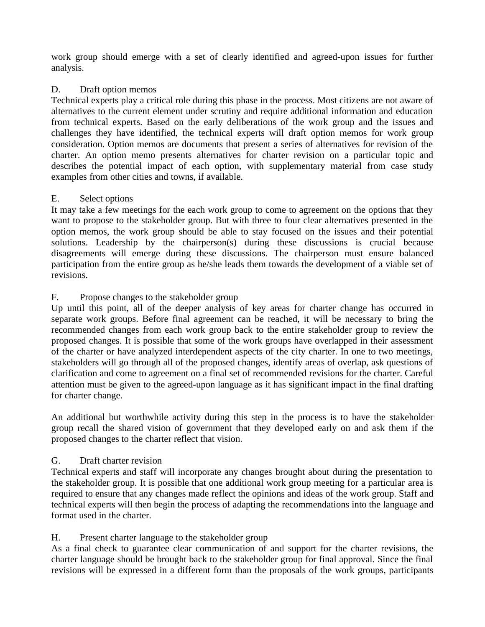work group should emerge with a set of clearly identified and agreed-upon issues for further analysis.

# D. Draft option memos

Technical experts play a critical role during this phase in the process. Most citizens are not aware of alternatives to the current element under scrutiny and require additional information and education from technical experts. Based on the early deliberations of the work group and the issues and challenges they have identified, the technical experts will draft option memos for work group consideration. Option memos are documents that present a series of alternatives for revision of the charter. An option memo presents alternatives for charter revision on a particular topic and describes the potential impact of each option, with supplementary material from case study examples from other cities and towns, if available.

# E. Select options

It may take a few meetings for the each work group to come to agreement on the options that they want to propose to the stakeholder group. But with three to four clear alternatives presented in the option memos, the work group should be able to stay focused on the issues and their potential solutions. Leadership by the chairperson(s) during these discussions is crucial because disagreements will emerge during these discussions. The chairperson must ensure balanced participation from the entire group as he/she leads them towards the development of a viable set of revisions.

# F. Propose changes to the stakeholder group

Up until this point, all of the deeper analysis of key areas for charter change has occurred in separate work groups. Before final agreement can be reached, it will be necessary to bring the recommended changes from each work group back to the entire stakeholder group to review the proposed changes. It is possible that some of the work groups have overlapped in their assessment of the charter or have analyzed interdependent aspects of the city charter. In one to two meetings, stakeholders will go through all of the proposed changes, identify areas of overlap, ask questions of clarification and come to agreement on a final set of recommended revisions for the charter. Careful attention must be given to the agreed-upon language as it has significant impact in the final drafting for charter change.

An additional but worthwhile activity during this step in the process is to have the stakeholder group recall the shared vision of government that they developed early on and ask them if the proposed changes to the charter reflect that vision.

# G. Draft charter revision

Technical experts and staff will incorporate any changes brought about during the presentation to the stakeholder group. It is possible that one additional work group meeting for a particular area is required to ensure that any changes made reflect the opinions and ideas of the work group. Staff and technical experts will then begin the process of adapting the recommendations into the language and format used in the charter.

# H. Present charter language to the stakeholder group

As a final check to guarantee clear communication of and support for the charter revisions, the charter language should be brought back to the stakeholder group for final approval. Since the final revisions will be expressed in a different form than the proposals of the work groups, participants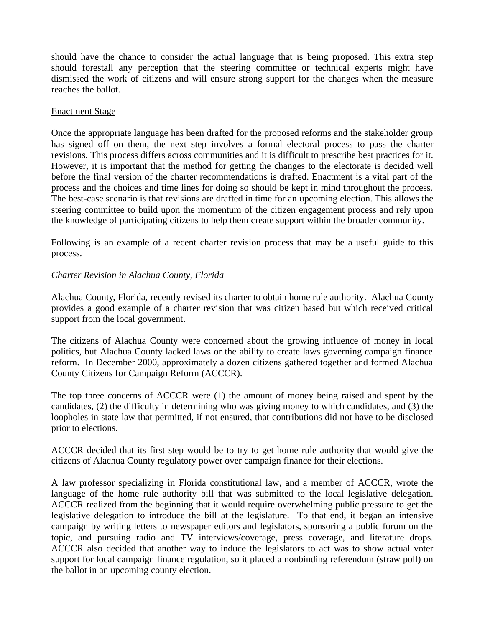should have the chance to consider the actual language that is being proposed. This extra step should forestall any perception that the steering committee or technical experts might have dismissed the work of citizens and will ensure strong support for the changes when the measure reaches the ballot.

### Enactment Stage

Once the appropriate language has been drafted for the proposed reforms and the stakeholder group has signed off on them, the next step involves a formal electoral process to pass the charter revisions. This process differs across communities and it is difficult to prescribe best practices for it. However, it is important that the method for getting the changes to the electorate is decided well before the final version of the charter recommendations is drafted. Enactment is a vital part of the process and the choices and time lines for doing so should be kept in mind throughout the process. The best-case scenario is that revisions are drafted in time for an upcoming election. This allows the steering committee to build upon the momentum of the citizen engagement process and rely upon the knowledge of participating citizens to help them create support within the broader community.

Following is an example of a recent charter revision process that may be a useful guide to this process.

# *Charter Revision in Alachua County, Florida*

Alachua County, Florida, recently revised its charter to obtain home rule authority. Alachua County provides a good example of a charter revision that was citizen based but which received critical support from the local government.

The citizens of Alachua County were concerned about the growing influence of money in local politics, but Alachua County lacked laws or the ability to create laws governing campaign finance reform. In December 2000, approximately a dozen citizens gathered together and formed Alachua County Citizens for Campaign Reform (ACCCR).

The top three concerns of ACCCR were (1) the amount of money being raised and spent by the candidates, (2) the difficulty in determining who was giving money to which candidates, and (3) the loopholes in state law that permitted, if not ensured, that contributions did not have to be disclosed prior to elections.

ACCCR decided that its first step would be to try to get home rule authority that would give the citizens of Alachua County regulatory power over campaign finance for their elections.

A law professor specializing in Florida constitutional law, and a member of ACCCR, wrote the language of the home rule authority bill that was submitted to the local legislative delegation. ACCCR realized from the beginning that it would require overwhelming public pressure to get the legislative delegation to introduce the bill at the legislature. To that end, it began an intensive campaign by writing letters to newspaper editors and legislators, sponsoring a public forum on the topic, and pursuing radio and TV interviews/coverage, press coverage, and literature drops. ACCCR also decided that another way to induce the legislators to act was to show actual voter support for local campaign finance regulation, so it placed a nonbinding referendum (straw poll) on the ballot in an upcoming county election.